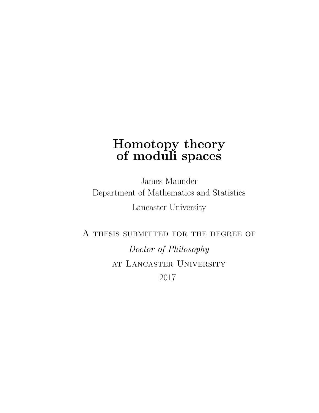# <span id="page-0-0"></span>Homotopy theory of moduli spaces

James Maunder Department of Mathematics and Statistics Lancaster University

A thesis submitted for the degree of

Doctor of Philosophy at Lancaster University 2017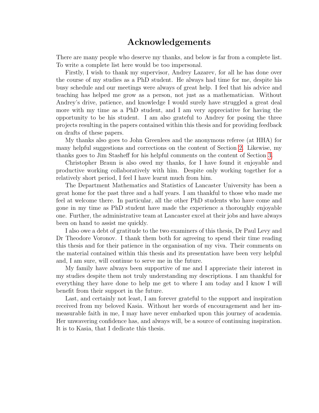## Acknowledgements

There are many people who deserve my thanks, and below is far from a complete list. To write a complete list here would be too impersonal.

Firstly, I wish to thank my supervisor, Andrey Lazarev, for all he has done over the course of my studies as a PhD student. He always had time for me, despite his busy schedule and our meetings were always of great help. I feel that his advice and teaching has helped me grow as a person, not just as a mathematician. Without Andrey's drive, patience, and knowledge I would surely have struggled a great deal more with my time as a PhD student, and I am very appreciative for having the opportunity to be his student. I am also grateful to Andrey for posing the three projects resulting in the papers contained within this thesis and for providing feedback on drafts of these papers.

My thanks also goes to John Greenlees and the anonymous referee (at HHA) for many helpful suggestions and corrections on the content of Section [2.](#page-42-0) Likewise, my thanks goes to Jim Stasheff for his helpful comments on the content of Section [3.](#page-67-0)

Christopher Braun is also owed my thanks, for I have found it enjoyable and productive working collaboratively with him. Despite only working together for a relatively short period, I feel I have learnt much from him.

The Department Mathematics and Statistics of Lancaster University has been a great home for the past three and a half years. I am thankful to those who made me feel at welcome there. In particular, all the other PhD students who have come and gone in my time as PhD student have made the experience a thoroughly enjoyable one. Further, the administrative team at Lancaster excel at their jobs and have always been on hand to assist me quickly.

I also owe a debt of gratitude to the two examiners of this thesis, Dr Paul Levy and Dr Theodore Voronov. I thank them both for agreeing to spend their time reading this thesis and for their patience in the organisation of my viva. Their comments on the material contained within this thesis and its presentation have been very helpful and, I am sure, will continue to serve me in the future.

My family have always been supportive of me and I appreciate their interest in my studies despite them not truly understanding my descriptions. I am thankful for everything they have done to help me get to where I am today and I know I will benefit from their support in the future.

Last, and certainly not least, I am forever grateful to the support and inspiration received from my beloved Kasia. Without her words of encouragement and her immeasurable faith in me, I may have never embarked upon this journey of academia. Her unwavering confidence has, and always will, be a source of continuing inspiration. It is to Kasia, that I dedicate this thesis.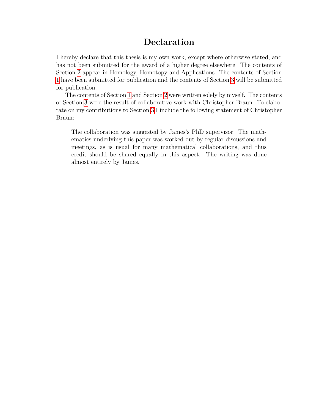## Declaration

I hereby declare that this thesis is my own work, except where otherwise stated, and has not been submitted for the award of a higher degree elsewhere. The contents of Section [2](#page-42-0) appear in Homology, Homotopy and Applications. The contents of Section [1](#page-10-0) have been submitted for publication and the contents of Section [3](#page-67-0) will be submitted for publication.

The contents of Section [1](#page-10-0) and Section [2](#page-42-0) were written solely by myself. The contents of Section [3](#page-67-0) were the result of collaborative work with Christopher Braun. To elaborate on my contributions to Section [3](#page-67-0) I include the following statement of Christopher Braun:

The collaboration was suggested by James's PhD supervisor. The mathematics underlying this paper was worked out by regular discussions and meetings, as is usual for many mathematical collaborations, and thus credit should be shared equally in this aspect. The writing was done almost entirely by James.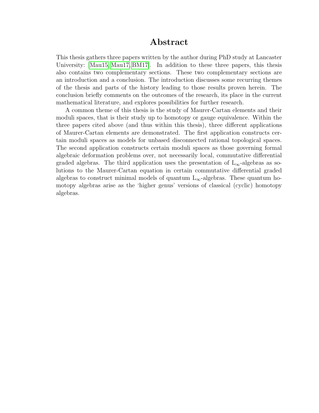### Abstract

This thesis gathers three papers written by the author during PhD study at Lancaster University: [\[Mau15,](#page-90-0) [Mau17,](#page-90-1) [BM17\]](#page-96-0). In addition to these three papers, this thesis also contains two complementary sections. These two complementary sections are an introduction and a conclusion. The introduction discusses some recurring themes of the thesis and parts of the history leading to those results proven herein. The conclusion briefly comments on the outcomes of the research, its place in the current mathematical literature, and explores possibilities for further research.

A common theme of this thesis is the study of Maurer-Cartan elements and their moduli spaces, that is their study up to homotopy or gauge equivalence. Within the three papers cited above (and thus within this thesis), three different applications of Maurer-Cartan elements are demonstrated. The first application constructs certain moduli spaces as models for unbased disconnected rational topological spaces. The second application constructs certain moduli spaces as those governing formal algebraic deformation problems over, not necessarily local, commutative differential graded algebras. The third application uses the presentation of  $L_{\infty}$ -algebras as solutions to the Maurer-Cartan equation in certain commutative differential graded algebras to construct minimal models of quantum  $L_{\infty}$ -algebras. These quantum homotopy algebras arise as the 'higher genus' versions of classical (cyclic) homotopy algebras.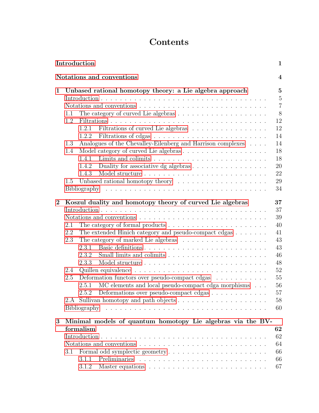# Contents

| Introduction<br>$\mathbf{1}$ |                                                                                                                                                                                                                                                                                                                                                                                                                                                                |                                                                                        |  |  |  |
|------------------------------|----------------------------------------------------------------------------------------------------------------------------------------------------------------------------------------------------------------------------------------------------------------------------------------------------------------------------------------------------------------------------------------------------------------------------------------------------------------|----------------------------------------------------------------------------------------|--|--|--|
|                              | Notations and conventions                                                                                                                                                                                                                                                                                                                                                                                                                                      | $\overline{\mathbf{4}}$                                                                |  |  |  |
| 1                            | Unbased rational homotopy theory: a Lie algebra approach<br>1.1<br>1.2<br>Filtrations of curved Lie algebras<br>1.2.1<br>1.2.2<br>Analogues of the Chevalley-Eilenberg and Harrison complexes $\phantom{1}.\phantom{1}.\phantom{1}.\phantom{1}.\phantom{1}$<br>1.3<br>1.4<br>1.4.1<br>Duality for associative dg algebras<br>1.4.2<br>1.4.3<br>1.5                                                                                                             |                                                                                        |  |  |  |
| $\bf{2}$                     | Koszul duality and homotopy theory of curved Lie algebras<br>The category of formal products $\dots \dots \dots \dots \dots \dots \dots \dots$<br>2.1<br>The extended Hinich category and pseudo-compact cdgas<br>2.2<br>2.3<br>2.3.1<br>2.3.2<br>2.3.3<br>2.4<br>$2.5\,$<br>Deformation functors over pseudo-compact cdgas<br>MC elements and local pseudo-compact cdga morphisms<br>2.5.1<br>Deformations over pseudo-compact cdgas<br>2.5.2<br>Bibliography | 37<br>37<br>39<br>40<br>41<br>43<br>43<br>46<br>48<br>52<br>55<br>56<br>57<br>58<br>60 |  |  |  |
| 3                            | Minimal models of quantum homotopy Lie algebras via the BV-<br>formalism<br>Notations and conventions $\ldots \ldots \ldots \ldots \ldots \ldots \ldots \ldots \ldots$<br>3.1<br>3.1.1<br>3.1.2                                                                                                                                                                                                                                                                | 62<br>62<br>64<br>66<br>66<br>67                                                       |  |  |  |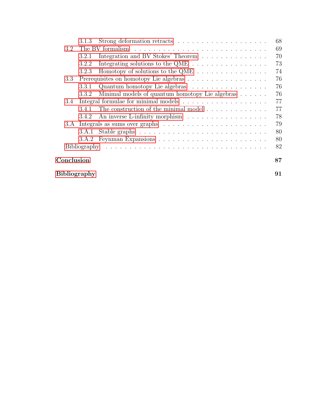|     | 3.1.3               |                                                                     | 68 |  |
|-----|---------------------|---------------------------------------------------------------------|----|--|
| 3.2 |                     |                                                                     | 69 |  |
|     | 3.2.1               | Integration and BV Stokes' Theorem                                  | 70 |  |
|     | 3.2.2               | Integrating solutions to the QME $\ldots$                           | 73 |  |
|     | 3.2.3               |                                                                     | 74 |  |
| 3.3 |                     | Prerequisites on homotopy Lie algebras                              | 76 |  |
|     | 3.3.1               | Quantum homotopy Lie algebras                                       | 76 |  |
|     | 3.3.2               | Minimal models of quantum homotopy Lie algebras                     | 76 |  |
| 3.4 |                     |                                                                     | 77 |  |
|     | 341                 | The construction of the minimal model $\ldots \ldots \ldots \ldots$ | 77 |  |
|     | 3.4.2               | An inverse L-infinity morphism                                      | 78 |  |
| 3.A |                     |                                                                     | 79 |  |
|     | 3.A.1               |                                                                     | 80 |  |
|     | 3.A.2               |                                                                     | 80 |  |
|     |                     |                                                                     | 82 |  |
|     | Conclusion          |                                                                     |    |  |
|     | <b>Bibliography</b> |                                                                     |    |  |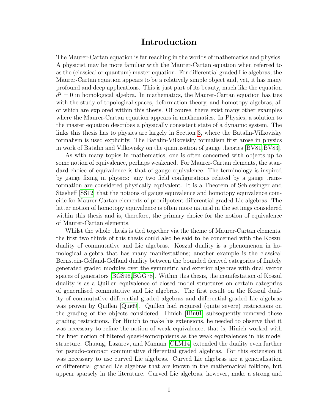## Introduction

The Maurer-Cartan equation is far reaching in the worlds of mathematics and physics. A physicist may be more familiar with the Maurer-Cartan equation when referred to as the (classical or quantum) master equation. For differential graded Lie algebras, the Maurer-Cartan equation appears to be a relatively simple object and, yet, it has many profound and deep applications. This is just part of its beauty, much like the equation  $d^2 = 0$  in homological algebra. In mathematics, the Maurer-Cartan equation has ties with the study of topological spaces, deformation theory, and homotopy algebras, all of which are explored within this thesis. Of course, there exist many other examples where the Maurer-Cartan equation appears in mathematics. In Physics, a solution to the master equation describes a physically consistent state of a dynamic system. The links this thesis has to physics are largely in Section [3,](#page-67-0) where the Batalin-Vilkovisky formalism is used explicitly. The Batalin-Vilkovisky formalism first arose in physics in work of Batalin and Vilkovisky on the quantisation of gauge theories [\[BV81,](#page-88-0)[BV83\]](#page-88-1).

As with many topics in mathematics, one is often concerned with objects up to some notion of equivalence, perhaps weakened. For Maurer-Cartan elements, the standard choice of equivalence is that of gauge equivalence. The terminology is inspired by gauge fixing in physics: any two field configurations related by a gauge transformation are considered physically equivalent. It is a Theorem of Schlessinger and Stasheff [\[SS12\]](#page-41-0) that the notions of gauge equivalence and homotopy equivalence coincide for Maurer-Cartan elements of pronilpotent differential graded Lie algebras. The latter notion of homotopy equivalence is often more natural in the settings considered within this thesis and is, therefore, the primary choice for the notion of equivalence of Maurer-Cartan elements.

Whilst the whole thesis is tied together via the theme of Maurer-Cartan elements, the first two thirds of this thesis could also be said to be concerned with the Koszul duality of commutative and Lie algebras. Koszul duality is a phenomenon in homological algebra that has many manifestations; another example is the classical Bernstein-Gelfand-Gelfand duality between the bounded derived categories of finitely generated graded modules over the symmetric and exterior algebras with dual vector spaces of generators [\[BGS96,](#page-96-1)[BGG78\]](#page-96-2). Within this thesis, the manifestation of Koszul duality is as a Quillen equivalence of closed model structures on certain categories of generalised commutative and Lie algebras. The first result on the Koszul duality of commutative differential graded algebras and differential graded Lie algebras was proven by Quillen [\[Qui69\]](#page-41-1). Quillen had required (quite severe) restrictions on the grading of the objects considered. Hinich [\[Hin01\]](#page-40-0) subsequently removed these grading restrictions. For Hinich to make his extensions, he needed to observe that it was necessary to refine the notion of weak equivalence; that is, Hinich worked with the finer notion of filtered quasi-isomorphisms as the weak equivalences in his model structure. Chuang, Lazarev, and Mannan [\[CLM14\]](#page-40-1) extended the duality even further for pseudo-compact commutative differential graded algebras. For this extension it was necessary to use curved Lie algebras. Curved Lie algebras are a generalisation of differential graded Lie algebras that are known in the mathematical folklore, but appear sparsely in the literature. Curved Lie algebras, however, make a strong and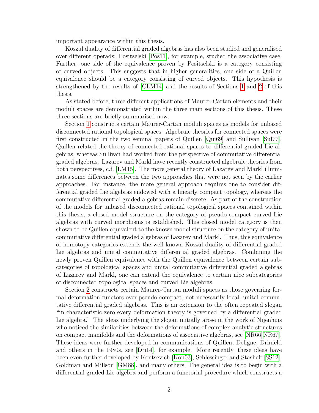important appearance within this thesis.

Koszul duality of differential graded algebras has also been studied and generalised over different operads: Positselski [\[Pos11\]](#page-41-2), for example, studied the associative case. Further, one side of the equivalence proven by Positselski is a category consisting of curved objects. This suggests that in higher generalities, one side of a Quillen equivalence should be a category consisting of curved objects. This hypothesis is strengthened by the results of [\[CLM14\]](#page-40-1) and the results of Sections [1](#page-10-0) and [2](#page-42-0) of this thesis.

As stated before, three different applications of Maurer-Cartan elements and their moduli spaces are demonstrated within the three main sections of this thesis. These three sections are briefly summarised now.

Section [1](#page-10-0) constructs certain Maurer-Cartan moduli spaces as models for unbased disconnected rational topological spaces. Algebraic theories for connected spaces were first constructed in the two seminal papers of Quillen [\[Qui69\]](#page-41-1) and Sullivan [\[Sul77\]](#page-41-3). Quillen related the theory of connected rational spaces to differential graded Lie algebras, whereas Sullivan had worked from the perspective of commutative differential graded algebras. Lazarev and Markl have recently constructed algebraic theories from both perspectives, c.f. [\[LM15\]](#page-41-4). The more general theory of Lazarev and Markl illuminates some differences between the two approaches that were not seen by the earlier approaches. For instance, the more general approach requires one to consider differential graded Lie algebras endowed with a linearly compact topology, whereas the commutative differential graded algebras remain discrete. As part of the construction of the models for unbased disconnected rational topological spaces contained within this thesis, a closed model structure on the category of pseudo-compact curved Lie algebras with curved morphisms is established. This closed model category is then shown to be Quillen equivalent to the known model structure on the category of unital commutative differential graded algebras of Lazarev and Markl. Thus, this equivalence of homotopy categories extends the well-known Koszul duality of differential graded Lie algebras and unital commutative differential graded algebras. Combining the newly proven Quillen equivalence with the Quillen equivalence between certain subcategories of topological spaces and unital commutative differential graded algebras of Lazarev and Markl, one can extend the equivalence to certain nice subcategories of disconnected topological spaces and curved Lie algebras.

Section [2](#page-42-0) constructs certain Maurer-Cartan moduli spaces as those governing formal deformation functors over pseudo-compact, not necessarily local, unital commutative differential graded algebras. This is an extension to the often repeated slogan "in characteristic zero every deformation theory is governed by a differential graded Lie algebra." The ideas underlying the slogan initially arose in the work of Nijenhuis who noticed the similarities between the deformations of complex-analytic structures on compact manifolds and the deformations of associative algebras, see [\[NR66,](#page-66-0)[NR67\]](#page-66-1). These ideas were further developed in communications of Quillen, Deligne, Drinfeld and others in the 1980s, see [\[Dri14\]](#page-65-0), for example. More recently, these ideas have been even further developed by Kontsevich [\[Kon03\]](#page-66-2), Schlessinger and Stasheff [\[SS12\]](#page-41-0), Goldman and Millson [\[GM88\]](#page-65-1), and many others. The general idea is to begin with a differential graded Lie algebra and perform a functorial procedure which constructs a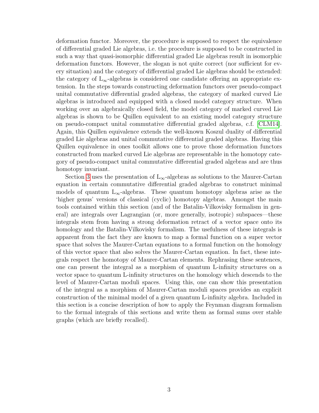deformation functor. Moreover, the procedure is supposed to respect the equivalence of differential graded Lie algebras, i.e. the procedure is supposed to be constructed in such a way that quasi-isomorphic differential graded Lie algebras result in isomorphic deformation functors. However, the slogan is not quite correct (nor sufficient for every situation) and the category of differential graded Lie algebras should be extended: the category of  $L_{\infty}$ -algebras is considered one candidate offering an appropriate extension. In the steps towards constructing deformation functors over pseudo-compact unital commutative differential graded algebras, the category of marked curved Lie algebras is introduced and equipped with a closed model category structure. When working over an algebraically closed field, the model category of marked curved Lie algebras is shown to be Quillen equivalent to an existing model category structure on pseudo-compact unital commutative differential graded algebras, c.f. [\[CLM14\]](#page-40-1). Again, this Quillen equivalence extends the well-known Koszul duality of differential graded Lie algebras and unital commutative differential graded algebras. Having this Quillen equivalence in ones toolkit allows one to prove those deformation functors constructed from marked curved Lie algebras are representable in the homotopy category of pseudo-compact unital commutative differential graded algebras and are thus homotopy invariant.

Section [3](#page-67-0) uses the presentation of  $L_{\infty}$ -algebras as solutions to the Maurer-Cartan equation in certain commutative differential graded algebras to construct minimal models of quantum  $L_{\infty}$ -algebras. These quantum homotopy algebras arise as the 'higher genus' versions of classical (cyclic) homotopy algebras. Amongst the main tools contained within this section (and of the Batalin-Vilkovisky formalism in general) are integrals over Lagrangian (or, more generally, isotropic) subspaces—these integrals stem from having a strong deformation retract of a vector space onto its homology and the Batalin-Vilkovisky formalism. The usefulness of these integrals is apparent from the fact they are known to map a formal function on a super vector space that solves the Maurer-Cartan equations to a formal function on the homology of this vector space that also solves the Maurer-Cartan equation. In fact, these integrals respect the homotopy of Maurer-Cartan elements. Rephrasing these sentences, one can present the integral as a morphism of quantum L-infinity structures on a vector space to quantum L-infinity structures on the homology which descends to the level of Maurer-Cartan moduli spaces. Using this, one can show this presentation of the integral as a morphism of Maurer-Cartan moduli spaces provides an explicit construction of the minimal model of a given quantum L-infinity algebra. Included in this section is a concise description of how to apply the Feynman diagram formalism to the formal integrals of this sections and write them as formal sums over stable graphs (which are briefly recalled).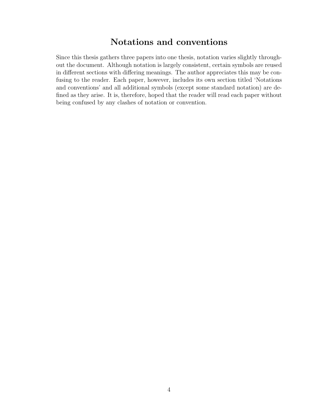## Notations and conventions

Since this thesis gathers three papers into one thesis, notation varies slightly throughout the document. Although notation is largely consistent, certain symbols are reused in different sections with differing meanings. The author appreciates this may be confusing to the reader. Each paper, however, includes its own section titled 'Notations and conventions' and all additional symbols (except some standard notation) are defined as they arise. It is, therefore, hoped that the reader will read each paper without being confused by any clashes of notation or convention.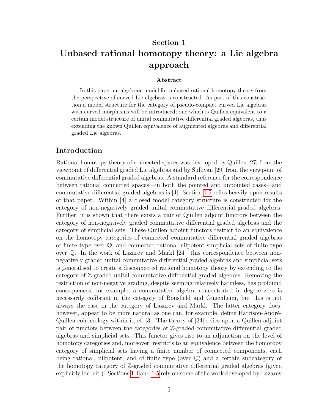# <span id="page-10-0"></span>Section 1 Unbased rational homotopy theory: a Lie algebra approach

#### Abstract

In this paper an algebraic model for unbased rational homotopy theory from the perspective of curved Lie algebras is constructed. As part of this construction a model structure for the category of pseudo-compact curved Lie algebras with curved morphisms will be introduced; one which is Quillen equivalent to a certain model structure of unital commutative differential graded algebras, thus extending the known Quillen equivalence of augmented algebras and differential graded Lie algebras.

#### Introduction

<span id="page-10-1"></span>Rational homotopy theory of connected spaces was developed by Quillen [27] from the viewpoint of differential graded Lie algebras and by Sullivan [29] from the viewpoint of commutative differential graded algebras. A standard reference for the correspondence between rational connected spaces—in both the pointed and unpointed cases—and commutative differential graded algebras is [4]. Section [1.5](#page-34-0) relies heavily upon results of that paper. Within [4] a closed model category structure is constructed for the category of non-negatively graded unital commutative differential graded algebras. Further, it is shown that there exists a pair of Quillen adjoint functors between the category of non-negatively graded commutative differential graded algebras and the category of simplicial sets. These Quillen adjoint functors restrict to an equivalence on the homotopy categories of connected commutative differential graded algebras of finite type over  $\mathbb{Q}$ , and connected rational nilpotent simplicial sets of finite type over  $\mathbb{Q}$ . In the work of Lazarev and Markl [24], this correspondence between nonnegatively graded unital commutative differential graded algebras and simplicial sets is generalised to create a disconnected rational homotopy theory by extending to the category of Z-graded unital commutative differential graded algebras. Removing the restriction of non-negative grading, despite seeming relatively harmless, has profound consequences; for example, a commutative algebra concentrated in degree zero is necessarily cofibrant in the category of Bousfield and Gugenheim, but this is not always the case in the category of Lazarev and Markl. The latter category does, however, appear to be more natural as one can, for example, define Harrison-André-Quillen cohomology within it, cf. [3]. The theory of [24] relies upon a Quillen adjoint pair of functors between the categories of Z-graded commutative differential graded algebras and simplicial sets. This functor gives rise to an adjunction on the level of homotopy categories and, moreover, restricts to an equivalence between the homotopy category of simplicial sets having a finite number of connected components, each being rational, nilpotent, and of finite type (over Q) and a certain subcategory of the homotopy category of Z-graded commutative differential graded algebras (given explicitly loc. cit.). Sections [1.4](#page-22-0) and [1.5](#page-34-0) rely on some of the work developed by Lazarev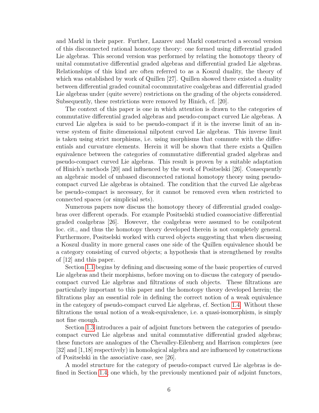and Markl in their paper. Further, Lazarev and Markl constructed a second version of this disconnected rational homotopy theory: one formed using differential graded Lie algebras. This second version was performed by relating the homotopy theory of unital commutative differential graded algebras and differential graded Lie algebras. Relationships of this kind are often referred to as a Koszul duality, the theory of which was established by work of Quillen [27]. Quillen showed there existed a duality between differential graded counital cocommutative coalgebras and differential graded Lie algebras under (quite severe) restrictions on the grading of the objects considered. Subsequently, these restrictions were removed by Hinich, cf. [20].

The context of this paper is one in which attention is drawn to the categories of commutative differential graded algebras and pseudo-compact curved Lie algebras. A curved Lie algebra is said to be pseudo-compact if it is the inverse limit of an inverse system of finite dimensional nilpotent curved Lie algebras. This inverse limit is taken using strict morphisms, i.e. using morphisms that commute with the differentials and curvature elements. Herein it will be shown that there exists a Quillen equivalence between the categories of commutative differential graded algebras and pseudo-compact curved Lie algebras. This result is proven by a suitable adaptation of Hinich's methods [20] and influenced by the work of Positselski [26]. Consequently an algebraic model of unbased disconnected rational homotopy theory using pseudocompact curved Lie algebras is obtained. The condition that the curved Lie algebras be pseudo-compact is necessary, for it cannot be removed even when restricted to connected spaces (or simplicial sets).

Numerous papers now discuss the homotopy theory of differential graded coalgebras over different operads. For example Positselski studied coassociative differential graded coalgebras [26]. However, the coalgebras were assumed to be conilpotent loc. cit., and thus the homotopy theory developed therein is not completely general. Furthermore, Positselski worked with curved objects suggesting that when discussing a Koszul duality in more general cases one side of the Quillen equivalence should be a category consisting of curved objects; a hypothesis that is strengthened by results of [12] and this paper.

Section [1.1](#page-13-0) begins by defining and discussing some of the basic properties of curved Lie algebras and their morphisms, before moving on to discuss the category of pseudocompact curved Lie algebras and filtrations of such objects. These filtrations are particularly important to this paper and the homotopy theory developed herein; the filtrations play an essential role in defining the correct notion of a weak equivalence in the category of pseudo-compact curved Lie algebras, cf. Section [1.4.](#page-22-0) Without these filtrations the usual notion of a weak-equivalence, i.e. a quasi-isomorphism, is simply not fine enough.

Section [1.3](#page-19-1) introduces a pair of adjoint functors between the categories of pseudocompact curved Lie algebras and unital commutative differential graded algebras; these functors are analogues of the Chevalley-Eilenberg and Harrison complexes (see [32] and [1,18] respectively) in homological algebra and are influenced by constructions of Positselski in the associative case, see [26].

A model structure for the category of pseudo-compact curved Lie algebras is defined in Section [1.4;](#page-22-0) one which, by the previously mentioned pair of adjoint functors,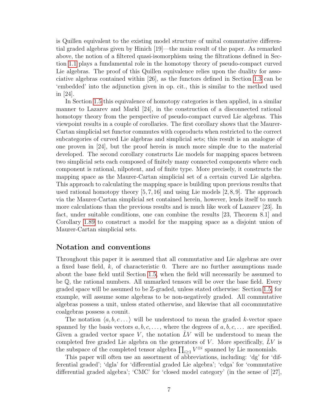is Quillen equivalent to the existing model structure of unital commutative differential graded algebras given by Hinich [19]—the main result of the paper. As remarked above, the notion of a filtered quasi-isomorphism using the filtrations defined in Section [1.1](#page-13-0) plays a fundamental role in the homotopy theory of pseudo-compact curved Lie algebras. The proof of this Quillen equivalence relies upon the duality for associative algebras contained within [26], as the functors defined in Section [1.3](#page-19-1) can be 'embedded' into the adjunction given in op. cit., this is similar to the method used in [24].

In Section [1.5](#page-34-0) this equivalence of homotopy categories is then applied, in a similar manner to Lazarev and Markl [24], in the construction of a disconnected rational homotopy theory from the perspective of pseudo-compact curved Lie algebras. This viewpoint results in a couple of corollaries. The first corollary shows that the Maurer-Cartan simplicial set functor commutes with coproducts when restricted to the correct subcategories of curved Lie algebras and simplicial sets; this result is an analogue of one proven in [24], but the proof herein is much more simple due to the material developed. The second corollary constructs Lie models for mapping spaces between two simplicial sets each composed of finitely many connected components where each component is rational, nilpotent, and of finite type. More precisely, it constructs the mapping space as the Maurer-Cartan simplicial set of a certain curved Lie algebra. This approach to calculating the mapping space is building upon previous results that used rational homotopy theory  $[5, 7, 16]$  and using Lie models  $[2, 8, 9]$ . The approach via the Maurer-Cartan simplicial set contained herein, however, lends itself to much more calculations than the previous results and is much like work of Lazarev [23]. In fact, under suitable conditions, one can combine the results [23, Theorem 8.1] and Corollary [1.89](#page-39-1) to construct a model for the mapping space as a disjoint union of Maurer-Cartan simplicial sets.

#### Notation and conventions

Throughout this paper it is assumed that all commutative and Lie algebras are over a fixed base field,  $k$ , of characteristic 0. There are no further assumptions made about the base field until Section [1.5,](#page-34-0) when the field will necessarily be assumed to be Q, the rational numbers. All unmarked tensors will be over the base field. Every graded space will be assumed to be Z-graded, unless stated otherwise: Section [1.5,](#page-34-0) for example, will assume some algebras to be non-negatively graded. All commutative algebras possess a unit, unless stated otherwise, and likewise that all cocommutative coalgebras possess a counit.

The notation  $\langle a, b, c \dots \rangle$  will be understood to mean the graded k-vector space spanned by the basis vectors  $a, b, c, \ldots$ , where the degrees of  $a, b, c, \ldots$  are specified. Given a graded vector space V, the notation  $LV$  will be understood to mean the completed free graded Lie algebra on the generators of  $V$ . More specifically,  $LV$  is the subspace of the completed tensor algebra  $\prod_{i\geq 1} V^{\otimes i}$  spanned by Lie monomials.

This paper will often use an assortment of abbreviations, including: 'dg' for 'differential graded'; 'dgla' for 'differential graded Lie algebra'; 'cdga' for 'commutative differential graded algebra'; 'CMC' for 'closed model category' (in the sense of [27],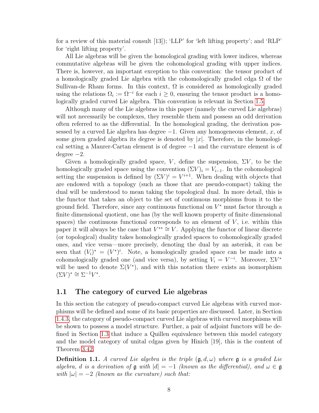for a review of this material consult [13]); 'LLP' for 'left lifting property'; and 'RLP' for 'right lifting property'.

All Lie algebras will be given the homological grading with lower indices, whereas commutative algebras will be given the cohomological grading with upper indices. There is, however, an important exception to this convention: the tensor product of a homologically graded Lie algebra with the cohomologically graded cdga  $\Omega$  of the Sullivan-de Rham forms. In this context,  $\Omega$  is considered as homologically graded using the relations  $\Omega_i := \Omega^{-i}$  for each  $i \geq 0$ , ensuring the tensor product is a homologically graded curved Lie algebra. This convention is relevant in Section [1.5.](#page-34-0)

Although many of the Lie algebras in this paper (namely the curved Lie algebras) will not necessarily be complexes, they resemble them and possess an odd derivation often referred to as the differential. In the homological grading, the derivation possessed by a curved Lie algebra has degree  $-1$ . Given any homogeneous element, x, of some given graded algebra its degree is denoted by  $|x|$ . Therefore, in the homological setting a Maurer-Cartan element is of degree −1 and the curvature element is of degree −2.

Given a homologically graded space, V, define the suspension,  $\Sigma V$ , to be the homologically graded space using the convention  $(\Sigma V)_i = V_{i-1}$ . In the cohomological setting the suspension is defined by  $(\Sigma V)^i = V^{i+1}$ . When dealing with objects that are endowed with a topology (such as those that are pseudo-compact) taking the dual will be understood to mean taking the topological dual. In more detail, this is the functor that takes an object to the set of continuous morphisms from it to the ground field. Therefore, since any continuous functional on  $V^*$  must factor through a finite dimensional quotient, one has (by the well known property of finite dimensional spaces) the continuous functional corresponds to an element of  $V$ , i.e. within this paper it will always be the case that  $V^{**} \cong V$ . Applying the functor of linear discrete (or topological) duality takes homologically graded spaces to cohomologically graded ones, and vice versa—more precisely, denoting the dual by an asterisk, it can be seen that  $(V_i)^* = (V^*)^i$ . Note, a homologically graded space can be made into a cohomologically graded one (and vice versa), by setting  $V_i = V^{-i}$ . Moreover,  $\Sigma V^*$ will be used to denote  $\Sigma(V^*)$ , and with this notation there exists an isomorphism  $(\Sigma V)^* \cong \Sigma^{-1} V^*.$ 

#### <span id="page-13-0"></span>1.1 The category of curved Lie algebras

In this section the category of pseudo-compact curved Lie algebras with curved morphisms will be defined and some of its basic properties are discussed. Later, in Section [1.4.3,](#page-27-0) the category of pseudo-compact curved Lie algebras with curved morphisms will be shown to possess a model structure. Further, a pair of adjoint functors will be defined in Section [1.3](#page-19-1) that induce a Quillen equivalence between this model category and the model category of unital cdgas given by Hinich [19], this is the content of Theorem [3.42.](#page-83-1)

**Definition 1.1.** A curved Lie algebra is the triple  $(\mathfrak{g}, d, \omega)$  where  $\mathfrak{g}$  is a graded Lie algebra, d is a derivation of  $\mathfrak g$  with  $|d| = -1$  (known as the differential), and  $\omega \in \mathfrak g$ with  $|\omega| = -2$  (known as the curvature) such that: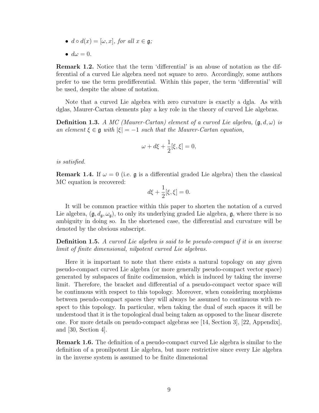- $d \circ d(x) = [\omega, x]$ , for all  $x \in \mathfrak{a}$ ;
- $\bullet$   $d\omega = 0$ .

Remark 1.2. Notice that the term 'differential' is an abuse of notation as the differential of a curved Lie algebra need not square to zero. Accordingly, some authors prefer to use the term predifferential. Within this paper, the term 'differential' will be used, despite the abuse of notation.

Note that a curved Lie algebra with zero curvature is exactly a dgla. As with dglas, Maurer-Cartan elements play a key role in the theory of curved Lie algebras.

**Definition 1.3.** A MC (Maurer-Cartan) element of a curved Lie algebra,  $(\mathfrak{g}, d, \omega)$  is an element  $\xi \in \mathfrak{g}$  with  $|\xi| = -1$  such that the Maurer-Cartan equation,

$$
\omega+d\xi+\frac{1}{2}[\xi,\xi]=0,
$$

is satisfied.

**Remark 1.4.** If  $\omega = 0$  (i.e. g is a differential graded Lie algebra) then the classical MC equation is recovered:

$$
d\xi + \frac{1}{2}[\xi, \xi] = 0.
$$

It will be common practice within this paper to shorten the notation of a curved Lie algebra,  $(\mathfrak{g}, d_{\mathfrak{g}}, \omega_{\mathfrak{g}})$ , to only its underlying graded Lie algebra,  $\mathfrak{g}$ , where there is no ambiguity in doing so. In the shortened case, the differential and curvature will be denoted by the obvious subscript.

**Definition 1.5.** A curved Lie algebra is said to be pseudo-compact if it is an inverse limit of finite dimensional, nilpotent curved Lie algebras.

Here it is important to note that there exists a natural topology on any given pseudo-compact curved Lie algebra (or more generally pseudo-compact vector space) generated by subspaces of finite codimension, which is induced by taking the inverse limit. Therefore, the bracket and differential of a pseudo-compact vector space will be continuous with respect to this topology. Moreover, when considering morphisms between pseudo-compact spaces they will always be assumed to continuous with respect to this topology. In particular, when taking the dual of such spaces it will be understood that it is the topological dual being taken as opposed to the linear discrete one. For more details on pseudo-compact algebras see [14, Section 3], [22, Appendix], and [30, Section 4].

Remark 1.6. The definition of a pseudo-compact curved Lie algebra is similar to the definition of a pronilpotent Lie algebra, but more restrictive since every Lie algebra in the inverse system is assumed to be finite dimensional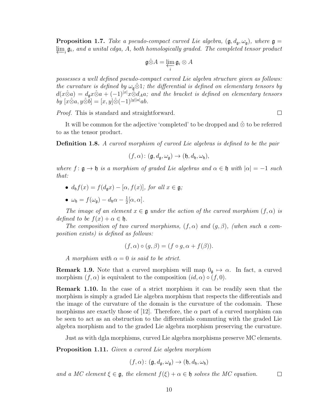**Proposition 1.7.** Take a pseudo-compact curved Lie algebra,  $(\mathfrak{g}, d_{\mathfrak{g}}, \omega_{\mathfrak{g}})$ , where  $\mathfrak{g} =$  $\varprojlim_i \mathfrak{g}_i$ , and a unital cdga, A, both homologically graded. The completed tensor product

$$
\mathfrak{g}\hat{\otimes}A=\varprojlim_i\mathfrak{g}_i\otimes A
$$

possesses a well defined pseudo-compact curved Lie algebra structure given as follows: the curvature is defined by  $\omega_{\mathfrak{g}} \hat{\otimes} 1$ ; the differential is defined on elementary tensors by  $d(x\hat{\otimes}a) = d_{\mathfrak{g}}x\hat{\otimes}a + (-1)^{|x|}x\hat{\otimes}d_Aa$ ; and the bracket is defined on elementary tensors  $by [x\hat{\otimes} a, y\hat{\otimes} b] = [x, y]\hat{\otimes} (-1)^{|y||a|}ab.$ 

Proof. This is standard and straightforward.

It will be common for the adjective 'completed' to be dropped and  $\hat{\otimes}$  to be referred to as the tensor product.

Definition 1.8. A curved morphism of curved Lie algebras is defined to be the pair

$$
(f,\alpha)\colon (\mathfrak{g},d_{\mathfrak{g}},\omega_{\mathfrak{g}})\to (\mathfrak{h},d_{\mathfrak{h}},\omega_{\mathfrak{h}}),
$$

where  $f: \mathfrak{g} \to \mathfrak{h}$  is a morphism of graded Lie algebras and  $\alpha \in \mathfrak{h}$  with  $|\alpha| = -1$  such that:

- $d_h f(x) = f(d_g x) [\alpha, f(x)]$ , for all  $x \in \mathfrak{g}$ ;
- $\omega_{\mathfrak{h}} = f(\omega_{\mathfrak{g}}) d_{\mathfrak{h}}\alpha \frac{1}{2}$  $\frac{1}{2}[\alpha,\alpha]$ .

The image of an element  $x \in \mathfrak{g}$  under the action of the curved morphism  $(f, \alpha)$  is defined to be  $f(x) + \alpha \in \mathfrak{h}$ .

The composition of two curved morphisms,  $(f, \alpha)$  and  $(g, \beta)$ , (when such a composition exists) is defined as follows:

$$
(f, \alpha) \circ (g, \beta) = (f \circ g, \alpha + f(\beta)).
$$

A morphism with  $\alpha = 0$  is said to be strict.

**Remark 1.9.** Note that a curved morphism will map  $0_{\mathfrak{g}} \mapsto \alpha$ . In fact, a curved morphism  $(f, \alpha)$  is equivalent to the composition  $(id, \alpha) \circ (f, 0)$ .

Remark 1.10. In the case of a strict morphism it can be readily seen that the morphism is simply a graded Lie algebra morphism that respects the differentials and the image of the curvature of the domain is the curvature of the codomain. These morphisms are exactly those of [12]. Therefore, the  $\alpha$  part of a curved morphism can be seen to act as an obstruction to the differentials commuting with the graded Lie algebra morphism and to the graded Lie algebra morphism preserving the curvature.

Just as with dgla morphisms, curved Lie algebra morphisms preserve MC elements.

Proposition 1.11. Given a curved Lie algebra morphism

$$
(f, \alpha) \colon (\mathfrak{g}, d_{\mathfrak{g}}, \omega_{\mathfrak{g}}) \to (\mathfrak{h}, d_{\mathfrak{h}}, \omega_{\mathfrak{h}})
$$

and a MC element  $\xi \in \mathfrak{g}$ , the element  $f(\xi) + \alpha \in \mathfrak{h}$  solves the MC equation.  $\Box$ 

 $\Box$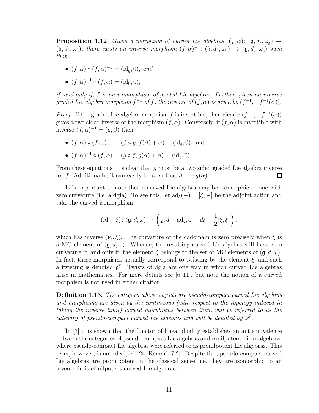**Proposition 1.12.** Given a morphism of curved Lie algebras,  $(f, \alpha)$ :  $(g, d_g, \omega_g)$   $\rightarrow$  $(\mathfrak{h}, d_{\mathfrak{h}}, \omega_{\mathfrak{h}})$ , there exists an inverse morphism  $(f, \alpha)^{-1}$ :  $(\mathfrak{h}, d_{\mathfrak{h}}, \omega_{\mathfrak{h}}) \rightarrow (\mathfrak{g}, d_{\mathfrak{g}}, \omega_{\mathfrak{g}})$  such that:

- $(f, \alpha) \circ (f, \alpha)^{-1} = (\mathrm{id}_{\mathfrak{g}}, 0), \text{ and}$
- $(f, \alpha)^{-1} \circ (f, \alpha) = (id_{\mathfrak{h}}, 0),$

if, and only if, f is an isomorphism of graded Lie algebras. Further, given an inverse graded Lie algebra morphism  $f^{-1}$  of f, the inverse of  $(f, \alpha)$  is given by  $(f^{-1}, -f^{-1}(\alpha))$ .

*Proof.* If the graded Lie algebra morphism f is invertible, then clearly  $(f^{-1}, -f^{-1}(\alpha))$ gives a two sided inverse of the morphism  $(f, \alpha)$ . Conversely, if  $(f, \alpha)$  is invertible with inverse  $(f, \alpha)^{-1} = (g, \beta)$  then

•  $(f, \alpha) \circ (f, \alpha)^{-1} = (f \circ g, f(\beta) + \alpha) = (id_{\mathfrak{g}}, 0)$ , and

• 
$$
(f, \alpha)^{-1} \circ (f, \alpha) = (g \circ f, g(\alpha) + \beta) = (\mathrm{id}_{\mathfrak{h}}, 0).
$$

From these equations it is clear that  $g$  must be a two sided graded Lie algebra inverse for f. Additionally, it can easily be seen that  $\beta = -g(\alpha)$ .  $\Box$ 

It is important to note that a curved Lie algebra may be isomorphic to one with zero curvature (i.e. a dgla). To see this, let  $ad_{\xi}(-) = [\xi, -]$  be the adjoint action and take the curved isomorphism

$$
(\mathrm{id}, -\xi) \colon (\mathfrak{g}, d, \omega) \to \left(\mathfrak{g}, d + \mathrm{ad}_{\xi}, \omega + d\xi + \frac{1}{2}[\xi, \xi]\right),
$$

which has inverse (id,  $\xi$ ). The curvature of the codomain is zero precisely when  $\xi$  is a MC element of  $(\mathfrak{g}, d, \omega)$ . Whence, the resulting curved Lie algebra will have zero curvature if, and only if, the element  $\xi$  belongs to the set of MC elements of  $(\mathfrak{g}, d, \omega)$ . In fact, these morphisms actually correspond to twisting by the element  $\xi$ , and such a twisting is denoted  $g^{\xi}$ . Twists of dgla are one way in which curved Lie algebras arise in mathematics. For more details see [6, 11], but note the notion of a curved morphism is not used in either citation.

Definition 1.13. The category whose objects are pseudo-compact curved Lie algebras and morphisms are given by the continuous (with respect to the topology induced in taking the inverse limit) curved morphisms between them will be referred to as the category of pseudo-compact curved Lie algebras and will be denoted by  $\hat{\mathscr{L}}$ .

<span id="page-16-0"></span>In [3] it is shown that the functor of linear duality establishes an antiequivalence between the categories of pseudo-compact Lie algebras and conilpotent Lie coalgebras, where pseudo-compact Lie algebras were referred to as pronilpotent Lie algebras. This term, however, is not ideal, cf. [24, Remark 7.2]. Despite this, pseudo-compact curved Lie algebras are pronilpotent in the classical sense, i.e. they are isomorphic to an inverse limit of nilpotent curved Lie algebras.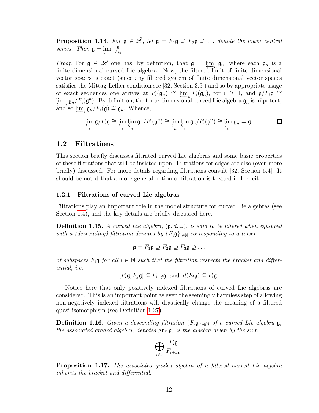**Proposition 1.14.** For  $g \in \hat{\mathscr{L}}$ , let  $g = F_1 g \supseteq F_2 g \supseteq \dots$  denote the lower central series. Then  $\mathfrak{g} = \varprojlim_i \frac{\mathfrak{g}}{F_i}$  $\frac{\mathfrak{g}}{F_i \mathfrak{g}}$  .

*Proof.* For  $\mathfrak{g} \in \hat{\mathscr{L}}$  one has, by definition, that  $\mathfrak{g} = \lim_{n \to \infty} \mathfrak{g}_n$ , where each  $\mathfrak{g}_n$  is a finite dimensional curved Lie algebra. Now, the filtered limit of finite dimensional vector spaces is exact (since any filtered system of finite dimensional vector spaces satisfies the Mittag-Leffler condition see [32, Section 3.5]) and so by appropriate usage of exact sequences one arrives at  $F_i(\mathfrak{g}_n) \cong \varprojlim_n F_i(\mathfrak{g}_n)$ , for  $i \geq 1$ , and  $\mathfrak{g}/F_i\mathfrak{g} \cong \varprojlim_i F_i(\mathfrak{g}_n)$  $\varprojlim_n \mathfrak{g}_n/F_i(\mathfrak{g}^n)$ . By definition, the finite dimensional curved Lie algebra  $\mathfrak{g}_n$  is nilpotent, and so  $\varprojlim_i \mathfrak{g}_n / F_i(\mathfrak{g}) \cong \mathfrak{g}_n$ . Whence,

$$
\varprojlim_{i} \mathfrak{g}/F_{i}\mathfrak{g} \cong \varprojlim_{i} \varprojlim_{n} \mathfrak{g}_{n}/F_{i}(\mathfrak{g}^{n}) \cong \varprojlim_{n} \varprojlim_{i} \mathfrak{g}_{n}/F_{i}(\mathfrak{g}^{n}) \cong \varprojlim_{n} \mathfrak{g}_{n} = \mathfrak{g}.
$$

#### <span id="page-17-0"></span>1.2 Filtrations

This section briefly discusses filtrated curved Lie algebras and some basic properties of these filtrations that will be insisted upon. Filtrations for cdgas are also (even more briefly) discussed. For more details regarding filtrations consult [32, Section 5.4]. It should be noted that a more general notion of filtration is treated in loc. cit.

#### <span id="page-17-1"></span>1.2.1 Filtrations of curved Lie algebras

Filtrations play an important role in the model structure for curved Lie algebras (see Section [1.4\)](#page-22-0), and the key details are briefly discussed here.

**Definition 1.15.** A curved Lie algebra,  $(\mathfrak{g}, d, \omega)$ , is said to be filtered when equipped with a (descending) filtration denoted by  ${F_i \mathfrak{g}}_{i \in \mathbb{N}}$  corresponding to a tower

$$
\mathfrak{g}=F_1\mathfrak{g}\supseteq F_2\mathfrak{g}\supseteq F_3\mathfrak{g}\supseteq\ldots
$$

of subspaces  $F_i$ **g** for all  $i \in \mathbb{N}$  such that the filtration respects the bracket and differential, i.e.

$$
[F_i\mathfrak{g}, F_j\mathfrak{g}] \subseteq F_{i+j}\mathfrak{g} \text{ and } d(F_i\mathfrak{g}) \subseteq F_i\mathfrak{g}.
$$

Notice here that only positively indexed filtrations of curved Lie algebras are considered. This is an important point as even the seemingly harmless step of allowing non-negatively indexed filtrations will drastically change the meaning of a filtered quasi-isomorphism (see Definition [1.27\)](#page-19-2).

**Definition 1.16.** Given a descending filtration  $\{F_i\mathfrak{g}\}_{i\in\mathbb{N}}$  of a curved Lie algebra  $\mathfrak{g}$ , the associated graded algebra, denoted  $gr_F \mathfrak{g}$ , is the algebra given by the sum

$$
\bigoplus_{i\in\mathbb{N}}\frac{F_i\mathfrak{g}}{F_{i+1}\mathfrak{g}}.
$$

**Proposition 1.17.** The associated graded algebra of a filtered curved Lie algebra inherits the bracket and differential.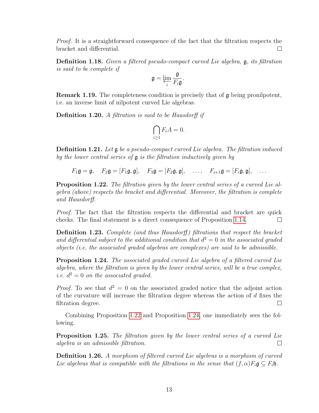Proof. It is a straightforward consequence of the fact that the filtration respects the bracket and differential.  $\Box$ 

Definition 1.18. Given a filtered pseudo-compact curved Lie algebra, g, its filtration is said to be complete if

$$
\mathfrak{g}=\varprojlim_{i}\frac{\mathfrak{g}}{F_{i}\mathfrak{g}}.
$$

**Remark 1.19.** The completeness condition is precisely that of  $\mathfrak{g}$  being pronilpotent, i.e. an inverse limit of nilpotent curved Lie algebras.

**Definition 1.20.** A filtration is said to be Hausdorff if

$$
\bigcap_{i\geq 1} F_i A = 0.
$$

Definition 1.21. Let g be a pseudo-compact curved Lie algebra. The filtration induced by the lower central series of  $\mathfrak g$  is the filtration inductively given by

 $F_1\mathfrak{g} = \mathfrak{g}, \quad F_2\mathfrak{g} = [F_1\mathfrak{g}, \mathfrak{g}], \quad F_3\mathfrak{g} = [F_2\mathfrak{g}, \mathfrak{g}], \quad \ldots, \quad F_{i+1}\mathfrak{g} = [F_i\mathfrak{g}, \mathfrak{g}], \quad \ldots$ 

<span id="page-18-0"></span>**Proposition 1.22.** The filtration given by the lower central series of a curved Lie algebra (above) respects the bracket and differential. Moreover, the filtration is complete and Hausdorff.

Proof. The fact that the filtration respects the differential and bracket are quick checks. The final statement is a direct consequence of Proposition [1.14.](#page-16-0)  $\Box$ 

**Definition 1.23.** Complete (and thus Hausdorff) filtrations that respect the bracket and differential subject to the additional condition that  $d^2 = 0$  in the associated graded objects (i.e. the associated graded algebras are complexes) are said to be admissible.

<span id="page-18-1"></span>**Proposition 1.24.** The associated graded curved Lie algebra of a filtered curved Lie algebra, where the filtration is given by the lower central series, will be a true complex, *i.e.*  $d^2 = 0$  *on the associated graded.* 

*Proof.* To see that  $d^2 = 0$  on the associated graded notice that the adjoint action of the curvature will increase the filtration degree whereas the action of  $d$  fixes the filtration degree.  $\Box$ 

Combining Proposition [1.22](#page-18-0) and Proposition [1.24,](#page-18-1) one immediately sees the following.

Proposition 1.25. The filtration given by the lower central series of a curved Lie algebra is an admissible filtration.  $\Box$ 

Definition 1.26. A morphism of filtered curved Lie algebras is a morphism of curved Lie algebras that is compatible with the filtrations in the sense that  $(f, \alpha)F_i\mathfrak{g} \subset F_i\mathfrak{h}$ .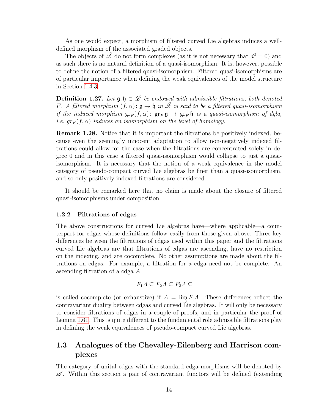As one would expect, a morphism of filtered curved Lie algebras induces a welldefined morphism of the associated graded objects.

The objects of  $\hat{\mathscr{L}}$  do not form complexes (as it is not necessary that  $d^2 = 0$ ) and as such there is no natural definition of a quasi-isomorphism. It is, however, possible to define the notion of a filtered quasi-isomorphism. Filtered quasi-isomorphisms are of particular importance when defining the weak equivalences of the model structure in Section [1.4.3.](#page-27-0)

<span id="page-19-2"></span>Definition 1.27. Let  $\mathfrak{g}, \mathfrak{h} \in \hat{\mathscr{L}}$  be endowed with admissible filtrations, both denoted F. A filtered morphism  $(f, \alpha)$ :  $\mathfrak{g} \to \mathfrak{h}$  in  $\hat{\mathfrak{L}}$  is said to be a filtered quasi-isomorphism if the induced morphism  $gr_F(f, \alpha)$ :  $gr_F \mathfrak{g} \to gr_F \mathfrak{h}$  is a quasi-isomorphism of dgla, i.e.  $gr_F(f, \alpha)$  induces an isomorphism on the level of homology.

Remark 1.28. Notice that it is important the filtrations be positively indexed, because even the seemingly innocent adaptation to allow non-negatively indexed filtrations could allow for the case when the filtrations are concentrated solely in degree 0 and in this case a filtered quasi-isomorphism would collapse to just a quasiisomorphism. It is necessary that the notion of a weak equivalence in the model category of pseudo-compact curved Lie algebras be finer than a quasi-isomorphism, and so only positively indexed filtrations are considered.

It should be remarked here that no claim is made about the closure of filtered quasi-isomorphisms under composition.

#### <span id="page-19-0"></span>1.2.2 Filtrations of cdgas

The above constructions for curved Lie algebras have—where applicable—a counterpart for cdgas whose definitions follow easily from those given above. Three key differences between the filtrations of cdgas used within this paper and the filtrations curved Lie algebras are that filtrations of cdgas are ascending, have no restriction on the indexing, and are cocomplete. No other assumptions are made about the filtrations on cdgas. For example, a filtration for a cdga need not be complete. An ascending filtration of a cdga A

$$
F_1A \subseteq F_2A \subseteq F_3A \subseteq \dots
$$

is called cocomplete (or exhaustive) if  $A = \lim F_i A$ . These differences reflect the contravariant duality between cdgas and curved Lie algebras. It will only be necessary to consider filtrations of cdgas in a couple of proofs, and in particular the proof of Lemma [1.61.](#page-29-0) This is quite different to the fundamental role admissible filtrations play in defining the weak equivalences of pseudo-compact curved Lie algebras.

### <span id="page-19-1"></span>1.3 Analogues of the Chevalley-Eilenberg and Harrison complexes

The category of unital cdgas with the standard cdga morphisms will be denoted by  $\mathscr{A}$ . Within this section a pair of contravariant functors will be defined (extending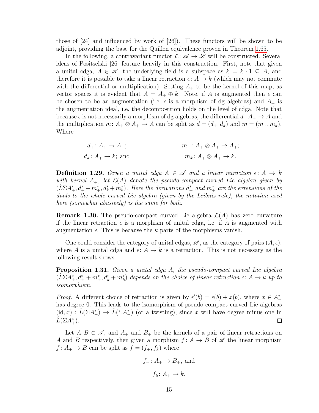those of [24] and influenced by work of [26]). These functors will be shown to be adjoint, providing the base for the Quillen equivalence proven in Theorem [1.65.](#page-33-0)

In the following, a contravariant functor  $\mathcal{L}: \mathscr{A} \to \mathscr{L}$  will be constructed. Several ideas of Positselski [26] feature heavily in this construction. First, note that given a unital cdga,  $A \in \mathscr{A}$ , the underlying field is a subspace as  $k = k \cdot 1 \subseteq A$ , and therefore it is possible to take a linear retraction  $\epsilon: A \to k$  (which may not commute with the differential or multiplication). Setting  $A_{+}$  to be the kernel of this map, as vector spaces it is evident that  $A = A_+ \oplus k$ . Note, if A is augmented then  $\epsilon$  can be chosen to be an augmentation (i.e.  $\epsilon$  is a morphism of dg algebras) and  $A_+$  is the augmentation ideal, i.e. the decomposition holds on the level of cdga. Note that because  $\epsilon$  is not necessarily a morphism of dg algebras, the differential d:  $A_+ \to A$  and the multiplication  $m: A_+ \otimes A_+ \to A$  can be split as  $d = (d_+, d_k)$  and  $m = (m_+, m_k)$ . Where

$$
d_{+}: A_{+} \to A_{+};
$$
  
\n
$$
m_{+}: A_{+} \otimes A_{+} \to A_{+};
$$
  
\n
$$
m_{k}: A_{+} \otimes A_{+} \to A_{+};
$$
  
\n
$$
m_{k}: A_{+} \otimes A_{+} \to k.
$$

<span id="page-20-0"></span>**Definition 1.29.** Given a unital cdga  $A \in \mathcal{A}$  and a linear retraction  $\epsilon: A \to k$ with kernel  $A_+$ , let  $\mathcal{L}(A)$  denote the pseudo-compact curved Lie algebra given by  $(\hat{L}\Sigma A_+^*, d_+^* + m_+^*, d_k^* + m_k^*).$  Here the derivations  $d_+^*$  and  $m_+^*$  are the extensions of the duals to the whole curved Lie algebra (given by the Leibniz rule); the notation used here (somewhat abusively) is the same for both.

**Remark 1.30.** The pseudo-compact curved Lie algebra  $\mathcal{L}(A)$  has zero curvature if the linear retraction  $\epsilon$  is a morphism of unital cdga, i.e. if A is augmented with augmentation  $\epsilon$ . This is because the k parts of the morphisms vanish.

One could consider the category of unital cdgas,  $\mathscr A$ , as the category of pairs  $(A, \epsilon)$ , where A is a unital cdga and  $\epsilon: A \to k$  is a retraction. This is not necessary as the following result shows.

**Proposition 1.31.** Given a unital cdga A, the pseudo-compact curved Lie algebra  $(\hat{L}\Sigma A_{+}^*, d_{+}^* + m_{+}^*, d_k^* + m_k^*)$  depends on the choice of linear retraction  $\epsilon: A \to k$  up to isomorphism.

*Proof.* A different choice of retraction is given by  $\epsilon'(b) = \epsilon(b) + x(b)$ , where  $x \in A^*$ has degree 0. This leads to the isomorphism of pseudo-compact curved Lie algebras  $(id, x) : \hat{L}(\Sigma A_+^*) \to \hat{L}(\Sigma A_+^*)$  (or a twisting), since x will have degree minus one in  $\hat{L}(\Sigma A_+^*)$ .  $\Box$ 

Let  $A, B \in \mathscr{A}$ , and  $A_+$  and  $B_+$  be the kernels of a pair of linear retractions on A and B respectively, then given a morphism  $f: A \rightarrow B$  of  $\mathscr A$  the linear morphism  $f: A_+ \to B$  can be split as  $f = (f_+, f_k)$  where

$$
f_+ \colon A_+ \to B_+
$$
, and  
 $f_k \colon A_+ \to k$ .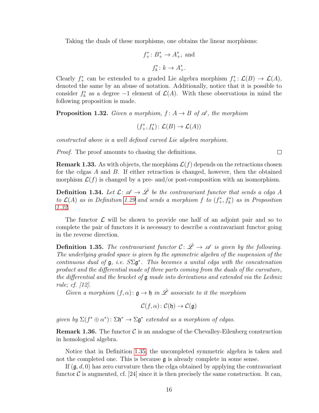Taking the duals of these morphisms, one obtains the linear morphisms:

$$
f_+^*: B_+^* \to A_+^*, \text{ and}
$$

$$
f_k^*: k \to A_+^*.
$$

Clearly  $f^*_+$  can be extended to a graded Lie algebra morphism  $f^*_+ : \mathcal{L}(B) \to \mathcal{L}(A)$ , denoted the same by an abuse of notation. Additionally, notice that it is possible to consider  $f_k^*$  as a degree -1 element of  $\mathcal{L}(A)$ . With these observations in mind the following proposition is made.

<span id="page-21-0"></span>**Proposition 1.32.** Given a morphism,  $f: A \rightarrow B$  of  $\mathscr A$ , the morphism

$$
(f^*_+, f^*_k) \colon \mathcal{L}(B) \to \mathcal{L}(A))
$$

constructed above is a well defined curved Lie algebra morphism.

Proof. The proof amounts to chasing the definitions.

**Remark 1.33.** As with objects, the morphism  $\mathcal{L}(f)$  depends on the retractions chosen for the cdgas A and B. If either retraction is changed, however, then the obtained morphism  $\mathcal{L}(f)$  is changed by a pre- and/or post-composition with an isomorphism.

<span id="page-21-2"></span>**Definition 1.34.** Let  $\mathcal{L}: \mathcal{A} \to \hat{\mathcal{L}}$  be the contravariant functor that sends a cdga A to  $\mathcal{L}(A)$  as in Definition [1.29](#page-20-0) and sends a morphism f to  $(f^*, f^*_k)$  as in Proposition [1.32.](#page-21-0)

The functor  $\mathcal L$  will be shown to provide one half of an adjoint pair and so to complete the pair of functors it is necessary to describe a contravariant functor going in the reverse direction.

<span id="page-21-1"></span>**Definition 1.35.** The contravariant functor  $C: \hat{\mathscr{L}} \to \mathscr{A}$  is given by the following. The underlying graded space is given by the symmetric algebra of the suspension of the continuous dual of  $\mathfrak{g},$  i.e.  $S\Sigma \mathfrak{g}^*$ . This becomes a unital cdga with the concatenation product and the differential made of three parts coming from the duals of the curvature, the differential and the bracket of  $\mathfrak g$  made into derivations and extended via the Leibniz rule; cf. [12].

Given a morphism  $(f, \alpha) \colon \mathfrak{g} \to \mathfrak{h}$  in  $\hat{\mathscr{L}}$  associate to it the morphism

$$
\mathcal{C}(f,\alpha): \mathcal{C}(\mathfrak{h}) \to \mathcal{C}(\mathfrak{g})
$$

given by  $\Sigma(f^*\oplus\alpha^*)\colon \Sigma\mathfrak{h}^*\to\Sigma\mathfrak{g}^*$  extended as a morphism of cdgas.

**Remark 1.36.** The functor  $\mathcal{C}$  is an analogue of the Chevalley-Eilenberg construction in homological algebra.

Notice that in Definition [1.35,](#page-21-1) the uncompleted symmetric algebra is taken and not the completed one. This is because  $\mathfrak g$  is already complete in some sense.

If  $(\mathfrak{g}, d, 0)$  has zero curvature then the cdga obtained by applying the contravariant functor C is augmented, cf. [24] since it is then precisely the same construction. It can,

 $\Box$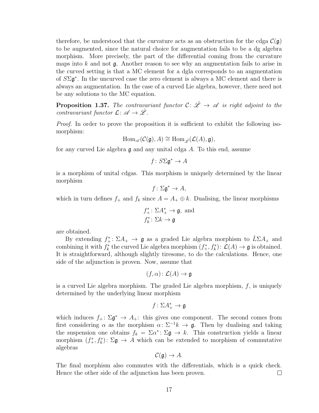therefore, be understood that the curvature acts as an obstruction for the cdga  $\mathcal{C}(\mathfrak{g})$ to be augmented, since the natural choice for augmentation fails to be a dg algebra morphism. More precisely, the part of the differential coming from the curvature maps into k and not  $\mathfrak g$ . Another reason to see why an augmentation fails to arise in the curved setting is that a MC element for a dgla corresponds to an augmentation of  $S\Sigma\mathfrak{g}^*$ . In the uncurved case the zero element is always a MC element and there is always an augmentation. In the case of a curved Lie algebra, however, there need not be any solutions to the MC equation.

<span id="page-22-1"></span>**Proposition 1.37.** The contravariant functor  $C: \hat{\mathscr{L}} \to \mathscr{A}$  is right adjoint to the contravariant functor  $\mathcal{L}: \mathscr{A} \to \hat{\mathscr{L}}$ .

*Proof.* In order to prove the proposition it is sufficient to exhibit the following isomorphism:

$$
\text{Hom}_{\mathscr{A}}(\mathcal{C}(\mathfrak{g}), A) \cong \text{Hom}_{\hat{\mathscr{L}}}(\mathcal{L}(A), \mathfrak{g}),
$$

for any curved Lie algebra g and any unital cdga A. To this end, assume

 $f: S\Sigma \mathfrak{g}^* \to A$ 

is a morphism of unital cdgas. This morphism is uniquely determined by the linear morphism

 $f: \Sigma \mathfrak{g}^* \to A$ ,

which in turn defines  $f_+$  and  $f_k$  since  $A = A_+ \oplus k$ . Dualising, the linear morphisms

$$
f_+^* \colon \Sigma A_+^* \to \mathfrak{g}, \text{ and}
$$
  

$$
f_k^* \colon \Sigma k \to \mathfrak{g}
$$

are obtained.

By extending  $f_+^* \colon \Sigma A_+ \to \mathfrak{g}$  as a graded Lie algebra morphism to  $\hat{L} \Sigma A_+$  and combining it with  $f_k^*$  the curved Lie algebra morphism  $(f_+^*, f_k^*)\colon \mathcal{L}(A) \to \mathfrak{g}$  is obtained. It is straightforward, although slightly tiresome, to do the calculations. Hence, one side of the adjunction is proven. Now, assume that

$$
(f, \alpha) \colon \mathcal{L}(A) \to \mathfrak{g}
$$

is a curved Lie algebra morphism. The graded Lie algebra morphism,  $f$ , is uniquely determined by the underlying linear morphism

$$
f\colon\Sigma A_+^*\to\mathfrak{g}
$$

which induces  $f_+ : \Sigma \mathfrak{g}^* \to A_+$ : this gives one component. The second comes from first considering  $\alpha$  as the morphism  $\alpha: \Sigma^{-1}k \to \mathfrak{g}$ . Then by dualising and taking the suspension one obtains  $f_k = \Sigma \alpha^* \colon \Sigma \mathfrak{g} \to k$ . This construction yields a linear morphism  $(f^*_+, f^*_k): \Sigma \mathfrak{g} \to A$  which can be extended to morphism of commutative algebras

$$
\mathcal{C}(\mathfrak{g}) \to A.
$$

<span id="page-22-0"></span>The final morphism also commutes with the differentials, which is a quick check. Hence the other side of the adjunction has been proven.  $\Box$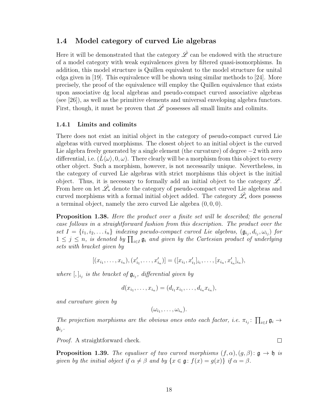#### 1.4 Model category of curved Lie algebras

Here it will be demonstrated that the category  $\hat{\mathscr{L}}$  can be endowed with the structure of a model category with weak equivalences given by filtered quasi-isomorphisms. In addition, this model structure is Quillen equivalent to the model structure for unital cdga given in [19]. This equivalence will be shown using similar methods to [24]. More precisely, the proof of the equivalence will employ the Quillen equivalence that exists upon associative dg local algebras and pseudo-compact curved associative algebras (see [26]), as well as the primitive elements and universal enveloping algebra functors. First, though, it must be proven that  $\hat{\mathscr{L}}$  possesses all small limits and colimits.

#### <span id="page-23-0"></span>1.4.1 Limits and colimits

There does not exist an initial object in the category of pseudo-compact curved Lie algebras with curved morphisms. The closest object to an initial object is the curved Lie algebra freely generated by a single element (the curvature) of degree −2 with zero differential, i.e.  $(L\langle \omega \rangle, 0, \omega)$ . There clearly will be a morphism from this object to every other object. Such a morphism, however, is not necessarily unique. Nevertheless, in the category of curved Lie algebras with strict morphisms this object is the initial object. Thus, it is necessary to formally add an initial object to the category  $\mathscr{L}$ . From here on let  $\hat{\mathscr{L}}_*$  denote the category of pseudo-compact curved Lie algebras and curved morphisms with a formal initial object added. The category  $\hat{\mathscr{L}}_*$  does possess a terminal object, namely the zero curved Lie algebra  $(0, 0, 0)$ .

**Proposition 1.38.** Here the product over a finite set will be described; the general case follows in a straightforward fashion from this description. The product over the set  $I = \{i_1, i_2, \ldots i_n\}$  indexing pseudo-compact curved Lie algebras,  $(\mathfrak{g}_{i_j}, d_{i_j}, \omega_{i_j})$  for  $1 \leq j \leq n$ , is denoted by  $\prod_{i \in I} \mathfrak{g}_i$  and given by the Cartesian product of underlying sets with bracket given by

$$
[(x_{i_1},\ldots,x_{i_n}), (x'_{i_1},\ldots,x'_{i_n})] = ([x_{i_1},x'_{i_1}]_{i_1},\ldots,[x_{i_n},x'_{i_n}]_{i_n}),
$$

where  $[,]_{i_j}$  is the bracket of  $\mathfrak{g}_{i_j}$ , differential given by

$$
d(x_{i_1},\ldots,x_{i_n})=(d_{i_1}x_{i_1},\ldots,d_{i_n}x_{i_n}),
$$

and curvature given by

$$
(\omega_{i_1},\ldots,\omega_{i_n}).
$$

The projection morphisms are the obvious ones onto each factor, i.e.  $\pi_{i_j} \colon \prod_{i \in I} \mathfrak{g}_i \to$  $\mathfrak{g}_{i_j}$  .

 $\Box$ 

Proof. A straightforward check.

**Proposition 1.39.** The equaliser of two curved morphisms  $(f, \alpha)$ ,  $(g, \beta)$ :  $g \rightarrow \mathfrak{h}$  is given by the initial object if  $\alpha \neq \beta$  and by  $\{x \in \mathfrak{g}: f(x) = g(x)\}\$ if  $\alpha = \beta$ .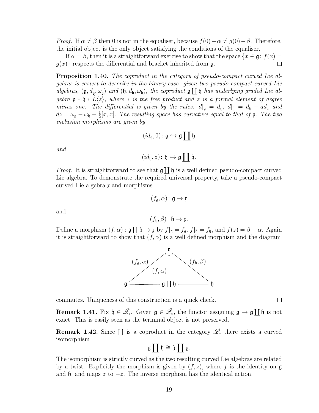$(f_h, \beta)$ :  $\mathfrak{h} \to \mathfrak{x}$ . Define a morphism  $(f, \alpha) : \mathfrak{g} \coprod \mathfrak{h} \to \mathfrak{x}$  by  $f|_{\mathfrak{g}} = f_{\mathfrak{g}}, f|_{\mathfrak{h}} = f_{\mathfrak{h}},$  and  $f(z) = \beta - \alpha$ . Again

<span id="page-24-1"></span>

**Remark 1.42.** Since  $\coprod$  is a coproduct in the category  $\hat{\mathscr{L}}_*$  there exists a curved isomorphism

$$
\mathfrak{g}\coprod\mathfrak{h}\cong\mathfrak{h}\coprod\mathfrak{g}.
$$

The isomorphism is strictly curved as the two resulting curved Lie algebras are related by a twist. Explicitly the morphism is given by  $(f, z)$ , where f is the identity on g and h, and maps z to  $-z$ . The inverse morphism has the identical action.

*Proof.* If  $\alpha \neq \beta$  then 0 is not in the equaliser, because  $f(0) - \alpha \neq g(0) - \beta$ . Therefore, the initial object is the only object satisfying the conditions of the equaliser.

If  $\alpha = \beta$ , then it is a straightforward exercise to show that the space  $\{x \in \mathfrak{g} : f(x) =$  $g(x)$  respects the differential and bracket inherited from g.  $\Box$ 

<span id="page-24-0"></span>Proposition 1.40. The coproduct in the category of pseudo-compact curved Lie algebras is easiest to describe in the binary case: given two pseudo-compact curved Lie algebras,  $(\mathfrak{g}, d_{\mathfrak{g}}, \omega_{\mathfrak{g}})$  and  $(\mathfrak{h}, d_{\mathfrak{h}}, \omega_{\mathfrak{h}})$ , the coproduct  $\mathfrak{g} \coprod \mathfrak{h}$  has underlying graded Lie algebra  $\mathfrak{g} * \mathfrak{h} * L\langle z \rangle$ , where  $*$  is the free product and z is a formal element of degree minus one. The differential is given by the rules:  $d|_{\mathfrak{g}} = d_{\mathfrak{g}}, d|_{\mathfrak{h}} = d_{\mathfrak{h}} - ad_z$  and  $dz = \omega_{\mathfrak{g}} - \omega_{\mathfrak{h}} + \frac{1}{2}$  $\frac{1}{2}[x, x]$ . The resulting space has curvature equal to that of **g**. The two inclusion morphisms are given by

 $(id_{\mathfrak{g}},0) \colon \mathfrak{g} \hookrightarrow \mathfrak{g} \coprod \mathfrak{h}$ 

$$
(id_{\mathfrak{h}}, z) \colon \mathfrak{h} \hookrightarrow \mathfrak{g} \coprod \mathfrak{h}.
$$

*Proof.* It is straightforward to see that 
$$
\mathfrak{g} \coprod \mathfrak{h}
$$
 is a well defined pseudo-compact curved Lie algebra. To demonstrate the required universal property, take a pseudo-compact curved Lie algebra  $\mathfrak{x}$  and morphisms

 $(f_{\mathfrak{a}}, \alpha)$ :  $\mathfrak{g} \to \mathfrak{x}$ 

$$
(f_{\mathfrak{g}}, \alpha) \qquad \qquad f_{\mathfrak{h}}, \beta)
$$
\n
$$
\mathfrak{g} \xrightarrow{\mathfrak{g}} \mathfrak{g} \mathsf{T} \mathfrak{h} \xrightarrow{\mathfrak{g}} \mathfrak{h}
$$

commutes. Uniqueness of this construction is a quick check.

exact. This is easily seen as the terminal object is not preserved.

and

and

it is straightforward to show that  $(f, \alpha)$  is a well defined morphism and the diagram



 $\Box$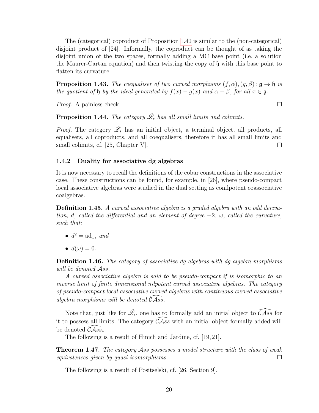The (categorical) coproduct of Proposition [1.40](#page-24-0) is similar to the (non-categorical) disjoint product of [24]. Informally, the coproduct can be thought of as taking the disjoint union of the two spaces, formally adding a MC base point (i.e. a solution the Maurer-Cartan equation) and then twisting the copy of h with this base point to flatten its curvature.

**Proposition 1.43.** The coequaliser of two curved morphisms  $(f, \alpha)$ ,  $(g, \beta)$ :  $g \rightarrow \mathfrak{h}$  is the quotient of h by the ideal generated by  $f(x) - g(x)$  and  $\alpha - \beta$ , for all  $x \in \mathfrak{g}$ .

Proof. A painless check.

**Proposition 1.44.** The category  $\hat{\mathscr{L}}_*$  has all small limits and colimits.

*Proof.* The category  $\hat{\mathscr{L}}_*$  has an initial object, a terminal object, all products, all equalisers, all coproducts, and all coequalisers, therefore it has all small limits and small colimits, cf. [25, Chapter V].  $\Box$ 

#### <span id="page-25-0"></span>1.4.2 Duality for associative dg algebras

It is now necessary to recall the definitions of the cobar constructions in the associative case. These constructions can be found, for example, in [26], where pseudo-compact local associative algebras were studied in the dual setting as conilpotent coassociative coalgebras.

Definition 1.45. A curved associative algebra is a graded algebra with an odd derivation, d, called the differential and an element of degree  $-2$ ,  $\omega$ , called the curvature, such that:

- $d^2 = \mathrm{ad}_{\omega}$ , and
- $d(\omega) = 0$ .

Definition 1.46. The category of associative dg algebras with dg algebra morphisms will be denoted Ass.

A curved associative algebra is said to be pseudo-compact if is isomorphic to an inverse limit of finite dimensional nilpotent curved associative algebras. The category of pseudo-compact local associative curved algebras with continuous curved associative algebra morphisms will be denoted  $\widetilde{C} \widetilde{Ass}$ .

Note that, just like for  $\hat{\mathscr{L}}_*$ , one has to formally add an initial object to  $\widehat{\mathcal{C} \mathcal{A}ss}$  for it to possess all limits. The category  $\widehat{C\mathcal{A}ss}$  with an initial object formally added will be denoted  $\mathcal{C}Ass_*$ .

The following is a result of Hinich and Jardine, cf. [19, 21].

**Theorem 1.47.** The category Ass possesses a model structure with the class of weak equivalences given by quasi-isomorphisms.  $\Box$ 

The following is a result of Positselski, cf. [26, Section 9].

 $\Box$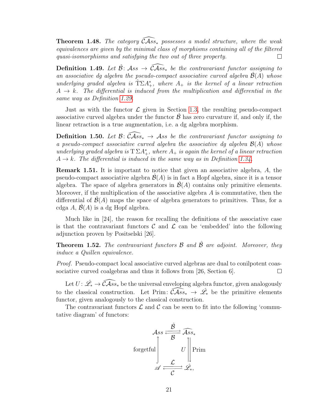**Theorem 1.48.** The category  $\widehat{CAss}_*$  possesses a model structure, where the weak equivalences are given by the minimal class of morphisms containing all of the filtered quasi-isomorphisms and satisfying the two out of three property.  $\Box$ 

**Definition 1.49.** Let  $\hat{\mathcal{B}}$ : Ass  $\rightarrow$   $\widehat{\mathcal{C}}$ Ass<sub>\*</sub> be the contravariant functor assigning to an associative dg algebra the pseudo-compact associative curved algebra  $\hat{\mathcal{B}}(A)$  whose underlying graded algebra is  $\hat{T}\Sigma A_{+}^{*}$ , where  $A_{+}$  is the kernel of a linear retraction  $A \rightarrow k$ . The differential is induced from the multiplication and differential in the same way as Definition [1.29.](#page-20-0)

Just as with the functor  $\mathcal L$  given in Section [1.3,](#page-19-1) the resulting pseudo-compact associative curved algebra under the functor  $\beta$  has zero curvature if, and only if, the linear retraction is a true augmentation, i.e. a dg algebra morphism.

Definition 1.50. Let  $\mathcal{B}: \widehat{\mathcal{C}Ass_*} \to Ass$  be the contravariant functor assigning to a pseudo-compact associative curved algebra the associative dg algebra  $\mathcal{B}(A)$  whose underlying graded algebra is  $T \Sigma A_{+}^{*}$ , where  $A_{+}$  is again the kernel of a linear retraction  $A \rightarrow k$ . The differential is induced in the same way as in Definition [1.34.](#page-21-2)

Remark 1.51. It is important to notice that given an associative algebra, A, the pseudo-compact associative algebra  $\mathcal{B}(A)$  is in fact a Hopf algebra, since it is a tensor algebra. The space of algebra generators in  $\mathcal{B}(A)$  contains only primitive elements. Moreover, if the multiplication of the associative algebra  $A$  is commutative, then the differential of  $\mathcal{B}(A)$  maps the space of algebra generators to primitives. Thus, for a cdga A,  $\mathcal{B}(A)$  is a dg Hopf algebra.

Much like in [24], the reason for recalling the definitions of the associative case is that the contravariant functors  $\mathcal C$  and  $\mathcal L$  can be 'embedded' into the following adjunction proven by Positselski [26].

**Theorem 1.52.** The contravariant functors  $\beta$  and  $\hat{\beta}$  are adjoint. Moreover, they induce a Quillen equivalence.

Proof. Pseudo-compact local associative curved algebras are dual to conilpotent coassociative curved coalgebras and thus it follows from [26, Section 6].  $\Box$ 

Let  $U\colon \hat{\mathscr{L}_*}\to \widehat{\mathcal{C} \mathcal{A}ss_*}$  be the universal enveloping algebra functor, given analogously to the classical construction. Let Prim:  $\widehat{C\mathcal{A}ss_{*}} \to \mathcal{L}_{*}$  be the primitive elements functor, given analogously to the classical construction.

The contravariant functors  $\mathcal L$  and  $\mathcal C$  can be seen to fit into the following 'commutative diagram' of functors:

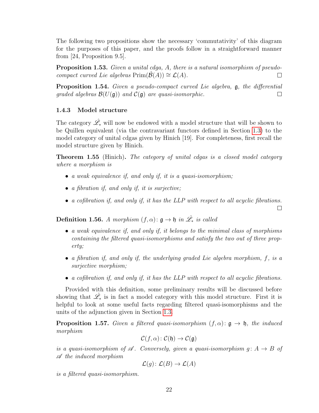The following two propositions show the necessary 'commutativity' of this diagram for the purposes of this paper, and the proofs follow in a straightforward manner from [24, Proposition 9.5].

Proposition 1.53. Given a unital cdga, A, there is a natural isomorphism of pseudocompact curved Lie algebras  $Prim(\hat{\mathcal{B}}(A)) \cong \mathcal{L}(A)$ .  $\Box$ 

<span id="page-27-1"></span>Proposition 1.54. Given a pseudo-compact curved Lie algebra,  $\mathfrak{g}$ , the differential graded algebras  $\mathcal{B}(U(\mathfrak{g}))$  and  $\mathcal{C}(\mathfrak{g})$  are quasi-isomorphic.  $\Box$ 

#### <span id="page-27-0"></span>1.4.3 Model structure

The category  $\hat{\mathscr{L}}_*$  will now be endowed with a model structure that will be shown to be Quillen equivalent (via the contravariant functors defined in Section [1.3\)](#page-19-1) to the model category of unital cdgas given by Hinich [19]. For completeness, first recall the model structure given by Hinich.

Theorem 1.55 (Hinich). The category of unital cdgas is a closed model category where a morphism is

- a weak equivalence if, and only if, it is a quasi-isomorphism;
- a fibration if, and only if, it is surjective;
- a cofibration if, and only if, it has the LLP with respect to all acyclic fibrations.

 $\Box$ 

<span id="page-27-3"></span>**Definition 1.56.** A morphism  $(f, \alpha)$ :  $\mathfrak{g} \to \mathfrak{h}$  in  $\hat{\mathscr{L}}_*$  is called

- a weak equivalence if, and only if, it belongs to the minimal class of morphisms containing the filtered quasi-isomorphisms and satisfy the two out of three property;
- a fibration if, and only if, the underlying graded Lie algebra morphism,  $f$ , is a surjective morphism;
- a cofibration if, and only if, it has the LLP with respect to all acyclic fibrations.

Provided with this definition, some preliminary results will be discussed before showing that  $\hat{\mathscr{L}}_*$  is in fact a model category with this model structure. First it is helpful to look at some useful facts regarding filtered quasi-isomorphisms and the units of the adjunction given in Section [1.3.](#page-19-1)

<span id="page-27-2"></span>**Proposition 1.57.** Given a filtered quasi-isomorphism  $(f, \alpha)$ :  $g \rightarrow f$ , the induced morphism

$$
\mathcal{C}(f,\alpha)\colon \mathcal{C}(\mathfrak{h})\to \mathcal{C}(\mathfrak{g})
$$

is a quasi-isomorphism of  $\mathscr A$ . Conversely, given a quasi-isomorphism  $g: A \to B$  of A the induced morphism

$$
\mathcal{L}(g) \colon \mathcal{L}(B) \to \mathcal{L}(A)
$$

is a filtered quasi-isomorphism.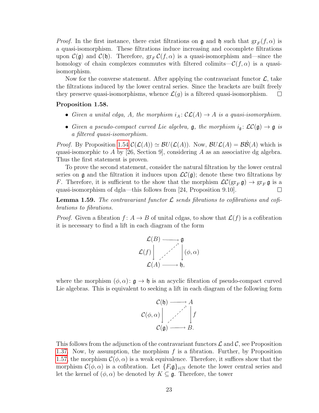*Proof.* In the first instance, there exist filtrations on  $\mathfrak{g}$  and  $\mathfrak{h}$  such that  $gr_F(f, \alpha)$  is a quasi-isomorphism. These filtrations induce increasing and cocomplete filtrations upon  $\mathcal{C}(\mathfrak{g})$  and  $\mathcal{C}(\mathfrak{h})$ . Therefore,  $gr_F \mathcal{C}(f,\alpha)$  is a quasi-isomorphism and—since the homology of chain complexes commutes with filtered colimits— $\mathcal{C}(f,\alpha)$  is a quasiisomorphism.

Now for the converse statement. After applying the contravariant functor  $\mathcal{L}$ , take the filtrations induced by the lower central series. Since the brackets are built freely they preserve quasi-isomorphisms, whence  $\mathcal{L}(g)$  is a filtered quasi-isomorphism.  $\Box$ 

#### Proposition 1.58.

- Given a unital cdga, A, the morphism  $i_A : \mathcal{CL}(A) \to A$  is a quasi-isomorphism.
- Given a pseudo-compact curved Lie algebra,  $\mathfrak{g}$ , the morphism  $i_{\mathfrak{g}}: \mathcal{LC}(\mathfrak{g}) \to \mathfrak{g}$  is a filtered quasi-isomorphism.

*Proof.* By Proposition [1.54](#page-27-1)  $\mathcal{C}(\mathcal{L}(A)) \simeq \mathcal{B}U(\mathcal{L}(A))$ . Now,  $\mathcal{B}U\mathcal{L}(A) = \mathcal{B}\mathcal{B}(A)$  which is quasi-isomorphic to A by [26, Section 9], considering A as an associative dg algebra. Thus the first statement is proven.

To prove the second statement, consider the natural filtration by the lower central series on g and the filtration it induces upon  $\mathcal{LC}(\mathfrak{g})$ ; denote these two filtrations by F. Therefore, it is sufficient to the show that the morphism  $\mathcal{LC}(\text{gr}_F \mathfrak{g}) \to \text{gr}_F \mathfrak{g}$  is a quasi-isomorphism of dgla—this follows from [24, Proposition 9.10].  $\Box$ 

<span id="page-28-0"></span>**Lemma 1.59.** The contravariant functor  $\mathcal{L}$  sends fibrations to cofibrations and cofibrations to fibrations.

*Proof.* Given a fibration  $f: A \rightarrow B$  of unital cdgas, to show that  $\mathcal{L}(f)$  is a cofibration it is necessary to find a lift in each diagram of the form



where the morphism  $(\phi, \alpha)$ :  $\mathfrak{g} \to \mathfrak{h}$  is an acyclic fibration of pseudo-compact curved Lie algebras. This is equivalent to seeking a lift in each diagram of the following form



This follows from the adjunction of the contravariant functors  $\mathcal L$  and  $\mathcal C$ , see Proposition [1.37.](#page-22-1) Now, by assumption, the morphism  $f$  is a fibration. Further, by Proposition [1.57,](#page-27-2) the morphism  $\mathcal{C}(\phi,\alpha)$  is a weak equivalence. Therefore, it suffices show that the morphism  $\mathcal{C}(\phi,\alpha)$  is a cofibration. Let  $\{F_i\mathfrak{g}\}_{i\in\mathbb{N}}$  denote the lower central series and let the kernel of  $(\phi, \alpha)$  be denoted by  $K \subseteq \mathfrak{g}$ . Therefore, the tower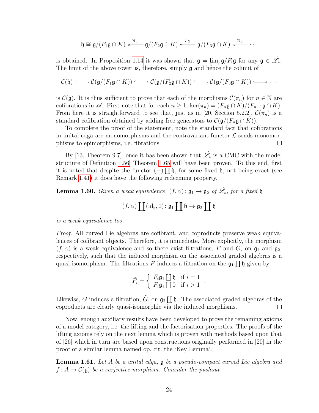$$
\mathfrak{h} \cong \mathfrak{g}/(F_1\mathfrak{g} \cap K) \stackrel{\pi_1}{\longleftarrow} \mathfrak{g}/(F_2\mathfrak{g} \cap K) \stackrel{\pi_2}{\longleftarrow} \mathfrak{g}/(F_3\mathfrak{g} \cap K) \stackrel{\pi_3}{\longleftarrow} \cdots
$$

is obtained. In Proposition [1.14](#page-16-0) it was shown that  $\mathfrak{g} = \varprojlim_{i} \mathfrak{g}/F_i \mathfrak{g}$  for any  $\mathfrak{g} \in \hat{\mathscr{L}}_*$ . The limit of the above tower is, therefore, simply g and hence the colimit of

$$
\mathcal{C}(\mathfrak{h}) \longrightarrow \mathcal{C}(\mathfrak{g}/(F_1\mathfrak{g}\cap K)) \longrightarrow \mathcal{C}(\mathfrak{g}/(F_2\mathfrak{g}\cap K)) \longrightarrow \mathcal{C}(\mathfrak{g}/(F_3\mathfrak{g}\cap K)) \longrightarrow \cdots
$$

is  $\mathcal{C}(\mathfrak{g})$ . It is thus sufficient to prove that each of the morphisms  $\mathcal{C}(\pi_n)$  for  $n \in \mathbb{N}$  are cofibrations in  $\mathscr A$ . First note that for each  $n \geq 1$ , ker $(\pi_n) = (F_n \mathfrak{g} \cap K)/(F_{n+1} \mathfrak{g} \cap K)$ . From here it is straightforward to see that, just as in [20, Section 5.2.2],  $\mathcal{C}(\pi_n)$  is a standard cofibration obtained by adding free generators to  $\mathcal{C}(\mathfrak{g}/(F_n\mathfrak{g}\cap K))$ .

To complete the proof of the statement, note the standard fact that cofibrations in unital cdga are monomorphisms and the contravariant functor  $\mathcal L$  sends monomorphisms to epimorphisms, i.e. fibrations.  $\Box$ 

By [13, Theorem 9.7], once it has been shown that  $\hat{\mathscr{L}}_*$  is a CMC with the model structure of Definition [1.56,](#page-27-3) Theorem [1.65](#page-33-0) will have been proven. To this end, first it is noted that despite the functor  $(-)$  [[b, for some fixed b, not being exact (see Remark [1.41\)](#page-24-1) it does have the following redeeming property.

**Lemma 1.60.** Given a weak equivalence,  $(f, \alpha)$ :  $\mathfrak{g}_1 \to \mathfrak{g}_2$  of  $\hat{\mathscr{L}}_*$ , for a fixed  $\mathfrak{h}$ 

$$
(f,\alpha) \coprod (\mathrm{id}_{\mathfrak{h}},0) \colon \mathfrak{g}_1 \coprod \mathfrak{h} \to \mathfrak{g}_2 \coprod \mathfrak{h}
$$

is a weak equivalence too.

Proof. All curved Lie algebras are cofibrant, and coproducts preserve weak equivalences of cofibrant objects. Therefore, it is immediate. More explicitly, the morphism  $(f, \alpha)$  is a weak equivalence and so there exist filtrations, F and G, on  $\mathfrak{g}_1$  and  $\mathfrak{g}_2$ , respectively, such that the induced morphism on the associated graded algebras is a quasi-isomorphism. The filtrations F induces a filtration on the  $\mathfrak{g}_1 \coprod \mathfrak{h}$  given by

$$
\tilde{F}_i = \left\{ \begin{array}{ll} F_i \mathfrak{g}_1 \coprod \mathfrak{h} & \text{if } i = 1 \\ F_i \mathfrak{g}_1 \coprod 0 & \text{if } i > 1 \end{array} \right.
$$

.

Likewise, G induces a filtration,  $\tilde{G}$ , on  $\mathfrak{g}_2 \coprod \mathfrak{h}$ . The associated graded algebras of the coproducts are clearly quasi-isomorphic via the induced morphisms.  $\Box$ 

Now, enough auxiliary results have been developed to prove the remaining axioms of a model category, i.e. the lifting and the factorisation properties. The proofs of the lifting axioms rely on the next lemma which is proven with methods based upon that of [26] which in turn are based upon constructions originally performed in [20] in the proof of a similar lemma named op. cit. the 'Key Lemma'.

<span id="page-29-0"></span>Lemma 1.61. Let A be a unital cdga,  $\mathfrak g$  be a pseudo-compact curved Lie algebra and  $f: A \to C(\mathfrak{g})$  be a surjective morphism. Consider the pushout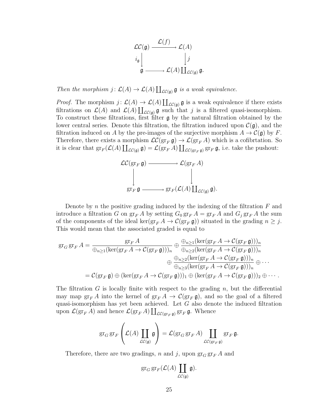

Then the morphism  $j: \mathcal{L}(A) \to \mathcal{L}(A) \coprod_{\mathcal{LC}(\mathfrak{g})} \mathfrak{g}$  is a weak equivalence.

*Proof.* The morphism  $j: \mathcal{L}(A) \to \mathcal{L}(A) \coprod_{\mathcal{LC}(\mathfrak{g})} \mathfrak{g}$  is a weak equivalence if there exists filtrations on  $\mathcal{L}(A)$  and  $\mathcal{L}(A) \coprod_{\mathcal{LC}(\mathfrak{g})} \mathfrak{g}$  such that j is a filtered quasi-isomorphism. To construct these filtrations, first filter  $\frak{g}$  by the natural filtration obtained by the lower central series. Denote this filtration, the filtration induced upon  $\mathcal{C}(\mathfrak{g})$ , and the filtration induced on A by the pre-images of the surjective morphism  $A \to \mathcal{C}(\mathfrak{g})$  by F. Therefore, there exists a morphism  $\mathcal{LC}(\text{gr}_F \mathfrak{g}) \to \mathcal{L}(\text{gr}_F A)$  which is a cofibrtation. So it is clear that  $\operatorname{gr}_F(\mathcal{L}(A) \coprod_{\mathcal{LC}(\mathfrak{g})} \mathfrak{g}) = \mathcal{L}(\operatorname{gr}_F A) \coprod_{\mathcal{LC}(\operatorname{gr}_F \mathfrak{g})} \operatorname{gr}_F \mathfrak{g}$ , i.e. take the pushout:



Denote by n the positive grading induced by the indexing of the filtration  $F$  and introduce a filtration G on  $gr_F A$  by setting  $G_0 gr_F A = gr_F A$  and  $G_j gr_F A$  the sum of the components of the ideal ker( $gr_F A \to C(gr_F \mathfrak{g})$ ) situated in the grading  $n \geq j$ . This would mean that the associated graded is equal to

$$
\mathrm{gr}_G \, \mathrm{gr}_F \, A = \frac{\mathrm{gr}_F \, A}{\bigoplus_{n\geq 1} (\ker(\mathrm{gr}_F A \to \mathcal{C}(\mathrm{gr}_F \mathfrak{g})))_n} \oplus \frac{\bigoplus_{n\geq 1} (\ker(\mathrm{gr}_F A \to \mathcal{C}(\mathrm{gr}_F \mathfrak{g})))_n}{\bigoplus_{n\geq 2} (\ker(\mathrm{gr}_F A \to \mathcal{C}(\mathrm{gr}_F \mathfrak{g})))_n}
$$

$$
\oplus \frac{\bigoplus_{n\geq 2} (\ker(\mathrm{gr}_F A \to \mathcal{C}(\mathrm{gr}_F \mathfrak{g})))_n}{\bigoplus_{n\geq 3} (\ker(\mathrm{gr}_F A \to \mathcal{C}(\mathrm{gr}_F \mathfrak{g})))_n} \oplus \cdots
$$

$$
= \mathcal{C}(\mathrm{gr}_F \mathfrak{g}) \oplus (\ker(\mathrm{gr}_F A \to \mathcal{C}(\mathrm{gr}_F \mathfrak{g})))_1 \oplus (\ker(\mathrm{gr}_F A \to \mathcal{C}(\mathrm{gr}_F \mathfrak{g})))_2 \oplus \cdots.
$$

The filtration G is locally finite with respect to the grading n, but the differential may map  $\operatorname{gr}_F A$  into the kernel of  $\operatorname{gr}_F A \to \mathcal{C}(\operatorname{gr}_F \mathfrak{g})$ , and so the goal of a filtered quasi-isomorphism has yet been achieved. Let  $G$  also denote the induced filtration upon  $\mathcal{L}(\operatorname{gr}_F A)$  and hence  $\mathcal{L}(\operatorname{gr}_F A) \coprod_{\mathcal{LC}(\operatorname{gr}_F \mathfrak{g})} \operatorname{gr}_F \mathfrak{g}$ . Whence

$$
\operatorname{gr}_G \operatorname{gr}_F \left( \mathcal{L}(A) \coprod_{\mathcal{L}(\mathfrak{g})} \mathfrak{g} \right) = \mathcal{L}(\operatorname{gr}_G \operatorname{gr}_F A) \coprod_{\mathcal{L}(\operatorname{gr}_F \mathfrak{g})} \operatorname{gr}_F \mathfrak{g}.
$$

Therefore, there are two gradings, n and j, upon  $\operatorname{gr}_G \operatorname{gr}_F A$  and

$$
\operatorname{gr}_G \operatorname{gr}_F(\mathcal{L}(A) \coprod_{\mathcal{LC}(\mathfrak{g})} \mathfrak{g}).
$$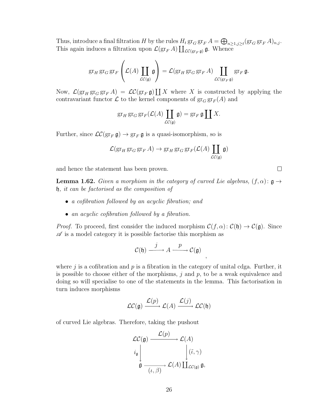Thus, introduce a final filtration H by the rules  $H_t$   $\operatorname{gr}_G \operatorname{gr}_F A = \bigoplus_{n \geq 1, j \geq t} (\operatorname{gr}_G \operatorname{gr}_F A)_{n,j}$ . This again induces a filtration upon  $\mathcal{L}(\text{gr}_F A) \coprod_{\mathcal{LC}(\text{gr}_F \mathfrak{g})} \mathfrak{g}$ . Whence

$$
\operatorname{gr}_H \operatorname{gr}_G \operatorname{gr}_F \left( \mathcal{L}(A) \coprod_{\mathcal{LC}(\mathfrak{g})} \mathfrak{g} \right) = \mathcal{L}(\operatorname{gr}_H \operatorname{gr}_G \operatorname{gr}_F A) \coprod_{\mathcal{LC}(\operatorname{gr}_F \mathfrak{g})} \operatorname{gr}_F \mathfrak{g}.
$$

Now,  $\mathcal{L}(\operatorname{gr}_H \operatorname{gr}_G \operatorname{gr}_F A) = \mathcal{L}C(\operatorname{gr}_F \mathfrak{g}) \coprod X$  where X is constructed by applying the contravariant functor  $\mathcal L$  to the kernel components of  $\operatorname{gr}_G \operatorname{gr}_F(A)$  and

$$
\operatorname{gr}_H \operatorname{gr}_G \operatorname{gr}_F(\mathcal{L}(A) \coprod_{\mathcal{L}(\mathfrak{g})} \mathfrak{g}) = \operatorname{gr}_F \mathfrak{g} \coprod X.
$$

Further, since  $LC(\operatorname{gr}_F \mathfrak{g}) \to \operatorname{gr}_F \mathfrak{g}$  is a quasi-isomorphism, so is

$$
\mathcal{L}(\operatorname{gr}_H \operatorname{gr}_G \operatorname{gr}_F A) \to \operatorname{gr}_H \operatorname{gr}_G \operatorname{gr}_F(\mathcal{L}(A) \coprod_{\mathcal{L}(\mathfrak{g})} \mathfrak{g})
$$

and hence the statement has been proven.

<span id="page-31-0"></span>**Lemma 1.62.** Given a morphism in the category of curved Lie algebras,  $(f, \alpha)$ :  $g \rightarrow$ h, it can be factorised as the composition of

- a cofibration followed by an acyclic fibration; and
- an acyclic cofibration followed by a fibration.

*Proof.* To proceed, first consider the induced morphism  $\mathcal{C}(f, \alpha)$ :  $\mathcal{C}(\mathfrak{h}) \to \mathcal{C}(\mathfrak{g})$ . Since  $\mathscr A$  is a model category it is possible factorise this morphism as

$$
\mathcal{C}(\mathfrak{h}) \xrightarrow{j} A \xrightarrow{p} \mathcal{C}(\mathfrak{g})
$$

,

 $\Box$ 

where  $j$  is a cofibration and  $p$  is a fibration in the category of unital cdga. Further, it is possible to choose either of the morphisms,  $j$  and  $p$ , to be a weak equivalence and doing so will specialise to one of the statements in the lemma. This factorisation in turn induces morphisms

$$
\mathcal{LC}(\mathfrak{g}) \xrightarrow{\mathcal{L}(p)} \mathcal{L}(A) \xrightarrow{\mathcal{L}(j)} \mathcal{LC}(\mathfrak{h})
$$

of curved Lie algebras. Therefore, taking the pushout

$$
\mathcal{LC}(\mathfrak{g}) \xrightarrow{\mathcal{L}(p)} \mathcal{L}(A)
$$
\n
$$
i_{\mathfrak{g}} \downarrow \qquad \qquad \downarrow (\tilde{\iota}, \gamma)
$$
\n
$$
\mathfrak{g} \xrightarrow{\mathcal{L}(A)} \mathcal{L}(A) \coprod_{\mathcal{LC}(\mathfrak{g})} \mathfrak{g},
$$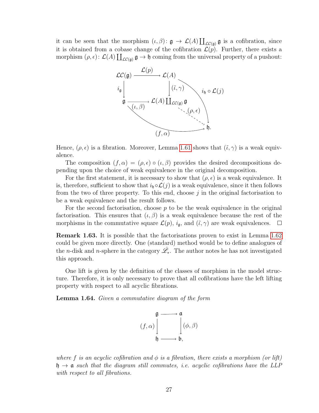it can be seen that the morphism  $(\iota, \beta) : \mathfrak{g} \to \mathcal{L}(A) \coprod_{\mathcal{LC}(\mathfrak{g})} \mathfrak{g}$  is a cofibration, since it is obtained from a cobase change of the cofibration  $\mathcal{L}(p)$ . Further, there exists a morphism  $(\rho, \epsilon)$ :  $\mathcal{L}(A) \coprod_{\mathcal{LC}(\mathfrak{g})} \mathfrak{g} \to \mathfrak{h}$  coming from the universal property of a pushout:



Hence,  $(\rho, \epsilon)$  is a fibration. Moreover, Lemma [1.61](#page-29-0) shows that  $(\tilde{\iota}, \gamma)$  is a weak equivalence.

The composition  $(f, \alpha) = (\rho, \epsilon) \circ (\iota, \beta)$  provides the desired decompositions depending upon the choice of weak equivalence in the original decomposition.

For the first statement, it is necessary to show that  $(\rho, \epsilon)$  is a weak equivalence. It is, therefore, sufficient to show that  $i_{\mathfrak{h}} \circ \mathcal{L}(j)$  is a weak equivalence, since it then follows from the two of three property. To this end, choose  $j$  in the original factorisation to be a weak equivalence and the result follows.

For the second factorisation, choose  $p$  to be the weak equivalence in the original factorisation. This ensures that  $(\iota, \beta)$  is a weak equivalence because the rest of the morphisms in the commutative square  $\mathcal{L}(p)$ ,  $i_{\mathfrak{g}}$ , and  $(\tilde{\iota}, \gamma)$  are weak equivalences.  $\Box$ 

Remark 1.63. It is possible that the factorisations proven to exist in Lemma [1.62](#page-31-0) could be given more directly. One (standard) method would be to define analogues of the *n*-disk and *n*-sphere in the category  $\hat{\mathscr{L}}_*$ . The author notes he has not investigated this approach.

One lift is given by the definition of the classes of morphism in the model structure. Therefore, it is only necessary to prove that all cofibrations have the left lifting property with respect to all acyclic fibrations.

Lemma 1.64. Given a commutative diagram of the form



where f is an acyclic cofibration and  $\phi$  is a fibration, there exists a morphism (or lift)  $\mathfrak{h} \to \mathfrak{a}$  such that the diagram still commutes, i.e. acyclic cofibrations have the LLP with respect to all fibrations.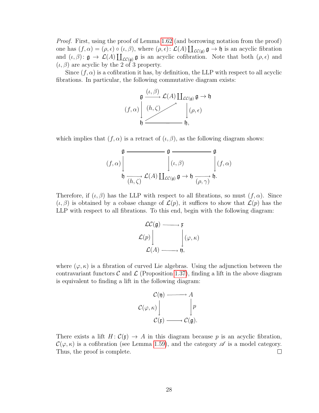Proof. First, using the proof of Lemma [1.62](#page-31-0) (and borrowing notation from the proof) one has  $(f, \alpha) = (\rho, \epsilon) \circ (\iota, \beta)$ , where  $(\rho, \epsilon) : \mathcal{L}(A) \coprod_{\mathcal{LC}(\mathfrak{g})} \mathfrak{g} \to \mathfrak{h}$  is an acyclic fibration and  $(\iota, \beta)$ :  $\mathfrak{g} \to \mathcal{L}(A) \coprod_{\mathcal{LC}(\mathfrak{g})} \mathfrak{g}$  is an acyclic cofibration. Note that both  $(\rho, \epsilon)$  and  $(\iota, \beta)$  are acyclic by the 2 of 3 property.

Since  $(f, \alpha)$  is a cofibration it has, by definition, the LLP with respect to all acyclic fibrations. In particular, the following commutative diagram exists:



which implies that  $(f, \alpha)$  is a retract of  $(\iota, \beta)$ , as the following diagram shows:

$$
\mathfrak{g} \xrightarrow{\mathfrak{g}} \mathfrak{g}
$$
\n
$$
(f, \alpha) \downarrow \qquad \qquad \mathfrak{g} \downarrow \qquad \qquad \mathfrak{g}
$$
\n
$$
\mathfrak{h} \xrightarrow{\mathfrak{h} \to} \mathcal{L}(A) \coprod_{\mathcal{L}C(\mathfrak{g})} \mathfrak{g} \to \mathfrak{h} \xrightarrow{\mathfrak{g} \to} \mathfrak{h}.
$$

Therefore, if  $(\iota, \beta)$  has the LLP with respect to all fibrations, so must  $(f, \alpha)$ . Since  $(\iota, \beta)$  is obtained by a cobase change of  $\mathcal{L}(p)$ , it suffices to show that  $\mathcal{L}(p)$  has the LLP with respect to all fibrations. To this end, begin with the following diagram:



where  $(\varphi, \kappa)$  is a fibration of curved Lie algebras. Using the adjunction between the contravariant functors C and  $\mathcal{L}$  (Proposition [1.37\)](#page-22-1), finding a lift in the above diagram is equivalent to finding a lift in the following diagram:



<span id="page-33-0"></span>There exists a lift  $H: \mathcal{C}(\mathfrak{x}) \to A$  in this diagram because p is an acyclic fibration,  $\mathcal{C}(\varphi,\kappa)$  is a cofibration (see Lemma [1.59\)](#page-28-0), and the category  $\mathscr A$  is a model category. Thus, the proof is complete.  $\Box$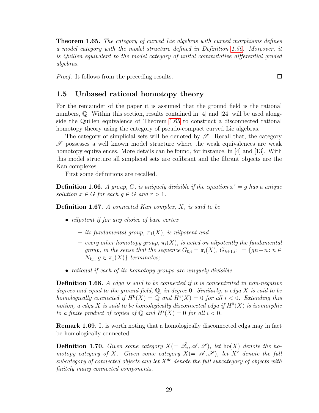**Theorem 1.65.** The category of curved Lie algebras with curved morphisms defines a model category with the model structure defined in Definition [1.56.](#page-27-3) Moreover, it is Quillen equivalent to the model category of unital commutative differential graded algebras.

Proof. It follows from the preceding results.

#### <span id="page-34-0"></span>1.5 Unbased rational homotopy theory

For the remainder of the paper it is assumed that the ground field is the rational numbers, Q. Within this section, results contained in [4] and [24] will be used alongside the Quillen equivalence of Theorem [1.65](#page-33-0) to construct a disconnected rational homotopy theory using the category of pseudo-compact curved Lie algebras.

The category of simplicial sets will be denoted by  $\mathscr{S}$ . Recall that, the category  $\mathscr S$  possesses a well known model structure where the weak equivalences are weak homotopy equivalences. More details can be found, for instance, in [4] and [13]. With this model structure all simplicial sets are cofibrant and the fibrant objects are the Kan complexes.

First some definitions are recalled.

**Definition 1.66.** A group, G, is uniquely divisible if the equation  $x^r = g$  has a unique solution  $x \in G$  for each  $g \in G$  and  $r > 1$ .

**Definition 1.67.** A connected Kan complex,  $X$ , is said to be

- *nilpotent if for any choice of base vertex* 
	- $-$  its fundamental group,  $\pi_1(X)$ , is nilpotent and
	- every other homotopy group,  $\pi_i(X)$ , is acted on nilpotently the fundamental group, in the sense that the sequence  $G_{0,i} = \pi_i(X)$ ,  $G_{k+1,i}$ : = {gn-n: n  $\in$  $N_{k,i}, g \in \pi_1(X)$ } terminates;
- rational if each of its homotopy groups are uniquely divisible.

**Definition 1.68.** A cdga is said to be connected if it is concentrated in non-negative degrees and equal to the ground field,  $\mathbb Q$ , in degree 0. Similarly, a cdga X is said to be homologically connected if  $H^0(X) = \mathbb{Q}$  and  $H^i(X) = 0$  for all  $i < 0$ . Extending this notion, a cdga X is said to be homologically disconnected cdga if  $H^0(X)$  is isomorphic to a finite product of copies of  $\mathbb Q$  and  $H^i(X) = 0$  for all  $i < 0$ .

Remark 1.69. It is worth noting that a homologically disconnected cdga may in fact be homologically connected.

**Definition 1.70.** Given some category  $X (= \hat{\mathscr{L}}_*, \mathscr{A}, \mathscr{S})$ , let ho(X) denote the homotopy category of X. Given some category  $X(=\mathscr{A},\mathscr{S})$ , let  $X^c$  denote the full subcategory of connected objects and let  $X^{\tilde{dc}}$  denote the full subcategory of objects with finitely many connected components.

 $\Box$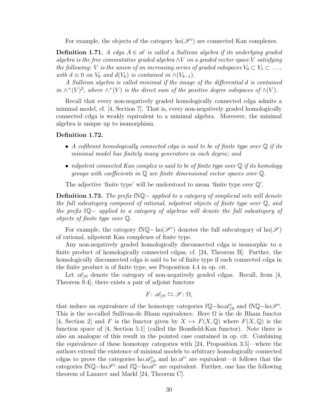For example, the objects of the category  $ho(\mathcal{S}^c)$  are connected Kan complexes.

**Definition 1.71.** A cdga  $A \in \mathcal{A}$  is called a Sullivan algebra if its underlying graded algebra is the free commutative graded algebra  $\wedge V$  on a graded vector space V satisfying the following: V is the union of an increasing series of graded subspaces  $V_0 \subset V_1 \subset \ldots$ , with  $d \equiv 0$  on  $V_0$  and  $d(V_k)$  is contained in  $\wedge (V_{k-1})$ .

A Sullivan algebra is called minimal if the image of the differential d is contained in  $\wedge^+(V)^2$ , where  $\wedge^+(V)$  is the direct sum of the positive degree subspaces of  $\wedge(V)$ .

Recall that every non-negatively graded homologically connected cdga admits a minimal model, cf. [4, Section 7]. That is, every non-negatively graded homologically connected cdga is weakly equivalent to a minimal algebra. Moreover, the minimal algebra is unique up to isomorphism.

#### Definition 1.72.

- A cofibrant homologically connected cdga is said to be of finite type over  $\mathbb Q$  if its minimal model has finitely many generators in each degree; and
- nilpotent connected Kan complex is said to be of finite type over  $\mathbb Q$  if its homology groups with coefficients in Q are finite dimensional vector spaces over Q.

The adjective 'finite type' will be understood to mean 'finite type over Q'.

Definition 1.73. The prefix fNQ− applied to a category of simplicial sets will denote the full subcategory composed of rational, nilpotent objects of finite type over Q, and the prefix fQ− applied to a category of algebras will denote the full subcategory of objects of finite type over Q.

For example, the category fNQ – ho( $\mathscr{S}^c$ ) denotes the full subcategory of ho( $\mathscr{S}$ ) of rational, nilpotent Kan complexes of finite type.

Any non-negatively graded homologically disconnected cdga is isomorphic to a finite product of homologically connected cdgas, cf. [24, Theorem B]. Further, the homologically disconnected cdga is said to be of finite type if each connected cdga in the finite product is of finite type, see Proposition 4.4 in op. cit.

Let  $\mathscr{A}_{\geq 0}$  denote the category of non-negatively graded cdgas. Recall, from [4, Theorem 9.4], there exists a pair of adjoint functors

$$
F\colon\mathscr{A}_{\geq 0}\leftrightarrows\mathscr{S}\colon\Omega,
$$

that induce an equivalence of the homotopy categories  $fQ - h \circ \mathscr{A}_{\geq 0}^c$  and  $fNQ - h \circ \mathscr{S}^c$ . This is the so-called Sullivan-de Rham equivalence. Here  $\Omega$  is the de Rham functor [4, Section 2] and F is the functor given by  $X \mapsto F(X, \mathbb{Q})$  where  $F(X, \mathbb{Q})$  is the function space of [4, Section 5.1] (called the Bousfield-Kan functor). Note there is also an analogue of this result in the pointed case contained in op. cit. Combining the equivalence of these homotopy categories with [24, Proposition 3.5]—where the authors extend the existence of minimal models to arbitrary homologically connected cdgas to prove the categories ho  $\mathscr{A}_{\geq 0}^c$  and ho  $\mathscr{A}^c$  are equivalent—it follows that the categories fNQ−ho $\mathscr{S}^c$  and fQ−ho $\overline{\mathscr{A}}^c$  are equivalent. Further, one has the following theorem of Lazarev and Markl [24, Theorem C].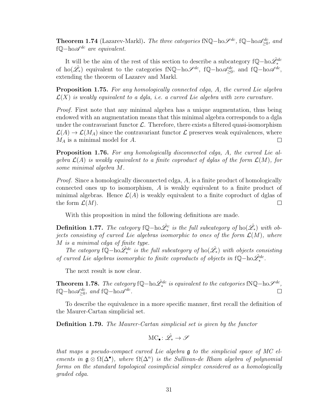**Theorem 1.74** (Lazarev-Markl). The three categories fNQ-ho $\mathscr{S}^{dc}$ , fQ-ho $\mathscr{A}_{\geq 0}^{dc}$ , and f $\mathbb{Q}$ −ho $\mathscr{A}^{dc}$  are equivalent.

It will be the aim of the rest of this section to describe a subcategory  $fQ - ho\hat{\mathscr{L}}_{*}^{dc}$ of ho( $\hat{\mathscr{L}}$ <sub>\*</sub>) equivalent to the categories fNQ-ho $\mathscr{S}^{dc}$ , fQ-ho $\mathscr{A}_{\geq 0}^{dc}$ , and fQ-ho $\mathscr{A}^{dc}$ , extending the theorem of Lazarev and Markl.

Proposition 1.75. For any homologically connected cdga, A, the curved Lie algebra  $\mathcal{L}(X)$  is weakly equivalent to a dgla, i.e. a curved Lie algebra with zero curvature.

Proof. First note that any minimal algebra has a unique augmentation, thus being endowed with an augmentation means that this minimal algebra corresponds to a dgla under the contravariant functor  $\mathcal{L}$ . Therefore, there exists a filtered quasi-isomorphism  $\mathcal{L}(A) \to \mathcal{L}(M_A)$  since the contravariant functor  $\mathcal L$  preserves weak equivalences, where  $M_A$  is a minimal model for  $A$ .  $\Box$ 

Proposition 1.76. For any homologically disconnected cdga, A, the curved Lie algebra  $\mathcal{L}(A)$  is weakly equivalent to a finite coproduct of dglas of the form  $\mathcal{L}(M)$ , for some minimal algebra M.

Proof. Since a homologically disconnected cdga, A, is a finite product of homologically connected ones up to isomorphism, A is weakly equivalent to a finite product of minimal algebras. Hence  $\mathcal{L}(A)$  is weakly equivalent to a finite coproduct of dglas of the form  $\mathcal{L}(M)$ .  $\Box$ 

With this proposition in mind the following definitions are made.

Definition 1.77. The category fQ-ho $\hat{\mathscr{L}}^c_*$  is the full subcategory of ho $(\hat{\mathscr{L}_*})$  with objects consisting of curved Lie algebras isomorphic to ones of the form  $\mathcal{L}(M)$ , where M is a minimal cdga of finite type.

The category fQ-ho $\hat{\mathscr{L}}_{*}^{dc}$  is the full subcategory of ho $(\hat{\mathscr{L}}_{*})$  with objects consisting of curved Lie algebras isomorphic to finite coproducts of objects in  $f\mathbb{Q}$ -ho $\hat{\mathscr{L}}^{dc}_{*}$ .

The next result is now clear.

**Theorem 1.78.** The category fQ-ho $\hat{\mathscr{L}}_{*}^{dc}$  is equivalent to the categories fNQ-ho $\mathscr{S}^{dc}$ , f $\mathbb{Q}$ −ho $\mathscr{A}_{\geq 0}^{dc}$ , and f $\mathbb{Q}$ −ho $\mathscr{A}^{dc}$ .

To describe the equivalence in a more specific manner, first recall the definition of the Maurer-Cartan simplicial set.

Definition 1.79. The Maurer-Cartan simplicial set is given by the functor

$$
\mathrm{MC}_\bullet\colon\hat{\mathscr{L}}_*\to\mathscr{S}
$$

that maps a pseudo-compact curved Lie algebra g to the simplicial space of MC elements in  $\mathfrak{g} \otimes \Omega(\Delta^{\bullet})$ , where  $\Omega(\Delta^n)$  is the Sullivan-de Rham algebra of polynomial forms on the standard topological cosimplicial simplex considered as a homologically graded cdga.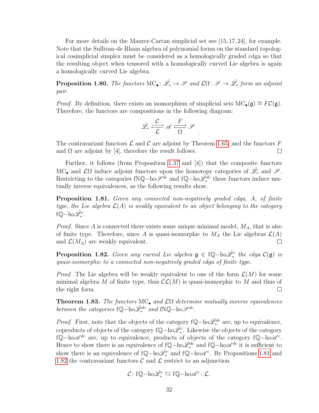For more details on the Maurer-Cartan simplicial set see [15, 17, 24], for example. Note that the Sullivan-de Rham algebra of polynomial forms on the standard topological cosimplicial simplex must be considered as a homologically graded cdga so that the resulting object when tensored with a homologically curved Lie algebra is again a homologically curved Lie algebra.

**Proposition 1.80.** The functors MC<sub>•</sub>:  $\hat{\mathscr{L}}_* \to \mathscr{S}$  and  $\mathcal{L}\Omega: \mathscr{S} \to \hat{\mathscr{L}}_*$  form an adjoint pair.

*Proof.* By definition, there exists an isomorphism of simplicial sets MC<sub>•</sub>(g) ≅  $FC(g)$ . Therefore, the functors are compositions in the following diagram:

$$
\hat{\mathscr{L}}_* \stackrel{\mathcal{C}}{\xrightarrow{\hspace*{1cm}}} \mathscr{A} \stackrel{F}{\xrightarrow{\hspace*{1cm}}} \mathscr{S}.
$$

The contravariant functors  $\mathcal L$  and  $\mathcal C$  are adjoint by Theorem [1.65,](#page-33-0) and the functors  $F$ and  $\Omega$  are adjoint by [4], therefore the result follows.  $\Box$ 

Further, it follows (from Proposition [1.37](#page-22-0) and [4]) that the composite functors MC• and  $\mathcal{L}\Omega$  induce adjoint functors upon the homotopy categories of  $\hat{\mathscr{L}}_*$  and  $\mathscr{S}$ . Restricting to the categories fNQ-ho $\mathscr{S}^{dc}$  and fQ-ho $\mathscr{\hat{L}}_{*}^{dc}$  these functors induce mutually inverse equivalences, as the following results show.

<span id="page-37-0"></span>Proposition 1.81. Given any connected non-negatively graded cdga, A, of finite type, the Lie algebra  $\mathcal{L}(A)$  is weakly equivalent to an object belonging to the category fQ−ho $\hat{\mathscr{L}}_{\ast}^{c}$ .

*Proof.* Since  $A$  is connected there exists some unique minimal model,  $M_A$ , that is also of finite type. Therefore, since A is quasi-isomorphic to  $M_A$  the Lie algebras  $\mathcal{L}(A)$ and  $\mathcal{L}(M_A)$  are weakly equivalent.  $\Box$ 

<span id="page-37-1"></span>**Proposition 1.82.** Given any curved Lie algebra  $\mathfrak{g} \in \mathfrak{f}\mathbb{Q}$ -ho $\hat{\mathscr{L}}^c_*$  the cdga  $\mathcal{C}(\mathfrak{g})$  is quasi-isomorphic to a connected non-negatively graded cdga of finite type.

*Proof.* The Lie algebra will be weakly equivalent to one of the form  $\mathcal{L}(M)$  for some minimal algebra M of finite type, thus  $\mathcal{CL}(M)$  is quasi-isomorphic to M and thus of the right form.  $\Box$ 

<span id="page-37-2"></span>**Theorem 1.83.** The functors MC<sub>•</sub> and  $\mathcal{L}\Omega$  determine mutually inverse equivalences between the categories  $f\mathbb{Q} - \text{ho}\hat{\mathscr{L}}_{*}^{dc}$  and  $fN\mathbb{Q} - \text{ho}\mathscr{S}^{dc}$ .

*Proof.* First, note that the objects of the category  $fQ - ho\hat{\mathscr{L}}_{*}^{dc}$  are, up to equivalence, coproducts of objects of the category f $\mathbb{Q}$ −ho $\hat{\mathscr{L}}_*^c$ . Likewise the objects of the category fQ−ho $\mathscr{A}^{dc}$  are, up to equivalence, products of objects of the category fQ−ho $\mathscr{A}^c$ . Hence to show there is an equivalence of f $\mathbb{Q}$ -ho $\hat{\mathscr{L}}_{*}^{dc}$  and f $\mathbb{Q}$ -ho $\mathscr{A}^{dc}$  it is sufficient to show there is an equivalence of f $\mathbb{Q}$ -ho $\hat{\mathscr{L}}_*^c$  and f $\mathbb{Q}$ -ho $\mathscr{A}^c$ . By Propositions [1.81](#page-37-0) and [1.82](#page-37-1) the contravariant functors  $\mathcal C$  and  $\mathcal L$  restrict to an adjunction

$$
\mathcal{C} \colon \mathrm{f}\mathbb{Q}\mathrm{-ho}\hat{\mathscr{L}}^c_* \leftrightarrows \mathrm{f}\mathbb{Q}\mathrm{-ho}\mathscr{A}^c \colon \mathcal{L}.
$$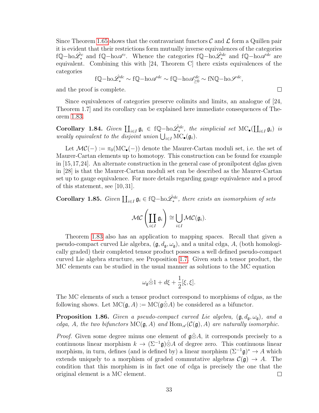Since Theorem [1.65](#page-33-0) shows that the contravariant functors  $\mathcal C$  and  $\mathcal L$  form a Quillen pair it is evident that their restrictions form mutually inverse equivalences of the categories fQ-ho $\hat{\mathscr{L}}^c_*$  and fQ-ho $\mathscr{A}^c$ . Whence the categories fQ-ho $\hat{\mathscr{L}}^{dc}_*$  and fQ-ho $\mathscr{A}^{dc}$  are equivalent. Combining this with [24, Theorem C] there exists equivalences of the categories

$$
f\mathbb{Q} - \text{ho}\hat{\mathscr{L}}_{*}^{dc} \sim f\mathbb{Q} - \text{ho}\mathscr{A}^{dc} \sim f\mathbb{Q} - \text{ho}\mathscr{A}_{\geq 0}^{dc} \sim fN\mathbb{Q} - \text{ho}\mathscr{S}^{dc},
$$

 $\Box$ 

and the proof is complete.

Since equivalences of categories preserve colimits and limits, an analogue of [24, Theorem 1.7] and its corollary can be explained here immediate consequences of Theorem [1.83.](#page-37-2)

Corollary 1.84. Given  $\prod_{i\in I} \mathfrak{g}_i \in \{ \mathbb{Q} - \text{ho} \hat{\mathscr{L}}_i^{dc}, \text{ the simplicial set } \text{MC}_\bullet(\coprod_{i\in I} \mathfrak{g}_i) \text{ is }$ weakly equivalent to the disjoint union  $\bigcup_{i\in I} \text{MC}_\bullet(\mathfrak{g}_i)$ .

Let  $\mathcal{MC}(-) := \pi_0(MC_{\bullet}(-))$  denote the Maurer-Cartan moduli set, i.e. the set of Maurer-Cartan elements up to homotopy. This construction can be found for example in [15,17,24]. An alternate construction in the general case of pronilpotent dglas given in [28] is that the Maurer-Cartan moduli set can be described as the Maurer-Cartan set up to gauge equivalence. For more details regarding gauge equivalence and a proof of this statement, see [10, 31].

Corollary 1.85. Given  $\coprod_{i\in I} \mathfrak{g}_i \in \mathrm{f}\mathbb{Q} - \mathrm{ho}\hat{\mathscr{L}}_{*}^{dc}$ , there exists an isomorphism of sets

$$
\mathcal{MC}\left(\coprod_{i\in I}\mathfrak{g}_i\right)\cong \bigcup_{i\in I}\mathcal{MC}(\mathfrak{g}_i).
$$

Theorem [1.83](#page-37-2) also has an application to mapping spaces. Recall that given a pseudo-compact curved Lie algebra,  $(\mathfrak{g}, d_{\mathfrak{g}}, \omega_{\mathfrak{g}})$ , and a unital cdga, A, (both homologically graded) their completed tensor product possesses a well defined pseudo-compact curved Lie algebra structure, see Proposition [1.7.](#page-14-0) Given such a tensor product, the MC elements can be studied in the usual manner as solutions to the MC equation

$$
\omega_{\mathfrak{g}}\hat{\otimes} 1 + d\xi + \frac{1}{2}[\xi,\xi].
$$

The MC elements of such a tensor product correspond to morphisms of cdgas, as the following shows. Let  $MC(\mathfrak{g}, A) := MC(\mathfrak{g} \otimes A)$  be considered as a bifunctor.

<span id="page-38-0"></span>**Proposition 1.86.** Given a pseudo-compact curved Lie algebra,  $(\mathfrak{g}, d_{\mathfrak{g}}, \omega_{\mathfrak{g}})$ , and a cdga, A, the two bifunctors  $MC(\mathfrak{g}, A)$  and  $Hom_{\mathscr{A}}(\mathcal{C}(\mathfrak{g}), A)$  are naturally isomorphic.

*Proof.* Given some degree minus one element of  $\mathfrak{g}\hat{\otimes}A$ , it corresponds precisely to a continuous linear morphism  $k \to (\Sigma^{-1} \mathfrak{g}) \hat{\otimes} A$  of degree zero. This continuous linear morphism, in turn, defines (and is defined by) a linear morphism  $(\Sigma^{-1}\mathfrak{g})^* \to A$  which extends uniquely to a morphism of graded commutative algebras  $\mathcal{C}(\mathfrak{g}) \to A$ . The condition that this morphism is in fact one of cdga is precisely the one that the original element is a MC element.  $\Box$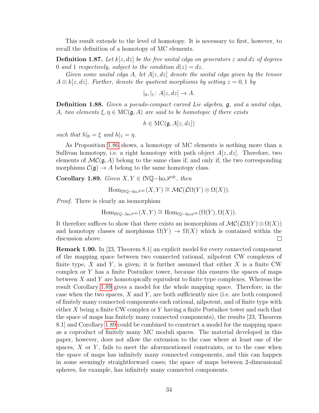This result extends to the level of homotopy. It is necessary to first, however, to recall the definition of a homotopy of MC elements.

**Definition 1.87.** Let  $k[z, dz]$  be the free unital cdga on generators z and dz of degrees 0 and 1 respectively, subject to the condition  $d(z) = dz$ .

Given some unital cdga A, let  $A[z, dz]$  denote the unital cdga given by the tensor  $A \otimes k[z, dz]$ . Further, denote the quotient morphisms by setting  $z = 0, 1$  by

$$
|_0, |_1: A[z, dz] \to A.
$$

Definition 1.88. Given a pseudo-compact curved Lie algebra, g, and a unital cdga, A, two elements  $\xi, \eta \in \mathrm{MC}(\mathfrak{g}, A)$  are said to be homotopic if there exists

$$
h \in \mathrm{MC}(\mathfrak{g}, A[z, dz])
$$

such that  $h|_0 = \xi$  and  $h|_1 = \eta$ .

As Proposition [1.86](#page-38-0) shows, a homotopy of MC elements is nothing more than a Sullivan homotopy, i.e. a right homotopy with path object  $A[z, dz]$ . Therefore, two elements of  $MC(\mathfrak{g}, A)$  belong to the same class if, and only if, the two corresponding morphisms  $\mathcal{C}(\mathfrak{g}) \to A$  belong to the same homotopy class.

<span id="page-39-0"></span>Corollary 1.89. Given  $X, Y \in fNQ-ho\mathscr{S}^{dc}$ , then

$$
\mathrm{Hom}_{f\mathbb{N}\mathbb{Q}-\mathrm{ho}\mathscr{S}^{dc}}(X,Y)\cong\mathcal{MC}(\mathcal{L}\Omega(Y)\otimes\Omega(X)).
$$

Proof. There is clearly an isomorphism

$$
\mathrm{Hom}_{f\mathbb{N}\mathbb{Q}-\mathrm{ho}\mathscr{S}^{dc}}(X,Y)\cong \mathrm{Hom}_{f\mathbb{Q}-\mathrm{ho}\mathscr{A}^{dc}}(\Omega(Y),\Omega(X)).
$$

It therefore suffices to show that there exists an isomorphism of  $\mathcal{MC}(\mathcal{L}\Omega(Y)\otimes \Omega(X))$ and homotopy classes of morphisms  $\Omega(Y) \to \Omega(X)$  which is contained within the discussion above.  $\Box$ 

Remark 1.90. In [23, Theorem 8.1] an explicit model for every connected component of the mapping space between two connected rational, nilpotent CW complexes of finite type, X and Y, is given; it is further assumed that either X is a finite CW complex or  $Y$  has a finite Postnikov tower, because this ensures the spaces of maps between  $X$  and  $Y$  are homotopically equivalent to finite type complexes. Whereas the result Corollary [1.89](#page-39-0) gives a model for the whole mapping space. Therefore, in the case when the two spaces,  $X$  and  $Y$ , are both sufficiently nice (i.e. are both composed of finitely many connected components each rational, nilpotent, and of finite type with either X being a finite CW complex or Y having a finite Postnikov tower and such that the space of maps has finitely many connected components), the results [23, Theorem 8.1] and Corollary [1.89](#page-39-0) could be combined to construct a model for the mapping space as a coproduct of finitely many MC moduli spaces. The material developed in this paper, however, does not allow the extension to the case where at least one of the spaces,  $X$  or  $Y$ , fails to meet the aforementioned constraints, or to the case when the space of maps has infinitely many connected components, and this can happen in some seemingly straightforward cases; the space of maps between 2-dimensional spheres, for example, has infinitely many connected components.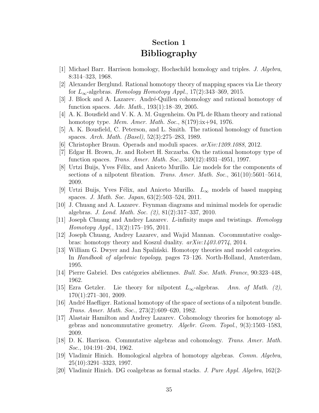# Section 1 Bibliography

- [1] Michael Barr. Harrison homology, Hochschild homology and triples. J. Algebra, 8:314–323, 1968.
- [2] Alexander Berglund. Rational homotopy theory of mapping spaces via Lie theory for  $L_{\infty}$ -algebras. Homology Homotopy Appl., 17(2):343–369, 2015.
- [3] J. Block and A. Lazarev. André-Quillen cohomology and rational homotopy of function spaces. Adv. Math., 193(1):18–39, 2005.
- [4] A. K. Bousfield and V. K. A. M. Gugenheim. On PL de Rham theory and rational homotopy type. *Mem. Amer. Math. Soc.*, 8(179):ix+94, 1976.
- [5] A. K. Bousfield, C. Peterson, and L. Smith. The rational homology of function spaces. Arch. Math. (Basel), 52(3):275–283, 1989.
- [6] Christopher Braun. Operads and moduli spaces. arXiv:1209.1088, 2012.
- [7] Edgar H. Brown, Jr. and Robert H. Szczarba. On the rational homotopy type of function spaces. Trans. Amer. Math. Soc., 349(12):4931–4951, 1997.
- [8] Urtzi Buijs, Yves Félix, and Aniceto Murillo. Lie models for the components of sections of a nilpotent fibration. Trans. Amer. Math. Soc., 361(10):5601–5614, 2009.
- [9] Urtzi Buijs, Yves Félix, and Aniceto Murillo.  $L_{\infty}$  models of based mapping spaces. J. Math. Soc. Japan, 63(2):503–524, 2011.
- [10] J. Chuang and A. Lazarev. Feynman diagrams and minimal models for operadic algebras. J. Lond. Math. Soc. (2), 81(2):317–337, 2010.
- [11] Joseph Chuang and Andrey Lazarev. L-infinity maps and twistings. Homology Homotopy Appl., 13(2):175–195, 2011.
- [12] Joseph Chuang, Andrey Lazarev, and Wajid Mannan. Cocommutative coalgebras: homotopy theory and Koszul duality. arXiv:1403.0774, 2014.
- [13] William G. Dwyer and Jan Spalinski. Homotopy theories and model categories. In Handbook of algebraic topology, pages 73–126. North-Holland, Amsterdam, 1995.
- [14] Pierre Gabriel. Des catégories abéliennes. Bull. Soc. Math. France, 90:323-448, 1962.
- [15] Ezra Getzler. Lie theory for nilpotent  $L_{\infty}$ -algebras. Ann. of Math. (2), 170(1):271–301, 2009.
- [16] Andr´e Haefliger. Rational homotopy of the space of sections of a nilpotent bundle. Trans. Amer. Math. Soc., 273(2):609–620, 1982.
- [17] Alastair Hamilton and Andrey Lazarev. Cohomology theories for homotopy algebras and noncommutative geometry. Algebr. Geom. Topol., 9(3):1503–1583, 2009.
- [18] D. K. Harrison. Commutative algebras and cohomology. Trans. Amer. Math. Soc., 104:191–204, 1962.
- [19] Vladimir Hinich. Homological algebra of homotopy algebras. Comm. Algebra, 25(10):3291–3323, 1997.
- [20] Vladimir Hinich. DG coalgebras as formal stacks. J. Pure Appl. Algebra, 162(2-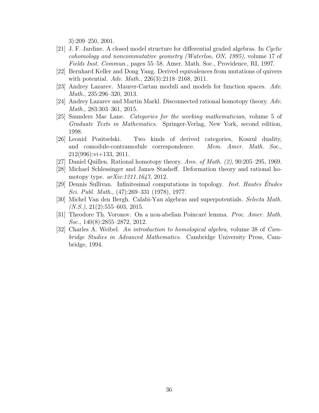3):209–250, 2001.

- [21] J. F. Jardine. A closed model structure for differential graded algebras. In Cyclic cohomology and noncommutative geometry (Waterloo, ON, 1995), volume 17 of Fields Inst. Commun., pages 55–58. Amer. Math. Soc., Providence, RI, 1997.
- [22] Bernhard Keller and Dong Yang. Derived equivalences from mutations of quivers with potential. Adv. Math., 226(3):2118–2168, 2011.
- [23] Andrey Lazarev. Maurer-Cartan moduli and models for function spaces. Adv. Math., 235:296–320, 2013.
- [24] Andrey Lazarev and Martin Markl. Disconnected rational homotopy theory. Adv. Math., 283:303–361, 2015.
- [25] Saunders Mac Lane. Categories for the working mathematician, volume 5 of Graduate Texts in Mathematics. Springer-Verlag, New York, second edition, 1998.
- [26] Leonid Positselski. Two kinds of derived categories, Koszul duality, and comodule-contramodule correspondence. Mem. Amer. Math. Soc., 212(996):vi+133, 2011.
- [27] Daniel Quillen. Rational homotopy theory. Ann. of Math.  $(2)$ , 90:205–295, 1969.
- [28] Michael Schlessinger and James Stasheff. Deformation theory and rational homotopy type.  $arXiv:1211.1647$ , 2012.
- [29] Dennis Sullivan. Infinitesimal computations in topology. Inst. Hautes Études Sci. Publ. Math., (47):269–331 (1978), 1977.
- [30] Michel Van den Bergh. Calabi-Yau algebras and superpotentials. Selecta Math.  $(N.S.), 21(2):555-603, 2015.$
- [31] Theodore Th. Voronov. On a non-abelian Poincaré lemma. *Proc. Amer. Math.* Soc., 140(8):2855–2872, 2012.
- [32] Charles A. Weibel. An introduction to homological algebra, volume 38 of Cambridge Studies in Advanced Mathematics. Cambridge University Press, Cambridge, 1994.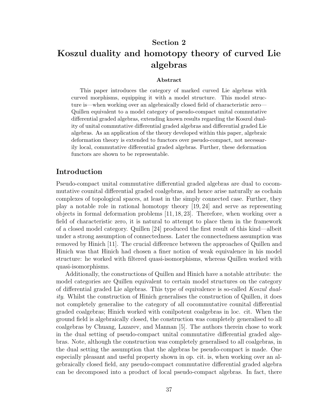# Section 2 Koszul duality and homotopy theory of curved Lie algebras

#### Abstract

This paper introduces the category of marked curved Lie algebras with curved morphisms, equipping it with a model structure. This model structure is—when working over an algebraically closed field of characteristic zero— Quillen equivalent to a model category of pseudo-compact unital commutative differential graded algebras, extending known results regarding the Koszul duality of unital commutative differential graded algebras and differential graded Lie algebras. As an application of the theory developed within this paper, algebraic deformation theory is extended to functors over pseudo-compact, not necessarily local, commutative differential graded algebras. Further, these deformation functors are shown to be representable.

# Introduction

Pseudo-compact unital commutative differential graded algebras are dual to cocommutative counital differential graded coalgebras, and hence arise naturally as cochain complexes of topological spaces, at least in the simply connected case. Further, they play a notable role in rational homotopy theory [19, 24] and serve as representing objects in formal deformation problems [11, 18, 23]. Therefore, when working over a field of characteristic zero, it is natural to attempt to place them in the framework of a closed model category. Quillen [24] produced the first result of this kind—albeit under a strong assumption of connectedness. Later the connectedness assumption was removed by Hinich [11]. The crucial difference between the approaches of Quillen and Hinich was that Hinich had chosen a finer notion of weak equivalence in his model structure: he worked with filtered quasi-isomorphisms, whereas Quillen worked with quasi-isomorphisms.

Additionally, the constructions of Quillen and Hinich have a notable attribute: the model categories are Quillen equivalent to certain model structures on the category of differential graded Lie algebras. This type of equivalence is so-called Koszul duality. Whilst the construction of Hinich generalises the construction of Quillen, it does not completely generalise to the category of all cocommutative counital differential graded coalgebras; Hinich worked with conilpotent coalgebras in loc. cit. When the ground field is algebraically closed, the construction was completely generalised to all coalgebras by Chuang, Lazarev, and Mannan [5]. The authors therein chose to work in the dual setting of pseudo-compact unital commutative differential graded algebras. Note, although the construction was completely generalised to all coalgebras, in the dual setting the assumption that the algebras be pseudo-compact is made. One especially pleasant and useful property shown in op. cit. is, when working over an algebraically closed field, any pseudo-compact commutative differential graded algebra can be decomposed into a product of local pseudo-compact algebras. In fact, there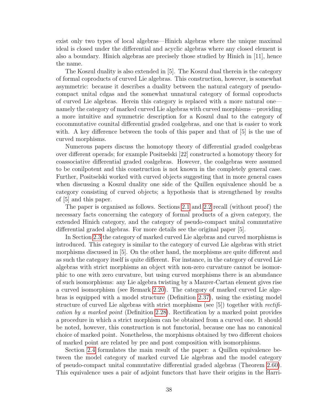exist only two types of local algebras—Hinich algebras where the unique maximal ideal is closed under the differential and acyclic algebras where any closed element is also a boundary. Hinich algebras are precisely those studied by Hinich in [11], hence the name.

The Koszul duality is also extended in [5]. The Koszul dual therein is the category of formal coproducts of curved Lie algebras. This construction, however, is somewhat asymmetric: because it describes a duality between the natural category of pseudocompact unital cdgas and the somewhat unnatural category of formal coproducts of curved Lie algebras. Herein this category is replaced with a more natural one namely the category of marked curved Lie algebras with curved morphisms—providing a more intuitive and symmetric description for a Koszul dual to the category of cocommutative counital differential graded coalgebras, and one that is easier to work with. A key difference between the tools of this paper and that of [5] is the use of curved morphisms.

Numerous papers discuss the homotopy theory of differential graded coalgebras over different operads; for example Positselski [22] constructed a homotopy theory for coassociative differential graded coalgebras. However, the coalgebras were assumed to be conilpotent and this construction is not known in the completely general case. Further, Positselski worked with curved objects suggesting that in more general cases when discussing a Koszul duality one side of the Quillen equivalence should be a category consisting of curved objects; a hypothesis that is strengthened by results of [5] and this paper.

The paper is organised as follows. Sections [2.1](#page-45-0) and [2.2](#page-46-0) recall (without proof) the necessary facts concerning the category of formal products of a given category, the extended Hinich category, and the category of pseudo-compact unital commutative differential graded algebras. For more details see the original paper [5].

In Section [2.3](#page-48-0) the category of marked curved Lie algebras and curved morphisms is introduced. This category is similar to the category of curved Lie algebras with strict morphisms discussed in [5]. On the other hand, the morphisms are quite different and as such the category itself is quite different. For instance, in the category of curved Lie algebras with strict morphisms an object with non-zero curvature cannot be isomorphic to one with zero curvature, but using curved morphisms there is an abundance of such isomorphisms: any Lie algebra twisting by a Maurer-Cartan element gives rise a curved isomorphism (see Remark [2.20\)](#page-49-0). The category of marked curved Lie algebras is equipped with a model structure (Definition [2.37\)](#page-53-0), using the existing model structure of curved Lie algebras with strict morphisms (see  $[5]$ ) together with rectification by a marked point (Definition [2.28\)](#page-50-0). Rectification by a marked point provides a procedure in which a strict morphism can be obtained from a curved one. It should be noted, however, this construction is not functorial, because one has no canonical choice of marked point. Nonetheless, the morphisms obtained by two different choices of marked point are related by pre and post composition with isomorphisms.

Section [2.4](#page-57-0) formulates the main result of the paper: a Quillen equivalence between the model category of marked curved Lie algebras and the model category of pseudo-compact unital commutative differential graded algebras (Theorem [2.60\)](#page-60-0). This equivalence uses a pair of adjoint functors that have their origins in the Harri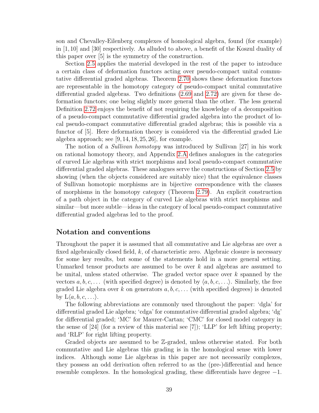son and Chevalley-Eilenberg complexes of homological algebra, found (for example) in [1,10] and [30] respectively. As alluded to above, a benefit of the Koszul duality of this paper over [5] is the symmetry of the construction.

Section [2.5](#page-60-1) applies the material developed in the rest of the paper to introduce a certain class of deformation functors acting over pseudo-compact unital commutative differential graded algebras. Theorem [2.70](#page-62-0) shows these deformation functors are representable in the homotopy category of pseudo-compact unital commutative differential graded algebras. Two definitions [\(2.69](#page-62-1) and [2.72\)](#page-63-0) are given for these deformation functors; one being slightly more general than the other. The less general Definition [2.72](#page-63-0) enjoys the benefit of not requiring the knowledge of a decomposition of a pseudo-compact commutative differential graded algebra into the product of local pseudo-compact commutative differential graded algebras; this is possible via a functor of [5]. Here deformation theory is considered via the differential graded Lie algebra approach; see  $[9, 14, 18, 25, 26]$ , for example.

The notion of a Sullivan homotopy was introduced by Sullivan [27] in his work on rational homotopy theory, and Appendix [2.A](#page-63-1) defines analogues in the categories of curved Lie algebras with strict morphisms and local pseudo-compact commutative differential graded algebras. These analogues serve the constructions of Section [2.5](#page-60-1) by showing (when the objects considered are suitably nice) that the equivalence classes of Sullivan homotopic morphisms are in bijective correspondence with the classes of morphisms in the homotopy category (Theorem [2.79\)](#page-64-0). An explicit construction of a path object in the category of curved Lie algebras with strict morphisms and similar—but more subtle—ideas in the category of local pseudo-compact commutative differential graded algebras led to the proof.

# Notation and conventions

Throughout the paper it is assumed that all commutative and Lie algebras are over a fixed algebraically closed field, k, of characteristic zero. Algebraic closure is necessary for some key results, but some of the statements hold in a more general setting. Unmarked tensor products are assumed to be over  $k$  and algebras are assumed to be unital, unless stated otherwise. The graded vector space over k spanned by the vectors  $a, b, c, \ldots$  (with specified degree) is denoted by  $\langle a, b, c, \ldots \rangle$ . Similarly, the free graded Lie algebra over k on generators  $a, b, c, \ldots$  (with specified degrees) is denoted by  $L\langle a, b, c, \ldots \rangle$ .

The following abbreviations are commonly used throughout the paper: 'dgla' for differential graded Lie algebra; 'cdga' for commutative differential graded algebra; 'dg' for differential graded; 'MC' for Maurer-Cartan; 'CMC' for closed model category in the sense of [24] (for a review of this material see [7]); 'LLP' for left lifting property; and 'RLP' for right lifting property.

Graded objects are assumed to be Z-graded, unless otherwise stated. For both commutative and Lie algebras this grading is in the homological sense with lower indices. Although some Lie algebras in this paper are not necessarily complexes, they possess an odd derivation often referred to as the (pre-)differential and hence resemble complexes. In the homological grading, these differentials have degree −1.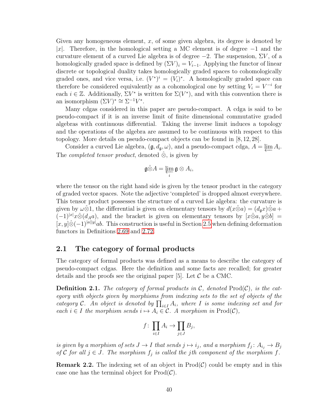Given any homogeneous element,  $x$ , of some given algebra, its degree is denoted by |x|. Therefore, in the homological setting a MC element is of degree  $-1$  and the curvature element of a curved Lie algebra is of degree  $-2$ . The suspension,  $\Sigma V$ , of a homologically graded space is defined by  $(\Sigma V)_i = V_{i-1}$ . Applying the functor of linear discrete or topological duality takes homologically graded spaces to cohomologically graded ones, and vice versa, i.e.  $(V^*)^i = (V_i)^*$ . A homologically graded space can therefore be considered equivalently as a cohomological one by setting  $V_i = V^{-i}$  for each  $i \in \mathbb{Z}$ . Additionally,  $\Sigma V^*$  is written for  $\Sigma(V^*)$ , and with this convention there is an isomorphism  $(\Sigma V)^* \cong \Sigma^{-1} V^*$ .

Many cdgas considered in this paper are pseudo-compact. A cdga is said to be pseudo-compact if it is an inverse limit of finite dimensional commutative graded algebras with continuous differential. Taking the inverse limit induces a topology and the operations of the algebra are assumed to be continuous with respect to this topology. More details on pseudo-compact objects can be found in [8, 12, 28].

Consider a curved Lie algebra,  $(\mathfrak{g}, d_{\mathfrak{g}}, \omega)$ , and a pseudo-compact cdga,  $A = \varprojlim A_i$ . The *completed tensor product*, denoted  $\hat{\otimes}$ , is given by

$$
\mathfrak{g}\hat{\otimes}A=\varprojlim_i\mathfrak{g}\otimes A_i,
$$

where the tensor on the right hand side is given by the tensor product in the category of graded vector spaces. Note the adjective 'completed' is dropped almost everywhere. This tensor product possesses the structure of a curved Lie algebra: the curvature is given by  $\omega \hat{\otimes} 1$ , the differential is given on elementary tensors by  $d(x \hat{\otimes} a) = (d_a x) \hat{\otimes} a +$  $(-1)^{|x|}x\hat{\otimes}(d_Aa)$ , and the bracket is given on elementary tensors by  $[x\hat{\otimes}a, y\hat{\otimes}b] =$  $[x, y] \hat{\otimes} (-1)^{|a||y|} ab$ . This construction is useful in Section [2.5](#page-60-1) when defining deformation functors in Definitions [2.69](#page-62-1) and [2.72.](#page-63-0)

## <span id="page-45-0"></span>2.1 The category of formal products

The category of formal products was defined as a means to describe the category of pseudo-compact cdgas. Here the definition and some facts are recalled; for greater details and the proofs see the original paper [5]. Let  $\mathcal C$  be a CMC.

**Definition 2.1.** The category of formal products in  $\mathcal{C}$ , denoted Prod $(\mathcal{C})$ , is the category with objects given by morphisms from indexing sets to the set of objects of the category C. An object is denoted by  $\prod_{i\in I} A_i$ , where I is some indexing set and for each  $i \in I$  the morphism sends  $i \mapsto A_i \in \mathcal{C}$ . A morphism in Prod( $\mathcal{C}$ ),

$$
f\colon \prod_{i\in I} A_i \to \prod_{j\in J} B_j,
$$

is given by a morphism of sets  $J \to I$  that sends  $j \mapsto i_j,$  and a morphism  $f_j \colon A_{i_j} \to B_j$ of C for all  $j \in J$ . The morphism  $f_j$  is called the jth component of the morphism f.

<span id="page-45-1"></span>**Remark 2.2.** The indexing set of an object in  $\text{Prod}(\mathcal{C})$  could be empty and in this case one has the terminal object for  $\text{Prod}(\mathcal{C})$ .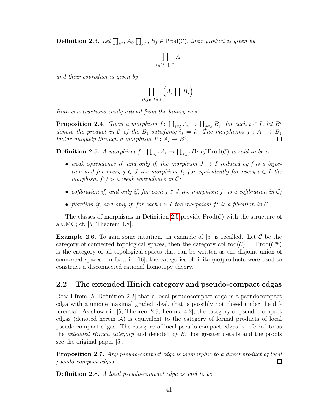**Definition 2.3.** Let  $\prod_{i\in I} A_i$ ,  $\prod_{j\in J} B_j \in \text{Prod}(\mathcal{C})$ , their product is given by

$$
\prod_{i \in (I \coprod J)} A
$$

 $\cdot i$ 

and their coproduct is given by

$$
\prod_{(i,j)\in I\times J}\left(A_i\coprod B_j\right).
$$

Both constructions easily extend from the binary case.

**Proposition 2.4.** Given a morphism  $f: \prod_{i \in I} A_i \to \prod_{j \in J} B_j$ , for each  $i \in I$ , let  $B^i$ denote the product in C of the  $B_j$  satisfying  $i_j = i$ . The morphisms  $f_j: A_i \to B_j$ factor uniquely through a morphism  $f^i: A_i \to B^i$ .

<span id="page-46-1"></span>**Definition 2.5.** A morphism  $f: \prod_{i\in I} A_i \to \prod_{j\in J} B_j$  of  $\text{Prod}(\mathcal{C})$  is said to be a

- weak equivalence if, and only if, the morphism  $J \to I$  induced by f is a bijection and for every  $j \in J$  the morphism  $f_j$  (or equivalently for every  $i \in I$  the morphism  $f^i$ ) is a weak equivalence in  $\mathcal{C};$
- cofibration if, and only if, for each  $j \in J$  the morphism  $f_j$  is a cofibration in  $\mathcal{C}$ ;
- fibration if, and only if, for each  $i \in I$  the morphism  $f^i$  is a fibration in  $\mathcal{C}$ .

The classes of morphisms in Definition [2.5](#page-46-1) provide  $\text{Prod}(\mathcal{C})$  with the structure of a CMC; cf. [5, Theorem 4.8].

**Example 2.6.** To gain some intuition, an example of [5] is recalled. Let  $\mathcal{C}$  be the category of connected topological spaces, then the category  $\mathrm{coProd}(\mathcal{C}) := \mathrm{Prod}(\mathcal{C}^{op})$ is the category of all topological spaces that can be written as the disjoint union of connected spaces. In fact, in [16], the categories of finite (co)products were used to construct a disconnected rational homotopy theory.

# <span id="page-46-0"></span>2.2 The extended Hinich category and pseudo-compact cdgas

Recall from [5, Definition 2.2] that a local pseudocompact cdga is a pseudocompact cdga with a unique maximal graded ideal, that is possibly not closed under the differential. As shown in [5, Theorem 2.9, Lemma 4.2], the category of pseudo-compact cdgas (denoted herein  $\mathcal{A}$ ) is equivalent to the category of formal products of local pseudo-compact cdgas. The category of local pseudo-compact cdgas is referred to as the *extended Hinich category* and denoted by  $\mathcal{E}$ . For greater details and the proofs see the original paper [5].

Proposition 2.7. Any pseudo-compact cdga is isomorphic to a direct product of local pseudo-compact cdgas.  $\Box$ 

Definition 2.8. A local pseudo-compact cdga is said to be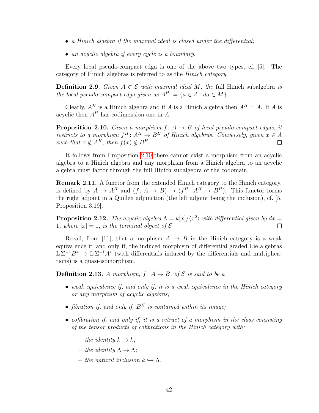- a Hinich algebra if the maximal ideal is closed under the differential;
- an acyclic algebra if every cycle is a boundary.

Every local pseudo-compact cdga is one of the above two types, cf. [5]. The category of Hinich algebras is referred to as the Hinich category.

**Definition 2.9.** Given  $A \in \mathcal{E}$  with maximal ideal M, the full Hinich subalgebra is the local pseudo-compact cdga given as  $A^H := \{a \in A : da \in M\}.$ 

Clearly,  $A^H$  is a Hinich algebra and if A is a Hinich algebra then  $A^H = A$ . If A is acyclic then  $A<sup>H</sup>$  has codimension one in A.

<span id="page-47-0"></span>**Proposition 2.10.** Given a morphism  $f: A \rightarrow B$  of local pseudo-compact cdgas, it restricts to a morphism  $f^H: A^H \to B^H$  of Hinich algebras. Conversely, given  $x \in A$ such that  $x \notin A^H$ , then  $f(x) \notin B^H$ .  $\Box$ 

It follows from Proposition [2.10](#page-47-0) there cannot exist a morphism from an acyclic algebra to a Hinich algebra and any morphism from a Hinich algebra to an acyclic algebra must factor through the full Hinich subalgebra of the codomain.

Remark 2.11. A functor from the extended Hinich category to the Hinich category, is defined by  $A \mapsto A^H$  and  $(f: A \to B) \mapsto (f^H: A^H \to B^H)$ . This functor forms the right adjoint in a Quillen adjunction (the left adjoint being the inclusion), cf. [5, Proposition 3.19].

**Proposition 2.12.** The acyclic algebra  $\Lambda = k[x]/\langle x^2 \rangle$  with differential given by  $dx =$ 1, where  $|x| = 1$ , is the terminal object of  $\mathcal{E}$ .  $\Box$ 

Recall, from [11], that a morphism  $A \rightarrow B$  in the Hinich category is a weak equivalence if, and only if, the induced morphism of differential graded Lie algebras  $L \Sigma^{-1} B^* \to L \Sigma^{-1} A^*$  (with differentials induced by the differentials and multiplications) is a quasi-isomorphism.

<span id="page-47-1"></span>**Definition 2.13.** A morphism,  $f: A \rightarrow B$ , of  $\mathcal{E}$  is said to be a

- weak equivalence if, and only if, it is a weak equivalence in the Hinich category or any morphism of acyclic algebras;
- fibration if, and only if,  $B^H$  is contained within its image;
- cofibration if, and only if, it is a retract of a morphism in the class consisting of the tensor products of cofibrations in the Hinich category with:
	- the identity  $k \to k$ ;
	- the identity  $\Lambda \to \Lambda$ ;
	- the natural inclusion  $k \hookrightarrow \Lambda$ .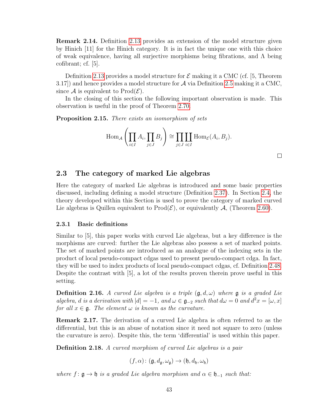Remark 2.14. Definition [2.13](#page-47-1) provides an extension of the model structure given by Hinich [11] for the Hinich category. It is in fact the unique one with this choice of weak equivalence, having all surjective morphisms being fibrations, and  $\Lambda$  being cofibrant; cf. [5].

Definition [2.13](#page-47-1) provides a model structure for  $\mathcal E$  making it a CMC (cf. [5, Theorem 3.17]) and hence provides a model structure for A via Definition [2.5](#page-46-1) making it a CMC, since A is equivalent to  $\text{Prod}(\mathcal{E})$ .

In the closing of this section the following important observation is made. This observation is useful in the proof of Theorem [2.70.](#page-62-0)

<span id="page-48-1"></span>Proposition 2.15. There exists an isomorphism of sets

$$
\operatorname{Hom}_{\mathcal{A}}\left(\prod_{i\in I}A_i, \prod_{j\in J}B_j\right) \cong \prod_{j\in J} \coprod_{i\in I} \operatorname{Hom}_{\mathcal{E}}(A_i, B_j).
$$

# <span id="page-48-0"></span>2.3 The category of marked Lie algebras

Here the category of marked Lie algebras is introduced and some basic properties discussed, including defining a model structure (Definition [2.37\)](#page-53-0). In Section [2.4,](#page-57-0) the theory developed within this Section is used to prove the category of marked curved Lie algebras is Quillen equivalent to  $\text{Prod}(\mathcal{E})$ , or equivalently  $\mathcal{A}$ , (Theorem [2.60\)](#page-60-0).

#### 2.3.1 Basic definitions

Similar to [5], this paper works with curved Lie algebras, but a key difference is the morphisms are curved: further the Lie algebras also possess a set of marked points. The set of marked points are introduced as an analogue of the indexing sets in the product of local pseudo-compact cdgas used to present pseudo-compact cdga. In fact, they will be used to index products of local pseudo-compact cdgas, cf. Definition [2.48.](#page-57-1) Despite the contrast with [5], a lot of the results proven therein prove useful in this setting.

**Definition 2.16.** A curved Lie algebra is a triple  $(\mathfrak{g}, d, \omega)$  where  $\mathfrak{g}$  is a graded Lie algebra, d is a derivation with  $|d| = -1$ , and  $\omega \in \mathfrak{g}_{-2}$  such that  $d\omega = 0$  and  $d^2x = [\omega, x]$ for all  $x \in \mathfrak{g}$ . The element  $\omega$  is known as the curvature.

Remark 2.17. The derivation of a curved Lie algebra is often referred to as the differential, but this is an abuse of notation since it need not square to zero (unless the curvature is zero). Despite this, the term 'differential' is used within this paper.

Definition 2.18. A curved morphism of curved Lie algebras is a pair

 $(f, \alpha)$ :  $(g, d_{\mathfrak{a}}, \omega_{\mathfrak{a}}) \rightarrow (h, d_{\mathfrak{b}}, \omega_{\mathfrak{b}})$ 

where  $f: \mathfrak{g} \to \mathfrak{h}$  is a graded Lie algebra morphism and  $\alpha \in \mathfrak{h}_{-1}$  such that: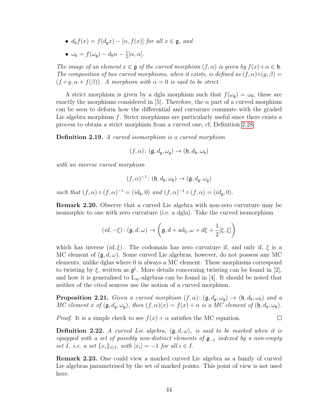- $d_h f(x) = f(d_g x) [\alpha, f(x)]$  for all  $x \in \mathfrak{g}$ , and
- $\omega_{\mathfrak{h}} = f(\omega_{\mathfrak{g}}) d_{\mathfrak{h}}\alpha \frac{1}{2}$  $rac{1}{2}[\alpha,\alpha]$ .

The image of an element  $x \in \mathfrak{g}$  of the curved morphism  $(f, \alpha)$  is given by  $f(x) + \alpha \in \mathfrak{h}$ . The composition of two curved morphisms, when it exists, is defined as  $(f, \alpha) \circ (g, \beta) =$  $(f \circ q, \alpha + f(\beta))$ . A morphism with  $\alpha = 0$  is said to be strict.

A strict morphism is given by a dgla morphism such that  $f(\omega_{\mathfrak{g}}) = \omega_{\mathfrak{h}}$ ; these are exactly the morphisms considered in [5]. Therefore, the  $\alpha$  part of a curved morphism can be seen to deform how the differential and curvature commute with the graded Lie algebra morphism  $f$ . Strict morphisms are particularly useful since there exists a process to obtain a strict morphism from a curved one, cf. Definition [2.28.](#page-50-0)

Definition 2.19. A curved isomorphism is a curved morphism

$$
(f, \alpha) \colon (\mathfrak{g}, d_{\mathfrak{g}}, \omega_{\mathfrak{g}}) \to (\mathfrak{h}, d_{\mathfrak{h}}, \omega_{\mathfrak{h}})
$$

with an inverse curved morphism

$$
(f,\alpha)^{-1}\colon (\mathfrak{h},d_{\mathfrak{h}},\omega_{\mathfrak{h}})\to (\mathfrak{g},d_{\mathfrak{g}},\omega_{\mathfrak{g}})
$$

such that  $(f, \alpha) \circ (f, \alpha)^{-1} = (id_{\mathfrak{h}}, 0)$  and  $(f, \alpha)^{-1} \circ (f, \alpha) = (id_{\mathfrak{g}}, 0)$ .

<span id="page-49-0"></span>Remark 2.20. Observe that a curved Lie algebra with non-zero curvature may be isomorphic to one with zero curvature (i.e. a dgla). Take the curved isomorphism

$$
(id, -\xi) \colon (\mathfrak{g}, d, \omega) \to \left(\mathfrak{g}, d + \mathrm{ad}_{\xi}, \omega + d\xi + \frac{1}{2}[\xi, \xi]\right)
$$

which has inverse  $(id,\xi)$ . The codomain has zero curvature if, and only if,  $\xi$  is a MC element of  $(g, d, \omega)$ . Some curved Lie algebras, however, do not possess any MC elements, unlike dglas where 0 is always a MC element. These morphisms correspond to twisting by  $\xi$ , written as  $\mathfrak{g}^{\xi}$ . More details concerning twisting can be found in [2], and how it is generalised to  $L_{\infty}$ -algebras can be found in [4]. It should be noted that neither of the cited sources use the notion of a curved morphism.

**Proposition 2.21.** Given a curved morphism  $(f, \alpha)$ :  $(g, d_g, \omega_g) \rightarrow (h, d_h, \omega_h)$  and a MC element x of  $(\mathfrak{g}, d_{\mathfrak{g}}, \omega_{\mathfrak{g}})$ , then  $(f, \alpha)(x) = f(x) + \alpha$  is a MC element of  $(\mathfrak{h}, d_{\mathfrak{h}}, \omega_{\mathfrak{h}})$ .

*Proof.* It is a simple check to see  $f(x) + \alpha$  satisfies the MC equation.  $\Box$ 

**Definition 2.22.** A curved Lie algebra,  $(\mathfrak{g}, d, \omega)$ , is said to be marked when it is equipped with a set of possibly non-distinct elements of  $\mathfrak{g}_{-1}$  indexed by a non-empty set I, i.e. a set  $\{x_i\}_{i\in I}$ , with  $|x_i| = -1$  for all  $i \in I$ .

Remark 2.23. One could view a marked curved Lie algebra as a family of curved Lie algebras parametrised by the set of marked points. This point of view is not used here.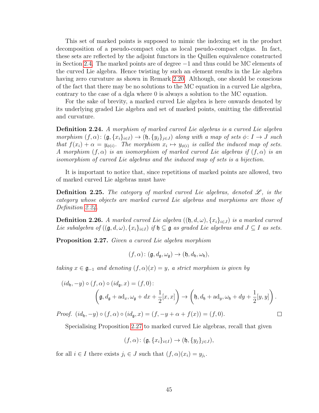This set of marked points is supposed to mimic the indexing set in the product decomposition of a pseudo-compact cdga as local pseudo-compact cdgas. In fact, these sets are reflected by the adjoint functors in the Quillen equivalence constructed in Section [2.4.](#page-57-0) The marked points are of degree −1 and thus could be MC elements of the curved Lie algebra. Hence twisting by such an element results in the Lie algebra having zero curvature as shown in Remark [2.20.](#page-49-0) Although, one should be conscious of the fact that there may be no solutions to the MC equation in a curved Lie algebra, contrary to the case of a dgla where 0 is always a solution to the MC equation.

For the sake of brevity, a marked curved Lie algebra is here onwards denoted by its underlying graded Lie algebra and set of marked points, omitting the differential and curvature.

<span id="page-50-1"></span>Definition 2.24. A morphism of marked curved Lie algebras is a curved Lie algebra morphism  $(f, \alpha)$ :  $(\mathfrak{g}, \{x_i\}_{i\in I}) \to (\mathfrak{h}, \{y_j\}_{j\in J})$  along with a map of sets  $\phi \colon I \to J$  such that  $f(x_i) + \alpha = y_{\phi(i)}$ . The morphism  $x_i \mapsto y_{\phi(i)}$  is called the induced map of sets. A morphism  $(f, \alpha)$  is an isomorphism of marked curved Lie algebras if  $(f, \alpha)$  is an isomorphism of curved Lie algebras and the induced map of sets is a bijection.

It is important to notice that, since repetitions of marked points are allowed, two of marked curved Lie algebras must have

**Definition 2.25.** The category of marked curved Lie algebras, denoted  $\mathscr{L}$ , is the category whose objects are marked curved Lie algebras and morphisms are those of Definition [2.24.](#page-50-1)

**Definition 2.26.** A marked curved Lie algebra  $((\mathfrak{h}, d, \omega), \{x_i\}_{i \in J})$  is a marked curved Lie subalgebra of  $((\mathfrak{g}, d, \omega), \{x_i\}_{i \in I})$  if  $\mathfrak{h} \subseteq \mathfrak{g}$  as graded Lie algebras and  $J \subseteq I$  as sets.

<span id="page-50-2"></span>Proposition 2.27. Given a curved Lie algebra morphism

$$
(f,\alpha)\colon (\mathfrak{g},d_{\mathfrak{g}},\omega_{\mathfrak{g}})\to (\mathfrak{h},d_{\mathfrak{h}},\omega_{\mathfrak{h}}),
$$

taking  $x \in \mathfrak{g}_{-1}$  and denoting  $(f, \alpha)(x) = y$ , a strict morphism is given by

$$
(id_{\mathfrak{h}}, -y) \circ (f, \alpha) \circ (id_{\mathfrak{g}}, x) = (f, 0):
$$

$$
\left(\mathfrak{g}, d_{\mathfrak{g}} + \mathrm{ad}_x, \omega_{\mathfrak{g}} + dx + \frac{1}{2}[x, x]\right) \to \left(\mathfrak{h}, d_{\mathfrak{h}} + \mathrm{ad}_y, \omega_{\mathfrak{h}} + dy + \frac{1}{2}[y, y]\right).
$$

 $\Box$ 

Proof.  $(id_{\mathfrak{h}}, -y) \circ (f, \alpha) \circ (id_{\mathfrak{a}}, x) = (f, -y + \alpha + f(x)) = (f, 0).$ 

Specialising Proposition [2.27](#page-50-2) to marked curved Lie algebras, recall that given

$$
(f,\alpha)\colon (\mathfrak{g}, \{x_i\}_{i\in I}) \to (\mathfrak{h}, \{y_j\}_{j\in J}),
$$

<span id="page-50-0"></span>for all  $i \in I$  there exists  $j_i \in J$  such that  $(f, \alpha)(x_i) = y_{j_i}$ .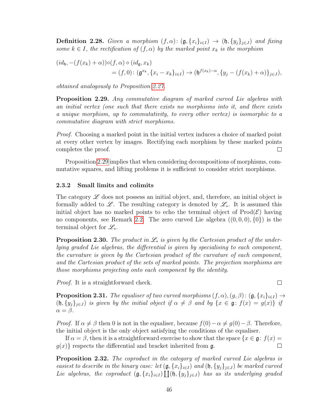**Definition 2.28.** Given a morphism  $(f, \alpha)$ :  $(\mathfrak{g}, \{x_i\}_{i\in I}) \rightarrow (\mathfrak{h}, \{y_i\}_{i\in J})$  and fixing some  $k \in I$ , the rectification of  $(f, \alpha)$  by the marked point  $x_k$  is the morphism

$$
(id_{\mathfrak{h}}, -(f(x_k) + \alpha))\circ (f, \alpha) \circ (id_{\mathfrak{g}}, x_k)
$$
  
=  $(f, 0): (\mathfrak{g}^{x_k}, \{x_i - x_k\}_{i \in I}) \to (\mathfrak{h}^{f(x_k)-\alpha}, \{y_j - (f(x_k) + \alpha)\}_{j \in J}),$ 

obtained analogously to Proposition [2.27.](#page-50-2)

<span id="page-51-0"></span>**Proposition 2.29.** Any commutative diagram of marked curved Lie algebras with an initial vertex (one such that there exists no morphisms into it, and there exists a unique morphism, up to commutativity, to every other vertex) is isomorphic to a commutative diagram with strict morphisms.

*Proof.* Choosing a marked point in the initial vertex induces a choice of marked point at every other vertex by images. Rectifying each morphism by these marked points completes the proof.  $\Box$ 

Proposition [2.29](#page-51-0) implies that when considering decompositions of morphisms, commutative squares, and lifting problems it is sufficient to consider strict morphisms.

#### 2.3.2 Small limits and colimits

The category  $\mathscr L$  does not possess an initial object, and, therefore, an initial object is formally added to L. The resulting category is denoted by  $\mathscr{L}_*$ . It is assumed this initial object has no marked points to echo the terminal object of  $\text{Prod}(\mathcal{E})$  having no components, see Remark [2.2.](#page-45-1) The zero curved Lie algebra  $((0,0,0), \{0\})$  is the terminal object for  $\mathscr{L}_{\ast}$ .

**Proposition 2.30.** The product in  $\mathcal{L}_*$  is given by the Cartesian product of the underlying graded Lie algebras, the differential is given by specialising to each component, the curvature is given by the Cartesian product of the curvature of each component, and the Cartesian product of the sets of marked points. The projection morphisms are those morphisms projecting onto each component by the identity.

Proof. It is a straightforward check.

**Proposition 2.31.** The equaliser of two curved morphisms  $(f, \alpha)$ ,  $(g, \beta)$ :  $(g, \{x_i\}_{i\in I}) \rightarrow$  $(\mathfrak{h}, \{y_i\}_{i\in J})$  is given by the initial object if  $\alpha \neq \beta$  and by  $\{x \in \mathfrak{g}: f(x) = g(x)\}\$ if  $\alpha = \beta$ .

 $\Box$ 

*Proof.* If  $\alpha \neq \beta$  then 0 is not in the equaliser, because  $f(0) - \alpha \neq g(0) - \beta$ . Therefore, the initial object is the only object satisfying the conditions of the equaliser.

If  $\alpha = \beta$ , then it is a straightforward exercise to show that the space  $\{x \in \mathfrak{g} : f(x) =$  $g(x)$  respects the differential and bracket inherited from g.  $\Box$ 

<span id="page-51-1"></span>**Proposition 2.32.** The coproduct in the category of marked curved Lie algebras is easiest to describe in the binary case: let  $(g, \{x_i\}_{i\in I})$  and  $(h, \{y_j\}_{j\in J})$  be marked curved Lie algebras, the coproduct  $(\mathfrak{g}, \{x_i\}_{i\in I}) \coprod (\mathfrak{h}, \{y_j\}_{j\in J})$  has as its underlying graded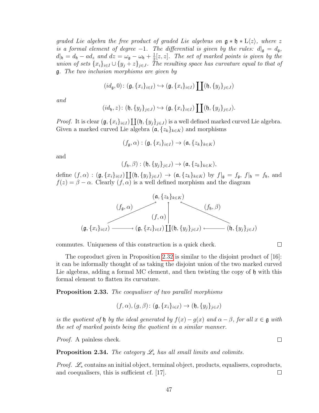graded Lie algebra the free product of graded Lie algebras on  $\mathfrak{g} * \mathfrak{h} * L\langle z \rangle$ , where z is a formal element of degree -1. The differential is given by the rules:  $d|_{\mathfrak{g}} = d_{\mathfrak{g}}$ ,  $d|_{\mathfrak{h}} = d_{\mathfrak{h}} - ad_z$  and  $dz = \omega_{\mathfrak{g}} - \omega_{\mathfrak{h}} + \frac{1}{2}$  $\frac{1}{2}[z, z]$ . The set of marked points is given by the union of sets  ${x_i}_{i\in I} \cup {y_j+z}_{j\in J}$ . The resulting space has curvature equal to that of g. The two inclusion morphisms are given by

$$
(id_{\mathfrak{g}},0)\colon (\mathfrak{g}, \{x_i\}_{i\in I}) \hookrightarrow (\mathfrak{g}, \{x_i\}_{i\in I})\coprod (\mathfrak{h}, \{y_j\}_{j\in J})
$$

and

$$
(id_{\mathfrak{h}}, z) \colon (\mathfrak{h}, \{y_j\}_{j \in J}) \hookrightarrow (\mathfrak{g}, \{x_i\}_{i \in I}) \coprod (\mathfrak{h}, \{y_j\}_{j \in J}).
$$

*Proof.* It is clear  $(\mathfrak{g}, \{x_i\}_{i \in I}) \coprod (\mathfrak{h}, \{y_j\}_{j \in J})$  is a well defined marked curved Lie algebra. Given a marked curved Lie algebra  $(\mathfrak{a}, \{z_k\}_{k\in K})$  and morphisms

$$
(f_{\mathfrak{g}}, \alpha) : (\mathfrak{g}, \{x_i\}_{i \in I}) \to (\mathfrak{a}, \{z_k\}_{k \in K})
$$

and

$$
(f_{\mathfrak{h}}, \beta) : (\mathfrak{h}, \{y_j\}_{j \in J}) \to (\mathfrak{a}, \{z_k\}_{k \in K}),
$$

define  $(f, \alpha) : (\mathfrak{g}, \{x_i\}_{i \in I}) \coprod (\mathfrak{h}, \{y_j\}_{j \in J}) \rightarrow (\mathfrak{a}, \{z_k\}_{k \in K})$  by  $f|_{\mathfrak{g}} = f_{\mathfrak{g}}, f|_{\mathfrak{h}} = f_{\mathfrak{h}},$  and  $f(z) = \beta - \alpha$ . Clearly  $(f, \alpha)$  is a well defined morphism and the diagram



commutes. Uniqueness of this construction is a quick check.

The coproduct given in Proposition [2.32](#page-51-1) is similar to the disjoint product of [16]: it can be informally thought of as taking the disjoint union of the two marked curved Lie algebras, adding a formal MC element, and then twisting the copy of  $\mathfrak h$  with this formal element to flatten its curvature.

 $\Box$ 

 $\Box$ 

Proposition 2.33. The coequaliser of two parallel morphisms

$$
(f, \alpha), (g, \beta) \colon (\mathfrak{g}, \{x_i\}_{i \in I}) \to (\mathfrak{h}, \{y_j\}_{j \in J})
$$

is the quotient of h by the ideal generated by  $f(x) - g(x)$  and  $\alpha - \beta$ , for all  $x \in \mathfrak{g}$  with the set of marked points being the quotient in a similar manner.

*Proof.* A painless check.

**Proposition 2.34.** The category  $\mathscr{L}_*$  has all small limits and colimits.

*Proof.*  $\mathscr{L}_*$  contains an initial object, terminal object, products, equalisers, coproducts, and coequalisers, this is sufficient cf. [17].  $\Box$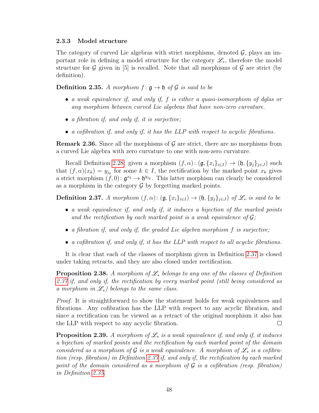### 2.3.3 Model structure

The category of curved Lie algebras with strict morphisms, denoted  $\mathcal{G}$ , plays an important role in defining a model structure for the category  $\mathscr{L}_{*}$ , therefore the model structure for  $G$  given in [5] is recalled. Note that all morphisms of  $G$  are strict (by definition).

<span id="page-53-1"></span>**Definition 2.35.** A morphism  $f: \mathfrak{g} \to \mathfrak{h}$  of G is said to be

- a weak equivalence if, and only if, f is either a quasi-isomorphism of dglas or any morphism between curved Lie algebras that have non-zero curvature.
- a fibration if, and only if, it is surjective;
- a cofibration if, and only if, it has the LLP with respect to acyclic fibrations.

**Remark 2.36.** Since all the morphisms of  $\mathcal{G}$  are strict, there are no morphisms from a curved Lie algebra with zero curvature to one with non-zero curvature.

Recall Definition [2.28:](#page-50-0) given a morphism  $(f, \alpha)$ :  $(\mathfrak{g}, \{x_i\}_{i\in I}) \to (\mathfrak{h}, \{y_j\}_{j\in J})$  such that  $(f, \alpha)(x_k) = y_{j_k}$  for some  $k \in I$ , the rectification by the marked point  $x_k$  gives a strict morphism  $(f, 0)$ :  $\mathfrak{g}^{x_k} \to \mathfrak{h}^{y_{j_k}}$ . This latter morphism can clearly be considered as a morphism in the category  $\mathcal G$  by forgetting marked points.

<span id="page-53-0"></span>**Definition 2.37.** A morphism  $(f, \alpha)$ :  $(\mathfrak{g}, \{x_i\}_{i\in I}) \rightarrow (\mathfrak{h}, \{y_i\}_{i\in J})$  of  $\mathscr{L}_*$  is said to be

- a weak equivalence if, and only if, it induces a bijection of the marked points and the rectification by each marked point is a weak equivalence of  $\mathcal{G}$ ;
- a fibration if, and only if, the graded Lie algebra morphism  $f$  is surjective;
- a cofibration if, and only if, it has the LLP with respect to all acyclic fibrations.

It is clear that each of the classes of morphism given in Definition [2.37](#page-53-0) is closed under taking retracts, and they are also closed under rectification.

<span id="page-53-2"></span>**Proposition 2.38.** A morphism of  $\mathcal{L}_*$  belongs to any one of the classes of Definition [2.37](#page-53-0) if, and only if, the rectification by every marked point (still being considered as a morphism in  $\mathscr{L}_*$ ) belongs to the same class.

Proof. It is straightforward to show the statement holds for weak equivalences and fibrations. Any cofibration has the LLP with respect to any acyclic fibration, and since a rectification can be viewed as a retract of the original morphism it also has the LLP with respect to any acyclic fibration.  $\Box$ 

<span id="page-53-3"></span>**Proposition 2.39.** A morphism of  $\mathcal{L}_*$  is a weak equivalence if, and only if, it induces a bijection of marked points and the rectification by each marked point of the domain considered as a morphism of G is a weak equivalence. A morphism of  $\mathscr{L}_*$  is a cofibration (resp. fibration) in Definition [2.37](#page-53-0) if, and only if, the rectification by each marked point of the domain considered as a morphism of  $\mathcal G$  is a cofibration (resp. fibration) in Definition [2.35.](#page-53-1)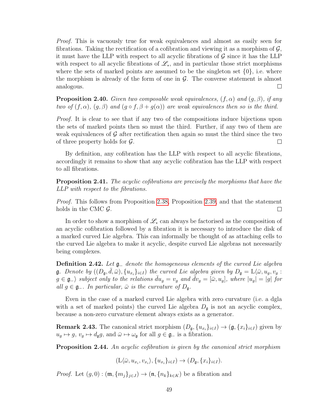Proof. This is vacuously true for weak equivalences and almost as easily seen for fibrations. Taking the rectification of a cofibration and viewing it as a morphism of  $\mathcal{G}$ , it must have the LLP with respect to all acyclic fibrations of  $\mathcal G$  since it has the LLP with respect to all acyclic fibrations of  $\mathscr{L}_*$ , and in particular those strict morphisms where the sets of marked points are assumed to be the singleton set  $\{0\}$ , i.e. where the morphism is already of the form of one in  $\mathcal{G}$ . The converse statement is almost analogous.  $\Box$ 

**Proposition 2.40.** Given two composable weak equivalences,  $(f, \alpha)$  and  $(g, \beta)$ , if any two of  $(f, \alpha)$ ,  $(g, \beta)$  and  $(g \circ f, \beta + g(\alpha))$  are weak equivalences then so is the third.

Proof. It is clear to see that if any two of the compositions induce bijections upon the sets of marked points then so must the third. Further, if any two of them are weak equivalences of  $\mathcal G$  after rectification then again so must the third since the two of three property holds for  $\mathcal{G}$ .  $\Box$ 

By definition, any cofibration has the LLP with respect to all acyclic fibrations, accordingly it remains to show that any acyclic cofibration has the LLP with respect to all fibrations.

**Proposition 2.41.** The acyclic cofibrations are precisely the morphisms that have the LLP with respect to the fibrations.

Proof. This follows from Proposition [2.38,](#page-53-2) Proposition [2.39,](#page-53-3) and that the statement holds in the CMC  $\mathcal{G}$ .  $\Box$ 

In order to show a morphism of  $\mathscr{L}_*$  can always be factorised as the composition of an acyclic cofibration followed by a fibration it is necessary to introduce the disk of a marked curved Lie algebra. This can informally be thought of as attaching cells to the curved Lie algebra to make it acyclic, despite curved Lie algebras not necessarily being complexes.

**Definition 2.42.** Let  $\mathfrak{g}_-$  denote the homogeneous elements of the curved Lie algebra **g**. Denote by  $((D_{\mathfrak{g}}, \overline{d}, \overline{\omega}), \{u_{x_i}\}_{i\in I})$  the curved Lie algebra given by  $D_{\mathfrak{g}} = \mathcal{L}\langle \overline{\omega}, u_g, v_g:$  $g \in \mathfrak{g}_-\rangle$  subject only to the relations  $\bar{d}u_g = v_g$  and  $\bar{d}v_g = [\bar{\omega}, u_g]$ , where  $|u_g| = |g|$  for all  $g \in \mathfrak{g}_-$ . In particular,  $\bar{\omega}$  is the curvature of  $D_{\mathfrak{a}}$ .

Even in the case of a marked curved Lie algebra with zero curvature (i.e. a dgla with a set of marked points) the curved Lie algebra  $D_{\mathfrak{g}}$  is not an acyclic complex, because a non-zero curvature element always exists as a generator.

**Remark 2.43.** The canonical strict morphism  $(D_{\mathfrak{g}}, \{u_{x_i}\}_{i\in I}) \to (\mathfrak{g}, \{x_i\}_{i\in I})$  given by  $u_g \mapsto g$ ,  $v_g \mapsto d_g g$ , and  $\bar{\omega} \mapsto \omega_g$  for all  $g \in \mathfrak{g}_-$  is a fibration.

Proposition 2.44. An acyclic cofibration is given by the canonical strict morphism

$$
(\mathcal{L}\langle \bar{\omega}, u_{x_i}, v_{x_i}\rangle, \{u_{x_i}\}_{i\in I}) \to (D_{\mathfrak{g}}, \{x_i\}_{i\in I}).
$$

*Proof.* Let  $(g, 0) : (\mathfrak{m}, \{m_i\}_{i\in J}) \to (\mathfrak{n}, \{n_k\}_{k\in K})$  be a fibration and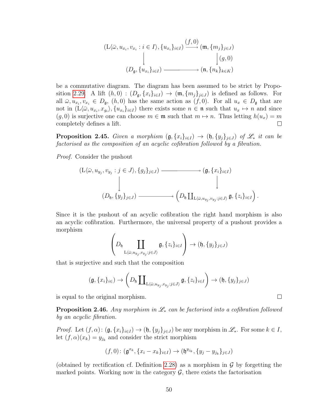$$
(L\langle \bar{\omega}, u_{x_i}, v_{x_i} : i \in I \rangle, \{u_{x_i}\}_{i \in I}) \xrightarrow{(f, 0)} (\mathfrak{m}, \{m_j\}_{j \in J})
$$

$$
\downarrow (g, 0)
$$

$$
(D_{\mathfrak{g}}, \{u_{x_i}\}_{i \in I}) \xrightarrow{\qquad} (\mathfrak{n}, \{n_k\}_{k \in K})
$$

be a commutative diagram. The diagram has been assumed to be strict by Propo-sition [2.29.](#page-51-0) A lift  $(h, 0) : (D_{\mathfrak{g}}, \{x_i\}_{i\in I}) \to (\mathfrak{m}, \{m_j\}_{j\in J})$  is defined as follows. For all  $\bar{\omega}, u_{x_i}, v_{x_i} \in D_{\mathfrak{g}},$   $(h, 0)$  has the same action as  $(f, 0)$ . For all  $u_x \in D_{\mathfrak{g}}$  that are not in  $(L\langle \bar{\omega}, u_{x_i}, x_{g_i}\rangle, \{u_{x_i}\}_{i\in I})$  there exists some  $n \in \mathfrak{n}$  such that  $u_x \mapsto n$  and since  $(g, 0)$  is surjective one can choose  $m \in \mathfrak{m}$  such that  $m \mapsto n$ . Thus letting  $h(u_x) = m$ completely defines a lift.  $\Box$ 

**Proposition 2.45.** Given a morphism  $(g, \{x_i\}_{i\in I}) \rightarrow (h, \{y_j\}_{j\in J})$  of  $\mathcal{L}_*$  it can be factorised as the composition of an acyclic cofibration followed by a fibration.

Proof. Consider the pushout

$$
(L\langle \bar{\omega}, u_{y_j}, v_{y_j} : j \in J \rangle, \{g_j\}_{j \in J}) \longrightarrow (g, \{x_i\}_{i \in I})
$$
  

$$
\downarrow \qquad \qquad \downarrow
$$
  

$$
(D_{\mathfrak{h}}, \{y_j\}_{j \in J}) \longrightarrow (D_{\mathfrak{h}} \coprod_{L\langle \bar{\omega}, u_{y_j}, v_{y_j} : j \in J \rangle} \mathfrak{g}, \{z_i\}_{i \in I}).
$$

Since it is the pushout of an acyclic cofibration the right hand morphism is also an acyclic cofibration. Furthermore, the universal property of a pushout provides a morphism

$$
\left(D_{\mathfrak{h}}\coprod_{\mathrm{L}\langle\bar{\omega},u_{y_j},v_{y_j}:j\in J\rangle}\mathfrak{g},\{z_i\}_{i\in I}\right)\to(\mathfrak{h},\{y_j\}_{j\in J})
$$

that is surjective and such that the composition

$$
(\mathfrak{g}, \{x_i\}_{i\in}) \to \left(D_{\mathfrak{h}}\coprod_{L\langle \bar{\omega}, u_{y_j}, v_{y_j}:j\in J\rangle} \mathfrak{g}, \{z_i\}_{i\in I}\right) \to (\mathfrak{h}, \{y_j\}_{j\in J})
$$

is equal to the original morphism.

**Proposition 2.46.** Any morphism in  $\mathcal{L}_*$  can be factorised into a cofibration followed by an acyclic fibration.

*Proof.* Let  $(f, \alpha)$ :  $(\mathfrak{g}, \{x_i\}_{i\in I}) \to (\mathfrak{h}, \{y_j\}_{j\in J})$  be any morphism in  $\mathscr{L}_*$ . For some  $k \in I$ , let  $(f, \alpha)(x_k) = y_{j_k}$  and consider the strict morphism

$$
(f,0) \colon (\mathfrak{g}^{x_k}, \{x_i - x_k\}_{i \in I}) \to (\mathfrak{h}^{y_{j_k}}, \{y_j - y_{j_k}\}_{j \in J})
$$

(obtained by rectification cf. Definition [2.28\)](#page-50-0) as a morphism in  $\mathcal G$  by forgetting the marked points. Working now in the category  $\mathcal{G}$ , there exists the factorisation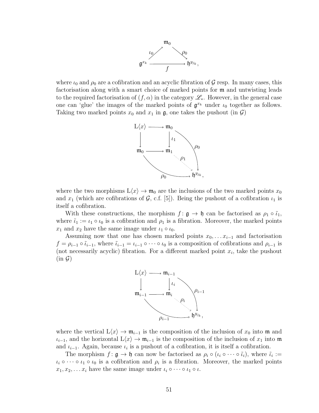

where  $\iota_0$  and  $\rho_0$  are a cofibration and an acyclic fibration of G resp. In many cases, this factorisation along with a smart choice of marked points for m and untwisting leads to the required factorisation of  $(f, \alpha)$  in the category  $\mathscr{L}_{*}$ . However, in the general case one can 'glue' the images of the marked points of  $\mathfrak{g}^{x_k}$  under  $\iota_0$  together as follows. Taking two marked points  $x_0$  and  $x_1$  in  $\mathfrak{g}$ , one takes the pushout (in  $\mathcal{G}$ )



where the two morphisms  $L\langle x \rangle \to \mathfrak{m}_0$  are the inclusions of the two marked points  $x_0$ and  $x_1$  (which are cofibrations of G, c.f. [5]). Being the pushout of a cofibration  $u_1$  is itself a cofibration.

With these constructions, the morphism  $f : \mathfrak{g} \to \mathfrak{h}$  can be factorised as  $\rho_1 \circ \tilde{\iota}_1$ , where  $\tilde{\iota}_1 := \iota_1 \circ \iota_0$  is a cofibration and  $\rho_1$  is a fibration. Moreover, the marked points  $x_1$  and  $x_2$  have the same image under  $\iota_1 \circ \iota_0$ .

Assuming now that one has chosen marked points  $x_0, \ldots, x_{i-1}$  and factorisation  $f = \rho_{i-1} \circ \tilde{\iota}_{i-1}$ , where  $\tilde{\iota}_{i-1} = \iota_{i-1} \circ \cdots \circ \iota_0$  is a composition of cofibrations and  $\rho_{i-1}$  is (not necessarily acyclic) fibration. For a different marked point  $x_i$ , take the pushout  $(in \mathcal{G})$ 



where the vertical  $L\langle x \rangle \to \mathfrak{m}_{i-1}$  is the composition of the inclusion of  $x_0$  into  $\mathfrak{m}$  and  $\iota_{i-1}$ , and the horizontal  $L\langle x \rangle \to \mathfrak{m}_{i-1}$  is the composition of the inclusion of  $x_1$  into  $\mathfrak{m}$ and  $\iota_{i-1}$ . Again, because  $\iota_i$  is a pushout of a cofibration, it is itself a cofibration.

The morphism  $f: \mathfrak{g} \to \mathfrak{h}$  can now be factorised as  $\rho_i \circ (\iota_i \circ \cdots \circ \tilde{\iota}_i)$ , where  $\tilde{\iota}_i :=$  $\iota_i \circ \cdots \circ \iota_1 \circ \iota_0$  is a cofibration and  $\rho_i$  is a fibration. Moreover, the marked points  $x_1, x_2, \ldots x_i$  have the same image under  $\iota_i \circ \cdots \circ \iota_1 \circ \iota$ .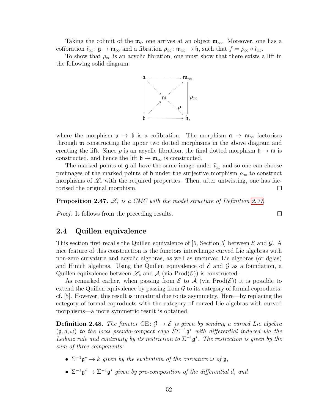Taking the colimit of the  $m_i$ , one arrives at an object  $m_\infty$ . Moreover, one has a cofibration  $\tilde{\iota}_{\infty} : \mathfrak{g} \to \mathfrak{m}_{\infty}$  and a fibration  $\rho_{\infty} : \mathfrak{m}_{\infty} \to \mathfrak{h}$ , such that  $f = \rho_{\infty} \circ \tilde{\iota}_{\infty}$ .

To show that  $\rho_{\infty}$  is an acyclic fibration, one must show that there exists a lift in the following solid diagram:



where the morphism  $\mathfrak{a} \to \mathfrak{b}$  is a cofibration. The morphism  $\mathfrak{a} \to \mathfrak{m}_{\infty}$  factorises through m constructing the upper two dotted morphisms in the above diagram and creating the lift. Since p is an acyclic fibration, the final dotted morphism  $\mathfrak{b} \to \mathfrak{m}$  is constructed, and hence the lift  $\mathfrak{b} \to \mathfrak{m}_{\infty}$  is constructed.

The marked points of  $\mathfrak g$  all have the same image under  $\tilde{\iota}_{\infty}$  and so one can choose preimages of the marked points of h under the surjective morphism  $\rho_{\infty}$  to construct morphisms of  $\mathscr{L}_{*}$  with the required properties. Then, after untwisting, one has factorised the original morphism.  $\Box$ 

 $\Box$ 

**Proposition 2.47.**  $\mathcal{L}_*$  is a CMC with the model structure of Definition [2.37.](#page-53-0)

Proof. It follows from the preceding results.

## <span id="page-57-0"></span>2.4 Quillen equivalence

This section first recalls the Quillen equivalence of [5, Section 5] between  $\mathcal E$  and  $\mathcal G$ . A nice feature of this construction is the functors interchange curved Lie algebras with non-zero curvature and acyclic algebras, as well as uncurved Lie algebras (or dglas) and Hinich algebras. Using the Quillen equivalence of  $\mathcal E$  and  $\mathcal G$  as a foundation, a Quillen equivalence between  $\mathscr{L}_{*}$  and  $\mathscr{A}$  (via Prod $(\mathscr{E})$ ) is constructed.

As remarked earlier, when passing from  $\mathcal E$  to  $\mathcal A$  (via Prod $(\mathcal E)$ ) it is possible to extend the Quillen equivalence by passing from  $\mathcal G$  to its category of formal coproducts: cf. [5]. However, this result is unnatural due to its asymmetry. Here—by replacing the category of formal coproducts with the category of curved Lie algebras with curved morphisms—a more symmetric result is obtained.

<span id="page-57-1"></span>**Definition 2.48.** The functor CE:  $\mathcal{G} \to \mathcal{E}$  is given by sending a curved Lie algebra  $(\mathfrak{g}, d, \omega)$  to the local pseudo-compact cdga  $\hat{S} \Sigma^{-1} \mathfrak{g}^*$  with differential induced via the Leibniz rule and continuity by its restriction to  $\Sigma^{-1}$ **g**<sup>\*</sup>. The restriction is given by the sum of three components:

- $\Sigma^{-1}$  $\mathfrak{g}^* \to k$  given by the evaluation of the curvature  $\omega$  of  $\mathfrak{g}$ ,
- $\Sigma^{-1}\mathfrak{g}^* \to \Sigma^{-1}\mathfrak{g}^*$  given by pre-composition of the differential d, and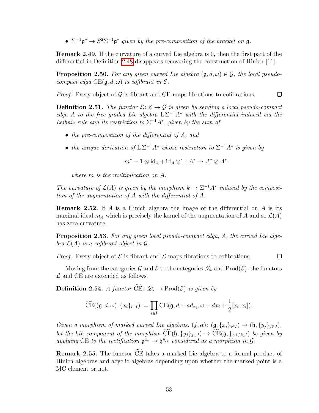•  $\Sigma^{-1}\mathfrak{g}^* \to S^2\Sigma^{-1}\mathfrak{g}^*$  given by the pre-composition of the bracket on  $\mathfrak{g}$ .

Remark 2.49. If the curvature of a curved Lie algebra is 0, then the first part of the differential in Definition [2.48](#page-57-1) disappears recovering the construction of Hinich [11].

**Proposition 2.50.** For any given curved Lie algebra  $(\mathfrak{g}, d, \omega) \in \mathcal{G}$ , the local pseudocompact cdga  $CE(\mathfrak{g}, d, \omega)$  is cofibrant in  $\mathcal{E}$ .

 $\Box$ *Proof.* Every object of  $\mathcal G$  is fibrant and CE maps fibrations to cofibrations.

**Definition 2.51.** The functor  $\mathcal{L}: \mathcal{E} \to \mathcal{G}$  is given by sending a local pseudo-compact cdga A to the free graded Lie algebra  $L \Sigma^{-1} A^*$  with the differential induced via the Leibniz rule and its restriction to  $\Sigma^{-1}A^*$ , given by the sum of

- the pre-composition of the differential of A, and
- the unique derivation of  $L\Sigma^{-1}A^*$  whose restriction to  $\Sigma^{-1}A^*$  is given by

$$
m^* - 1 \otimes \mathrm{id}_A + \mathrm{id}_A \otimes 1 : A^* \to A^* \otimes A^*,
$$

where m is the multiplication on A.

The curvature of  $\mathcal{L}(A)$  is given by the morphism  $k \to \Sigma^{-1} A^*$  induced by the composition of the augmentation of A with the differential of A.

**Remark 2.52.** If A is a Hinich algebra the image of the differential on A is its maximal ideal  $m_A$  which is precisely the kernel of the augmentation of A and so  $\mathcal{L}(A)$ has zero curvature.

Proposition 2.53. For any given local pseudo-compact cdga, A, the curved Lie algebra  $\mathcal{L}(A)$  is a cofibrant object in  $\mathcal{G}$ .

*Proof.* Every object of  $\mathcal E$  is fibrant and  $\mathcal L$  maps fibrations to cofibrations.  $\Box$ 

Moving from the categories G and E to the categories  $\mathscr{L}_{*}$  and  $\text{Prod}(\mathscr{E})$ , the functors  $\mathcal L$  and CE are extended as follows.

**Definition 2.54.** A functor  $\widetilde{\mathrm{CE}}$ :  $\mathscr{L}_* \to \mathrm{Prod}(\mathscr{E})$  is given by

$$
\widetilde{\mathrm{CE}}((\mathfrak{g},d,\omega),\{x_i\}_{i\in I}) := \prod_{i\in I} \mathrm{CE}(\mathfrak{g},d+ad_{x_i},\omega+dx_i+\frac{1}{2}[x_i,x_i]).
$$

Given a morphism of marked curved Lie algebras,  $(f, \alpha)$ :  $(g, \{x_i\}_{i\in I}) \rightarrow (h, \{y_i\}_{i\in J})$ , let the kth component of the morphism  $\widetilde{\mathrm{CE}}(\mathfrak{h}, \{y_j\}_{j\in J}) \to \widetilde{\mathrm{CE}}(\mathfrak{g}, \{x_i\}_{i\in I})$  be given by applying CE to the rectification  $\mathfrak{g}^{x_k} \to \mathfrak{h}^{y_{j_k}}$  considered as a morphism in  $\mathcal{G}$ .

**Remark 2.55.** The functor CE takes a marked Lie algebra to a formal product of Hinich algebras and acyclic algebras depending upon whether the marked point is a MC element or not.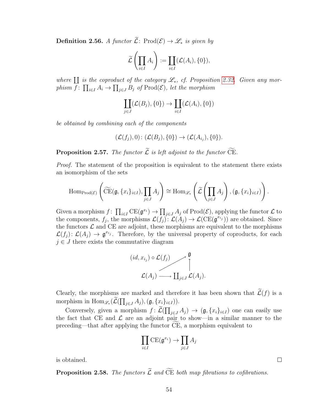**Definition 2.56.** A functor  $\widetilde{\mathcal{L}}$ : Prod $(\mathcal{E}) \to \mathcal{L}_*$  is given by

$$
\widetilde{\mathcal{L}}\left(\prod_{i\in I}A_i\right):=\coprod_{i\in I}(\mathcal{L}(A_i),\{0\}),
$$

where  $\coprod$  is the coproduct of the category  $\mathscr{L}_*$ , cf. Proposition [2.32.](#page-51-1) Given any morphism  $f: \prod_{i \in I} A_i \to \prod_{j \in J} B_j$  of  $\text{Prod}(\mathcal{E})$ , let the morphism

$$
\coprod_{j\in J}(\mathcal{L}(B_j),\{0\}) \to \coprod_{i\in I}(\mathcal{L}(A_i),\{0\})
$$

be obtained by combining each of the components

$$
(\mathcal{L}(f_j),0): (\mathcal{L}(B_j),\{0\}) \to (\mathcal{L}(A_{i_j}),\{0\}).
$$

**Proposition 2.57.** The functor  $\widetilde{\mathcal{L}}$  is left adjoint to the functor  $\widetilde{\mathrm{CE}}$ .

Proof. The statement of the proposition is equivalent to the statement there exists an isomorphism of the sets

$$
\operatorname{Hom}_{\operatorname{Prod}(\mathcal{E})}\left(\widetilde{\operatorname{CE}}(\mathfrak{g}, \{x_i\}_{i \in I}), \prod_{j \in J} A_j\right) \cong \operatorname{Hom}_{\mathscr{L}_{*}}\left(\widetilde{\mathcal{L}}\left(\prod_{j \in J} A_j\right), (\mathfrak{g}, \{x_i\}_{i \in I})\right).
$$

Given a morphism  $f: \prod_{i \in I} \text{CE}(\mathfrak{g}^{x_i}) \to \prod_{j \in J} A_j$  of  $\text{Prod}(\mathcal{E})$ , applying the functor  $\mathcal{L}$  to the components,  $f_j$ , the morphisms  $\mathcal{L}(f_j) \colon \mathcal{L}(A_j) \to \mathcal{L}(\mathrm{CE}(\mathfrak{g}^{x_{i_j}}))$  are obtained. Since the functors  $\mathcal L$  and CE are adjoint, these morphisms are equivalent to the morphisms  $\mathcal{L}(f_j) \colon \mathcal{L}(A_j) \to \mathfrak{g}^{x_{i_j}}$ . Therefore, by the universal property of coproducts, for each  $j \in J$  there exists the commutative diagram

$$
(id, x_{i_j}) \circ \mathcal{L}(f_j) \longrightarrow \mathfrak{g}
$$

$$
\uparrow
$$

$$
\mathcal{L}(A_j) \longrightarrow \coprod_{j \in J} \mathcal{L}(A_j)
$$

Clearly, the morphisms are marked and therefore it has been shown that  $\widetilde{\mathcal{L}}(f)$  is a morphism in  $\text{Hom}_{\mathscr{L}_*}(\mathcal{L}(\prod_{j\in J} A_j), (\mathfrak{g}, \{x_i\}_{i\in I})).$ 

 $)$ .

Conversely, given a morphism  $f: \mathcal{L}(\prod_{j\in J} A_j) \to (\mathfrak{g}, \{x_i\}_{i\in I})$  one can easily use the fact that CE and  $\mathcal L$  are an adjoint pair to show—in a similar manner to the preceding—that after applying the functor CE, a morphism equivalent to <sup>f</sup>

$$
\prod_{i\in I} \text{CE}(\mathfrak{g}^{x_i}) \to \prod_{j\in J} A_j
$$

is obtained.

<span id="page-59-0"></span>**Proposition 2.58.** The functors  $\widetilde{\mathcal{L}}$  and  $\widetilde{\mathbf{CE}}$  both map fibrations to cofibrations.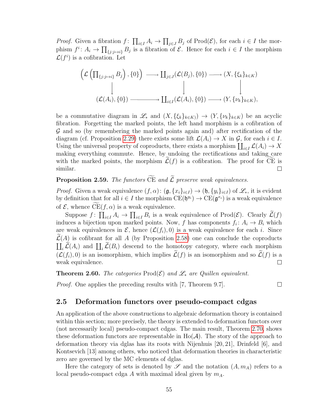*Proof.* Given a fibration  $f: \prod_{i \in I} A_i \to \prod_{j \in J} B_j$  of  $\text{Prod}(\mathcal{E})$ , for each  $i \in I$  the morphism  $f^i: A_i \to \prod_{\{j:j\to i\}} B_j$  is a fibration of  $\mathcal{E}$ . Hence for each  $i \in I$  the morphism  $\mathcal{L}(f^i)$  is a cofibration. Let

$$
\left(\mathcal{L}\left(\prod_{\{j:j\mapsto i\}}B_j\right),\{0\}\right) \longrightarrow \coprod_{j\in J}(\mathcal{L}(B_j),\{0\}) \longrightarrow (X,\{\xi_k\}_{k\in K})
$$
\n
$$
\downarrow \qquad \qquad \downarrow \qquad \qquad \downarrow
$$
\n
$$
(\mathcal{L}(A_i),\{0\}) \longrightarrow \coprod_{i\in I}(\mathcal{L}(A_i),\{0\}) \longrightarrow (Y,\{\nu_k\}_{k\in K}),
$$

be a commutative diagram in  $\mathscr{L}_*$  and  $(X, \{\xi_k\}_{k\in K}) \to (Y, \{\nu_k\}_{k\in K})$  be an acyclic fibration. Forgetting the marked points, the left hand morphism is a cofibration of G and so (by remembering the marked points again and) after rectification of the diagram (cf. Proposition [2.29\)](#page-51-0) there exists some lift  $\mathcal{L}(A_i) \to X$  in  $\mathcal{G}$ , for each  $i \in I$ . Using the universal property of coproducts, there exists a morphism  $\coprod_{i\in I} \mathcal{L}(A_i) \to X$ making everything commute. Hence, by undoing the rectifications and taking care with the marked points, the morphism  $\mathcal{L}(f)$  is a cofibration. The proof for CE is similar. similar.

**Proposition 2.59.** The functors  $\widetilde{\mathbf{CE}}$  and  $\widetilde{\mathbf{L}}$  preserve weak equivalences.

*Proof.* Given a weak equivalence  $(f, \alpha)$ :  $(\mathfrak{g}, \{x_i\}_{i\in I}) \to (\mathfrak{h}, \{y_i\}_{i\in I})$  of  $\mathscr{L}_*$ , it is evident by definition that for all  $i \in I$  the morphism  $CE(\mathfrak{h}^{y_i}) \to CE(\mathfrak{g}^{x_i})$  is a weak equivalence of  $\mathcal{E}$ , whence  $CE(f, \alpha)$  is a weak equivalence.

Suppose  $f: \prod_{i\in I} A_i \to \prod_{i\in I} B_i$  is a weak equivalence of  $\text{Prod}(\mathcal{E})$ . Clearly  $\mathcal{L}(f)$ induces a bijection upon marked points. Now, f has components  $f_i: A_i \to B_i$  which are weak equivalences in  $\mathcal{E}$ , hence  $(\mathcal{L}(f_i), 0)$  is a weak equivalence for each i. Since  $\mathcal{L}(A)$  is cofibrant for all A (by Proposition [2.58\)](#page-59-0) one can conclude the coproducts  $\coprod_i \mathcal{L}(A_i)$  and  $\coprod_i \mathcal{L}(B_i)$  descend to the homotopy category, where each morphism  $(\mathcal{L}(f_i), 0)$  is an isomorphism, which implies  $\widetilde{\mathcal{L}}(f)$  is an isomorphism and so  $\widetilde{\mathcal{L}}(f)$  is a weak equivalence. weak equivalence.

 $\Box$ 

<span id="page-60-0"></span>**Theorem 2.60.** The categories Prod $(\mathcal{E})$  and  $\mathcal{L}_*$  are Quillen equivalent.

Proof. One applies the preceding results with [7, Theorem 9.7].

# <span id="page-60-1"></span>2.5 Deformation functors over pseudo-compact cdgas

An application of the above constructions to algebraic deformation theory is contained within this section; more precisely, the theory is extended to deformation functors over (not necessarily local) pseudo-compact cdgas. The main result, Theorem [2.70,](#page-62-0) shows these deformation functors are representable in  $Ho(A)$ . The story of the approach to deformation theory via dglas has its roots with Nijenhuis [20, 21], Drinfeld [6], and Kontsevich [13] among others, who noticed that deformation theories in characteristic zero are governed by the MC elements of dglas.

Here the category of sets is denoted by  $\mathscr S$  and the notation  $(A, m_A)$  refers to a local pseudo-compact cdga A with maximal ideal given by  $m_A$ .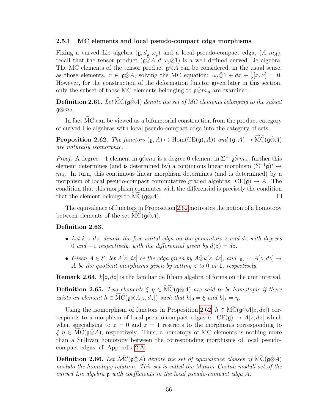#### 2.5.1 MC elements and local pseudo-compact cdga morphisms

Fixing a curved Lie algebra  $(\mathfrak{g}, d_{\mathfrak{g}}, \omega_{\mathfrak{g}})$  and a local pseudo-compact cdga,  $(A, m_A)$ , recall that the tensor product  $(\mathfrak{g}\hat{\otimes}A, d, \omega_{\mathfrak{g}}\hat{\otimes}1)$  is a well defined curved Lie algebra. The MC elements of the tensor product  $\mathfrak{g} \otimes A$  can be considered, in the usual sense, as those elements,  $x \in \mathfrak{g} \hat{\otimes} A$ , solving the MC equation:  $\omega_{\mathfrak{g}} \hat{\otimes} 1 + dx + \frac{1}{2}$  $\frac{1}{2}[x, x] = 0.$ However, for the construction of the deformation functor given later in this section, only the subset of those MC elements belonging to  $\mathfrak{g} \hat{\otimes} m_A$  are examined.

**Definition 2.61.** Let  $MC(\hat{g}\hat{\otimes}A)$  denote the set of MC elements belonging to the subset  $\mathfrak{g} \hat{\otimes} m_A$ .

In fact MC can be viewed as a bifunctorial construction from the product category of curved Lie algebras with local pseudo-compact cdga into the category of sets.

<span id="page-61-0"></span>**Proposition 2.62.** The functors  $(g, A) \mapsto \text{Hom}(CE(g), A)$  and  $(g, A) \mapsto \widetilde{\text{MC}}(g \hat{\otimes} A)$ are naturally isomorphic.

*Proof.* A degree  $-1$  element in  $\mathfrak{g} \hat{\otimes} m_A$  is a degree 0 element in  $\Sigma^{-1} \mathfrak{g} \hat{\otimes} m_A$ , further this element determines (and is determined by) a continuous linear morphism  $(\Sigma^{-1}\mathfrak{g})^* \to$  $m_A$ . In turn, this continuous linear morphism determines (and is determined) by a morphism of local pseudo-compact commutative graded algebras:  $CE(g) \rightarrow A$ . The condition that this morphism commutes with the differential is precisely the condition that the element belongs to  $MC(\mathfrak{g}\hat{\otimes}A)$ .  $\Box$ 

The equivalence of functors in Proposition [2.62](#page-61-0) motivates the notion of a homotopy between elements of the set MC( $\mathfrak{g}(\hat{\otimes}A)$ .

#### <span id="page-61-1"></span>Definition 2.63.

- Let  $k[z, dz]$  denote the free unital cdga on the generators z and dz with degrees 0 and  $-1$  respectively, with the differential given by  $d(z) = dz$ .
- Given  $A \in \mathcal{E}$ , let  $A[z, dz]$  be the cdga given by  $A \hat{\otimes} k[z, dz]$ , and  $|_0, |_1 : A[z, dz] \rightarrow$ A be the quotient morphisms given by setting z to 0 or 1, respectively.

**Remark 2.64.**  $k[z, dz]$  is the familiar de Rham algebra of forms on the unit interval.

**Definition 2.65.** Two elements  $\xi, \eta \in \text{MC}(\mathfrak{g} \hat{\otimes} A)$  are said to be homotopic if there exists an element  $h \in \overline{\text{MC}}(\mathfrak{g}\hat{\otimes}A[z,dz])$  such that  $h|_0 = \xi$  and  $h|_1 = \eta$ .

Using the isomorphism of functors in Proposition [2.62,](#page-61-0)  $h \in \text{MC}(\mathfrak{g} \hat{\otimes} A[z, dz])$  corresponds to a morphism of local pseudo-compact cdgas h:  $CE(\mathfrak{g}) \rightarrow A[z, dz]$  which when specialising to  $z = 0$  and  $z = 1$  restricts to the morphisms corresponding to  $\xi, \eta \in \text{MC}(\mathfrak{g}\hat{\otimes}A)$ , respectively. Thus, a homotopy of MC elements is nothing more than a Sullivan homotopy between the corresponding morphisms of local pseudocompact cdgas, cf. Appendix [2.A.](#page-63-1)

**Definition 2.66.** Let  $MC$  ( $\hat{\alpha} \& A$ ) denote the set of equivalence classes of  $MC$  ( $\hat{\alpha} \& A$ ) modulo the homotopy relation. This set is called the Maurer-Cartan moduli set of the curved Lie algebra g with coefficients in the local pseudo-compact cdga A.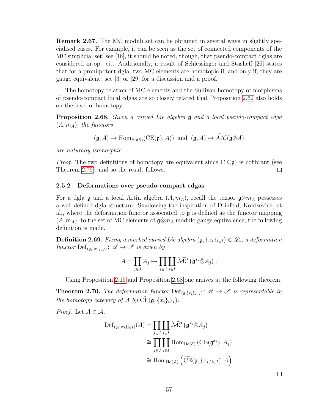Remark 2.67. The MC moduli set can be obtained in several ways in slightly specialised cases. For example, it can be seen as the set of connected components of the MC simplicial set; see [16], it should be noted, though, that pseudo-compact dglas are considered in op. cit. Additionally, a result of Schlessinger and Stasheff [26] states that for a pronilpotent dgla, two MC elements are homotopic if, and only if, they are gauge equivalent: see [3] or [29] for a discussion and a proof.

The homotopy relation of MC elements and the Sullivan homotopy of morphisms of pseudo-compact local cdgas are so closely related that Proposition [2.62](#page-61-0) also holds on the level of homotopy.

<span id="page-62-2"></span>Proposition 2.68. Given a curved Lie algebra g and a local pseudo-compact cdga  $(A, m_A)$ , the functors

$$
(\mathfrak{g}, A) \mapsto \text{Hom}_{\text{Ho}(\mathcal{E})}(\text{CE}(\mathfrak{g}), A)) \text{ and } (\mathfrak{g}, A) \mapsto \widetilde{\mathcal{MC}}(\mathfrak{g}\hat{\otimes}A)
$$

are naturally isomorphic.

*Proof.* The two definitions of homotopy are equivalent since  $CE(\mathfrak{g})$  is cofibrant (see Theorem [2.79\)](#page-64-0), and so the result follows.  $\Box$ 

#### 2.5.2 Deformations over pseudo-compact cdgas

For a dgla g and a local Artin algebra  $(A, m_A)$ , recall the tensor  $\mathfrak{g} \hat{\otimes} m_A$  possesses a well-defined dgla structure. Shadowing the inspiration of Drinfeld, Kontsevich, et al., where the deformation functor associated to  $\mathfrak g$  is defined as the functor mapping  $(A, m_A)$ , to the set of MC elements of  $\mathfrak{g} \hat{\otimes} m_A$  modulo gauge equivalence, the following definition is made.

<span id="page-62-1"></span>**Definition 2.69.** Fixing a marked curved Lie algebra  $(\mathfrak{g}, \{x_i\}_{i\in I}) \in \mathscr{L}_*$ , a deformation functor  $\mathrm{Def}_{(\mathfrak{g}, \{x\}_{i\in I})} \colon \mathscr{A} \to \mathscr{S}$  is given by

$$
A = \prod_{j \in J} A_j \mapsto \prod_{j \in J} \coprod_{i \in I} \widetilde{\mathcal{MC}} \left( \mathfrak{g}^{x_i} \hat{\otimes} A_j \right).
$$

Using Proposition [2.15](#page-48-1) and Proposition [2.68](#page-62-2) one arrives at the following theorem.

<span id="page-62-0"></span>**Theorem 2.70.** The deformation functor  $\text{Def}_{(\mathfrak{g},\{x_i\}_{i\in I})}$ :  $\mathscr{A} \to \mathscr{S}$  is representable in the homotopy category of A by  $\overline{\text{CE}}(\mathfrak{g}, \{x_i\}_{i \in I})$ .

*Proof.* Let  $A \in \mathcal{A}$ ,

$$
\begin{split} \mathrm{Def}_{(\mathfrak{g}, \{x_i\}_{i \in I})}(A) &= \prod_{j \in J} \prod_{i \in I} \widetilde{\mathcal{MC}} \left( \mathfrak{g}^{x_i} \hat{\otimes} A_j \right) \\ &\cong \prod_{j \in J} \coprod_{i \in I} \mathrm{Hom}_{\mathrm{Ho}(\mathcal{E})} \left( \mathrm{CE}(\mathfrak{g}^{x_i}), A_j \right) \\ &\cong \mathrm{Hom}_{\mathrm{Ho}(\mathcal{A})} \left( \widetilde{\mathrm{CE}}(\mathfrak{g}, \{x_i\}_{i \in I}), A \right). \end{split}
$$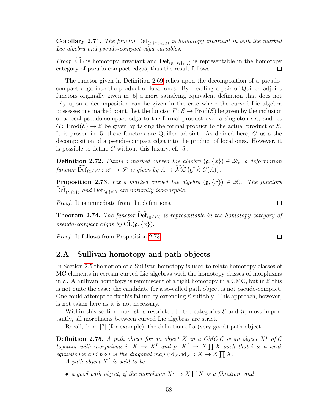**Corollary 2.71.** The functor  $\text{Def}_{(\mathfrak{g}, \{x_i\}_{i\in I})}$  is homotopy invariant in both the marked Lie algebra and pseudo-compact cdga variables.

*Proof.* CE is homotopy invariant and  $\text{Def}_{(\mathfrak{g}, \{x_i\}_{i\in I})}$  is representable in the homotopy category of pseudo-compact cdgas, thus the result follows.  $\Box$ 

The functor given in Definition [2.69](#page-62-1) relies upon the decomposition of a pseudocompact cdga into the product of local ones. By recalling a pair of Quillen adjoint functors originally given in [5] a more satisfying equivalent definition that does not rely upon a decomposition can be given in the case where the curved Lie algebra possesses one marked point. Let the functor  $F: \mathcal{E} \to \text{Prod}(\mathcal{E})$  be given by the inclusion of a local pseudo-compact cdga to the formal product over a singleton set, and let G: Prod $(\mathcal{E}) \to \mathcal{E}$  be given by taking the formal product to the actual product of  $\mathcal{E}$ . It is proven in [5] these functors are Quillen adjoint. As defined here, G uses the decomposition of a pseudo-compact cdga into the product of local ones. However, it is possible to define  $G$  without this luxury, cf. [5].

<span id="page-63-0"></span>**Definition 2.72.** Fixing a marked curved Lie algebra  $(\mathfrak{g}, \{x\}) \in \mathscr{L}_*$ , a deformation functor  $\widehat{\text{Def}}_{(\mathfrak{g},\{x\})} : \mathscr{A} \to \mathscr{S}$  is given by  $A \mapsto \widehat{\mathcal{MC}}(\mathfrak{g}^x \hat{\otimes} G(A)).$ 

<span id="page-63-2"></span>**Proposition 2.73.** Fix a marked curved Lie algebra  $(\mathfrak{g}, \{x\}) \in \mathscr{L}_*$ . The functors  $\mathrm{Def}_{(\mathfrak{g},\{x\})}$  and  $\mathrm{Def}_{(\mathfrak{g},\{x\})}$  are naturally isomorphic.

Proof. It is immediate from the definitions.

**Theorem 2.74.** The functor  $\text{Def}_{(\mathfrak{g},\{x\})}$  is representable in the homotopy category of pseudo-compact cdgas by  $\widetilde{\mathrm{CE}}(\mathfrak{g}, \{x\})$ .

Proof. It follows from Proposition [2.73.](#page-63-2)

## <span id="page-63-1"></span>2.A Sullivan homotopy and path objects

In Section [2.5](#page-60-1) the notion of a Sullivan homotopy is used to relate homotopy classes of MC elements in certain curved Lie algebras with the homotopy classes of morphisms in  $\mathcal{E}$ . A Sullivan homotopy is reminiscent of a right homotopy in a CMC, but in  $\mathcal{E}$  this is not quite the case: the candidate for a so-called path object is not pseudo-compact. One could attempt to fix this failure by extending  $\mathcal E$  suitably. This approach, however, is not taken here as it is not necessary.

Within this section interest is restricted to the categories  $\mathcal E$  and  $\mathcal G$ ; most importantly, all morphisms between curved Lie algebras are strict.

Recall, from [7] (for example), the definition of a (very good) path object.

**Definition 2.75.** A path object for an object X in a CMC C is an object  $X^I$  of C together with morphisms  $i: X \to X^I$  and  $p: X^I \to X \prod X$  such that i is a weak equivalence and  $p \circ i$  is the diagonal map  $(id_X, id_X) \colon X \to X \prod X$ .

A path object  $X<sup>I</sup>$  is said to be

• a good path object, if the morphism  $X^I \to X \prod X$  is a fibration, and

 $\Box$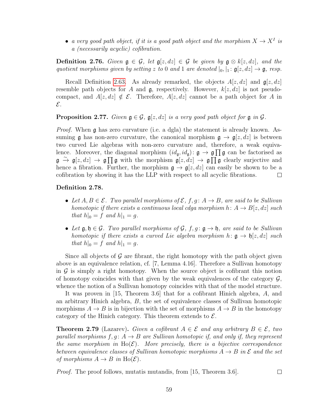• a very good path object, if it is a good path object and the morphism  $X \to X^I$  is a (necessarily acyclic) cofibration.

**Definition 2.76.** Given  $\mathfrak{g} \in \mathcal{G}$ , let  $\mathfrak{g}[z, dz] \in \mathcal{G}$  be given by  $\mathfrak{g} \otimes k[z, dz]$ , and the quotient morphisms given by setting z to 0 and 1 are denoted  $|_0, |_1 : \mathfrak{g}[z, dz] \to \mathfrak{g}$ , resp.

Recall Definition [2.63.](#page-61-1) As already remarked, the objects  $A[z, dz]$  and  $\mathfrak{g}[z, dz]$ resemble path objects for A and  $\mathfrak{g}$ , respectively. However,  $k[z, dz]$  is not pseudocompact, and  $A[z, dz] \notin \mathcal{E}$ . Therefore,  $A[z, dz]$  cannot be a path object for A in  $\mathcal{E}.$ 

### **Proposition 2.77.** Given  $\mathfrak{g} \in \mathcal{G}$ ,  $\mathfrak{g}[z, dz]$  is a very good path object for  $\mathfrak{g}$  in  $\mathcal{G}$ .

*Proof.* When g has zero curvature (i.e. a dgla) the statement is already known. Assuming g has non-zero curvature, the canonical morphism  $g \to g[z, dz]$  is between two curved Lie algebras with non-zero curvature and, therefore, a weak equivalence. Moreover, the diagonal morphism  $(id_{\mathfrak{g}}, id_{\mathfrak{g}}) \colon \mathfrak{g} \to \mathfrak{g} \prod \mathfrak{g}$  can be factorised as  $\mathfrak{g} \stackrel{\sim}{\to} \mathfrak{g}[z, dz] \to \mathfrak{g} \prod \mathfrak{g}$  with the morphism  $\mathfrak{g}[z, dz] \to \mathfrak{g} \prod \mathfrak{g}$  clearly surjective and hence a fibration. Further, the morphism  $\mathfrak{g} \to \mathfrak{g}[z, dz]$  can easily be shown to be a cofibration by showing it has the LLP with respect to all acyclic fibrations.  $\Box$ 

### Definition 2.78.

- Let  $A, B \in \mathcal{E}$ . Two parallel morphisms of  $\mathcal{E}, f, g \colon A \to B$ , are said to be Sullivan homotopic if there exists a continuous local cdga morphism  $h: A \rightarrow B[z, dz]$  such that  $h|_0 = f$  and  $h|_1 = g$ .
- Let  $\mathfrak{g}, \mathfrak{h} \in \mathcal{G}$ . Two parallel morphisms of  $\mathcal{G}, f, g : \mathfrak{g} \to \mathfrak{h}$ , are said to be Sullivan homotopic if there exists a curved Lie algebra morphism  $h: \mathfrak{g} \to \mathfrak{h}[z, dz]$  such that  $h|_0 = f$  and  $h|_1 = g$ .

Since all objects of  $\mathcal G$  are fibrant, the right homotopy with the path object given above is an equivalence relation, cf. [7, Lemma 4.16]. Therefore a Sullivan homotopy in  $\mathcal G$  is simply a right homotopy. When the source object is cofibrant this notion of homotopy coincides with that given by the weak equivalences of the category  $\mathcal{G}$ , whence the notion of a Sullivan homotopy coincides with that of the model structure.

It was proven in [15, Theorem 3.6] that for a cofibrant Hinich algebra, A, and an arbitrary Hinich algebra, B, the set of equivalence classes of Sullivan homotopic morphisms  $A \to B$  is in bijection with the set of morphisms  $A \to B$  in the homotopy category of the Hinich category. This theorem extends to  $\mathcal{E}$ .

<span id="page-64-0"></span>**Theorem 2.79** (Lazarev). Given a cofibrant  $A \in \mathcal{E}$  and any arbitrary  $B \in \mathcal{E}$ , two parallel morphisms  $f, g \colon A \to B$  are Sullivan homotopic if, and only if, they represent the same morphism in  $Ho(\mathcal{E})$ . More precisely, there is a bijective correspondence between equivalence classes of Sullivan homotopic morphisms  $A \to B$  in  $\mathcal E$  and the set of morphisms  $A \to B$  in  $Ho(E)$ .

*Proof.* The proof follows, mutatis mutandis, from [15, Theorem 3.6].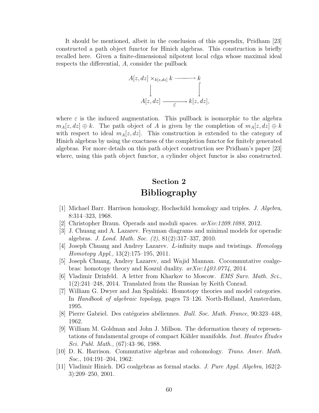It should be mentioned, albeit in the conclusion of this appendix, Pridham [23] constructed a path object functor for Hinich algebras. This construction is briefly recalled here. Given a finite-dimensional nilpotent local cdga whose maximal ideal respects the differential, A, consider the pullback

$$
A[z, dz] \times_{k[z, dz]} k \xrightarrow{k} k
$$
  
\n
$$
\downarrow \qquad \qquad \downarrow
$$
  
\n
$$
A[z, dz] \xrightarrow{e} k[z, dz],
$$

where  $\varepsilon$  is the induced augmentation. This pullback is isomorphic to the algebra  $m_A[z, dz] \oplus k$ . The path object of A is given by the completion of  $m_A[z, dz] \oplus k$ with respect to ideal  $m_A[z, dz]$ . This construction is extended to the category of Hinich algebras by using the exactness of the completion functor for finitely generated algebras. For more details on this path object construction see Pridham's paper [23] where, using this path object functor, a cylinder object functor is also constructed.

# Section 2 Bibliography

- [1] Michael Barr. Harrison homology, Hochschild homology and triples. J. Algebra, 8:314–323, 1968.
- [2] Christopher Braun. Operads and moduli spaces. arXiv:1209.1088, 2012.
- [3] J. Chuang and A. Lazarev. Feynman diagrams and minimal models for operadic algebras. J. Lond. Math. Soc. (2), 81(2):317–337, 2010.
- [4] Joseph Chuang and Andrey Lazarev. L-infinity maps and twistings. Homology Homotopy Appl., 13(2):175–195, 2011.
- [5] Joseph Chuang, Andrey Lazarev, and Wajid Mannan. Cocommutative coalgebras: homotopy theory and Koszul duality. arXiv:1403.0774, 2014.
- [6] Vladimir Drinfeld. A letter from Kharkov to Moscow. EMS Surv. Math. Sci., 1(2):241–248, 2014. Translated from the Russian by Keith Conrad.
- [7] William G. Dwyer and Jan Spaliński. Homotopy theories and model categories. In Handbook of algebraic topology, pages 73–126. North-Holland, Amsterdam, 1995.
- [8] Pierre Gabriel. Des catégories abéliennes. *Bull. Soc. Math. France*, 90:323–448, 1962.
- [9] William M. Goldman and John J. Millson. The deformation theory of representations of fundamental groups of compact Kähler manifolds. *Inst. Hautes Etudes* Sci. Publ. Math., (67):43–96, 1988.
- [10] D. K. Harrison. Commutative algebras and cohomology. Trans. Amer. Math. Soc., 104:191–204, 1962.
- [11] Vladimir Hinich. DG coalgebras as formal stacks. J. Pure Appl. Algebra, 162(2- 3):209–250, 2001.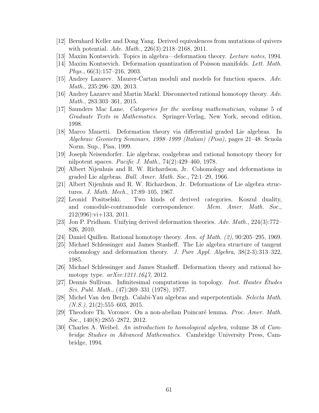- [12] Bernhard Keller and Dong Yang. Derived equivalences from mutations of quivers with potential. Adv. Math., 226(3):2118–2168, 2011.
- [13] Maxim Kontsevich. Topics in algebra—deformation theory. Lecture notes, 1994.
- [14] Maxim Kontsevich. Deformation quantization of Poisson manifolds. Lett. Math. Phys., 66(3):157–216, 2003.
- [15] Andrey Lazarev. Maurer-Cartan moduli and models for function spaces. Adv. Math., 235:296–320, 2013.
- [16] Andrey Lazarev and Martin Markl. Disconnected rational homotopy theory. Adv. Math., 283:303–361, 2015.
- [17] Saunders Mac Lane. Categories for the working mathematician, volume 5 of Graduate Texts in Mathematics. Springer-Verlag, New York, second edition, 1998.
- [18] Marco Manetti. Deformation theory via differential graded Lie algebras. In Algebraic Geometry Seminars, 1998–1999 (Italian) (Pisa), pages 21–48. Scuola Norm. Sup., Pisa, 1999.
- [19] Joseph Neisendorfer. Lie algebras, coalgebras and rational homotopy theory for nilpotent spaces. Pacific J. Math., 74(2):429–460, 1978.
- [20] Albert Nijenhuis and R. W. Richardson, Jr. Cohomology and deformations in graded Lie algebras. Bull. Amer. Math. Soc., 72:1–29, 1966.
- [21] Albert Nijenhuis and R. W. Richardson, Jr. Deformations of Lie algebra structures. J. Math. Mech., 17:89–105, 1967.
- [22] Leonid Positselski. Two kinds of derived categories, Koszul duality, and comodule-contramodule correspondence. Mem. Amer. Math. Soc.,  $212(996):$ vi $+133, 2011$ .
- [23] Jon P. Pridham. Unifying derived deformation theories. Adv. Math., 224(3):772– 826, 2010.
- [24] Daniel Quillen. Rational homotopy theory. Ann. of Math.  $(2)$ , 90:205–295, 1969.
- [25] Michael Schlessinger and James Stasheff. The Lie algebra structure of tangent cohomology and deformation theory. J. Pure Appl. Algebra,  $38(2-3):313-322$ , 1985.
- [26] Michael Schlessinger and James Stasheff. Deformation theory and rational homotopy type. arXiv:1211.1647, 2012.
- [27] Dennis Sullivan. Infinitesimal computations in topology. Inst. Hautes Études Sci. Publ. Math., (47):269–331 (1978), 1977.
- [28] Michel Van den Bergh. Calabi-Yau algebras and superpotentials. Selecta Math.  $(N.S.), 21(2):555-603, 2015.$
- [29] Theodore Th. Voronov. On a non-abelian Poincaré lemma. *Proc. Amer. Math.* Soc., 140(8):2855–2872, 2012.
- [30] Charles A. Weibel. An introduction to homological algebra, volume 38 of Cambridge Studies in Advanced Mathematics. Cambridge University Press, Cambridge, 1994.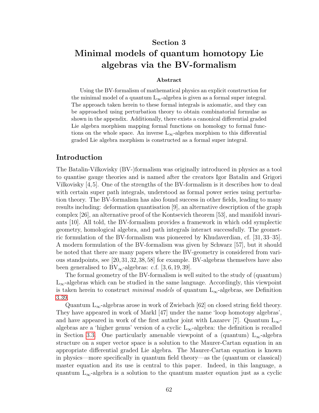## Section 3

# Minimal models of quantum homotopy Lie algebras via the BV-formalism

#### Abstract

Using the BV-formalism of mathematical physics an explicit construction for the minimal model of a quantum  $L_{\infty}$ -algebra is given as a formal super integral. The approach taken herein to these formal integrals is axiomatic, and they can be approached using perturbation theory to obtain combinatorial formulae as shown in the appendix. Additionally, there exists a canonical differential graded Lie algebra morphism mapping formal functions on homology to formal functions on the whole space. An inverse  $L_{\infty}$ -algebra morphism to this differential graded Lie algebra morphism is constructed as a formal super integral.

## Introduction

The Batalin-Vilkovisky (BV-)formalism was originally introduced in physics as a tool to quantise gauge theories and is named after the creators Igor Batalin and Grigori Vilkovisky [4,5]. One of the strengths of the BV-formalism is it describes how to deal with certain super path integrals, understood as formal power series using perturbation theory. The BV-formalism has also found success in other fields, leading to many results including: deformation quantisation [9], an alternative description of the graph complex [26], an alternative proof of the Kontsevich theorem [53], and manifold invariants [10]. All told, the BV-formalism provides a framework in which odd symplectic geometry, homological algebra, and path integrals interact successfully. The geometric formulation of the BV-formalism was pioneered by Khudaverdian, cf. [31, 33–35]. A modern formulation of the BV-formalism was given by Schwarz [57], but it should be noted that there are many papers where the BV-geometry is considered from various standpoints, see [20,31,32,38,58] for example. BV-algebras themselves have also been generalised to  $BV_{\infty}$ -algebras: c.f. [3, 6, 19, 39].

The formal geometry of the BV-formalism is well suited to the study of (quantum)  $L_{\infty}$ -algebras which can be studied in the same language. Accordingly, this viewpoint is taken herein to construct *minimal models* of quantum  $L_{\infty}$ -algebras, see Definition [3.39.](#page-82-0)

Quantum  $L_{\infty}$ -algebras arose in work of Zwiebach [62] on closed string field theory. They have appeared in work of Markl [47] under the name 'loop homotopy algebras', and have appeared in work of the first author joint with Lazarev [7]. Quantum  $L_{\infty}$ algebras are a 'higher genus' version of a cyclic  $L_{\infty}$ -algebra: the definition is recalled in Section [3.3.](#page-80-0) One particularly amenable viewpoint of a (quantum)  $L_{\infty}$ -algebra structure on a super vector space is a solution to the Maurer-Cartan equation in an appropriate differential graded Lie algebra. The Maurer-Cartan equation is known in physics—more specifically in quantum field theory—as the (quantum or classical) master equation and its use is central to this paper. Indeed, in this language, a quantum  $L_{\infty}$ -algebra is a solution to the quantum master equation just as a cyclic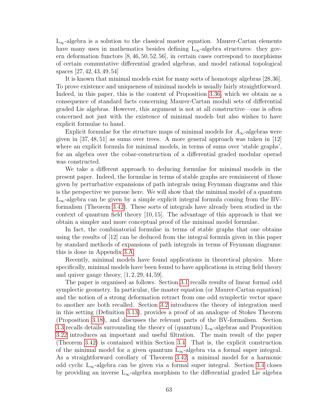$L_{\infty}$ -algebra is a solution to the classical master equation. Maurer-Cartan elements have many uses in mathematics besides defining  $L_{\infty}$ -algebra structures: they govern deformation functors [8, 46, 50, 52, 56], in certain cases correspond to morphisms of certain commutative differential graded algebras, and model rational topological spaces [27, 42, 43, 49, 54]

It is known that minimal models exist for many sorts of homotopy algebras [28,36]. To prove existence and uniqueness of minimal models is usually fairly straightforward. Indeed, in this paper, this is the content of Proposition [3.36,](#page-81-0) which we obtain as a consequence of standard facts concerning Maurer-Cartan moduli sets of differential graded Lie algebras. However, this argument is not at all constructive—one is often concerned not just with the existence of minimal models but also wishes to have explicit formulae to hand.

Explicit formulae for the structure maps of minimal models for  $A_{\infty}$ -algebras were given in [37, 48, 51] as sums over trees. A more general approach was taken in [12] where an explicit formula for minimal models, in terms of sums over 'stable graphs', for an algebra over the cobar-construction of a differential graded modular operad was constructed.

We take a different approach to deducing formulae for minimal models in the present paper. Indeed, the formulae in terms of stable graphs are reminiscent of those given by perturbative expansions of path integrals using Feynman diagrams and this is the perspective we pursue here. We will show that the minimal model of a quantum  $L_{\infty}$ -algebra can be given by a simple explicit integral formula coming from the BVformalism (Theorem [3.42\)](#page-83-0). These sorts of integrals have already been studied in the context of quantum field theory [10, 15]. The advantage of this approach is that we obtain a simpler and more conceptual proof of the minimal model formulae.

In fact, the combinatorial formulae in terms of stable graphs that one obtains using the results of [12] can be deduced from the integral formula given in this paper by standard methods of expansions of path integrals in terms of Feynman diagrams: this is done in Appendix [3.A.](#page-84-0)

Recently, minimal models have found applications in theoretical physics. More specifically, minimal models have been found to have applications in string field theory and quiver gauge theory,  $[1, 2, 29, 44, 59]$ .

The paper is organised as follows. Section [3.1](#page-71-0) recalls results of linear formal odd symplectic geometry. In particular, the master equation (or Maurer-Cartan equation) and the notion of a strong deformation retract from one odd symplectic vector space to another are both recalled. Section [3.2](#page-74-0) introduces the theory of integration used in this setting (Definition [3.13\)](#page-76-0), provides a proof of an analogue of Stokes Theorem (Proposition [3.18\)](#page-77-0), and discusses the relevant parts of the BV-formalism. Section [3.3](#page-80-0) recalls details surrounding the theory of (quantum)  $L_{\infty}$ -algebras and Proposition [3.22](#page-78-0) introduces an important and useful filtration. The main result of the paper (Theorem [3.42\)](#page-83-0) is contained within Section [3.4.](#page-82-1) That is, the explicit construction of the minimal model for a given quantum  $L_{\infty}$ -algebra via a formal super integral. As a straightforward corollary of Theorem [3.42,](#page-83-0) a minimal model for a harmonic odd cyclic  $L_{\infty}$ -algebra can be given via a formal super integral. Section [3.4](#page-82-1) closes by providing an inverse  $L_{\infty}$ -algebra morphism to the differential graded Lie algebra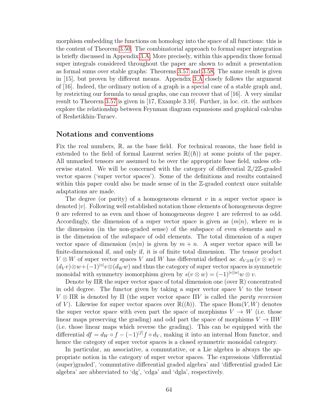morphism embedding the functions on homology into the space of all functions: this is the content of Theorem [3.50.](#page-84-1) The combinatorial approach to formal super integration is briefly discussed in Appendix [3.A.](#page-84-0) More precisely, within this appendix those formal super integrals considered throughout the paper are shown to admit a presentation as formal sums over stable graphs: Theorems [3.57](#page-86-0) and [3.58.](#page-87-0) The same result is given in [15], but proven by different means. Appendix [3.A](#page-84-0) closely follows the argument of [16]. Indeed, the ordinary notion of a graph is a special case of a stable graph and, by restricting our formula to usual graphs, one can recover that of [16]. A very similar result to Theorem [3.57](#page-86-0) is given in [17, Example 3.10]. Further, in loc. cit. the authors explore the relationship between Feynman diagram expansions and graphical calculus of Reshetikhin-Turaev.

### Notations and conventions

Fix the real numbers, R, as the base field. For technical reasons, the base field is extended to the field of formal Laurent series  $\mathbb{R}((\hbar))$  at some points of the paper. All unmarked tensors are assumed to be over the appropriate base field, unless otherwise stated. We will be concerned with the category of differential  $\mathbb{Z}/2\mathbb{Z}$ -graded vector spaces ('super vector spaces'). Some of the definitions and results contained within this paper could also be made sense of in the  $\mathbb{Z}$ -graded context once suitable adaptations are made.

The degree (or parity) of a homogeneous element  $v$  in a super vector space is denoted  $|v|$ . Following well established notation those elements of homogeneous degree 0 are referred to as even and those of homogeneous degree 1 are referred to as odd. Accordingly, the dimension of a super vector space is given as  $(m|n)$ , where m is the dimension (in the non-graded sense) of the subspace of even elements and  $n$ is the dimension of the subspace of odd elements. The total dimension of a super vector space of dimension  $(m|n)$  is given by  $m + n$ . A super vector space will be finite-dimensional if, and only if, it is of finite total dimension. The tensor product  $V \otimes W$  of super vector spaces V and W has differential defined as:  $d_{V \otimes W}(v \otimes w) =$  $(d_V v) \otimes w + (-1)^{|v|} v \otimes (d_W w)$  and thus the category of super vector spaces is symmetric monoidal with symmetry isomorphism given by  $s(v \otimes w) = (-1)^{|v||w|} w \otimes v$ .

Denote by  $\Pi\mathbb{R}$  the super vector space of total dimension one (over  $\mathbb{R}$ ) concentrated in odd degree. The functor given by taking a super vector space  $V$  to the tensor  $V \otimes \Pi \mathbb{R}$  is denoted by  $\Pi$  (the super vector space  $\Pi V$  is called the parity reversion of V). Likewise for super vector spaces over  $\mathbb{R}((\hbar))$ . The space Hom $(V, W)$  denotes the super vector space with even part the space of morphisms  $V \to W$  (i.e. those linear maps preserving the grading) and odd part the space of morphisms  $V \to \Pi W$ (i.e. those linear maps which reverse the grading). This can be equipped with the differential  $df = d_W \circ f - (-1)^{|f|} f \circ d_V$ , making it into an internal Hom functor, and hence the category of super vector spaces is a closed symmetric monoidal category.

In particular, an associative, a commutative, or a Lie algebra is always the appropriate notion in the category of super vector spaces. The expressions 'differential (super)graded', 'commutative differential graded algebra' and 'differential graded Lie algebra' are abbreviated to 'dg', 'cdga' and 'dgla', respectively.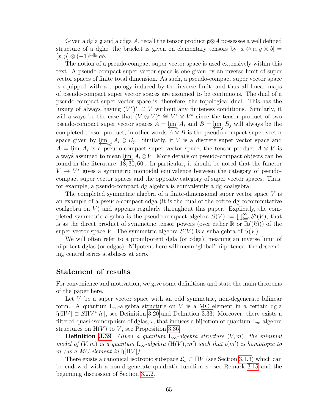Given a dgla g and a cdga A, recall the tensor product  $\mathfrak{g} \otimes A$  possesses a well defined structure of a dgla: the bracket is given on elementary tensors by  $[x \otimes a, y \otimes b] =$  $[x, y] \otimes (-1)^{|a||y|} ab.$ 

The notion of a pseudo-compact super vector space is used extensively within this text. A pseudo-compact super vector space is one given by an inverse limit of super vector spaces of finite total dimension. As such, a pseudo-compact super vector space is equipped with a topology induced by the inverse limit, and thus all linear maps of pseudo-compact super vector spaces are assumed to be continuous. The dual of a pseudo-compact super vector space is, therefore, the topological dual. This has the luxury of always having  $(V^*)^* \cong V$  without any finiteness conditions. Similarly, it will always be the case that  $(V \otimes V)^* \cong V^* \otimes V^*$  since the tensor product of two pseudo-compact super vector spaces  $A = \varprojlim_i A_i$  and  $B = \varprojlim_j B_j$  will always be the completed tensor product, in other words  $A \otimes B$  is the pseudo-compact super vector space given by  $\underline{\downarrow}$ <sub>i,j</sub>  $A_i \otimes B_j$ . Similarly, if V is a discrete super vector space and  $A = \underleftarrow{\lim}_{i} A_i$  is a pseudo-compact super vector space, the tensor product  $A \otimes V$  is always assumed to mean  $\lim_{t \to \infty} A_i \otimes V$ . More details on pseudo-compact objects can be found in the literature [18, 30, 60]. In particular, it should be noted that the functor  $V \mapsto V^*$  gives a symmetric monoidal equivalence between the category of pseudocompact super vector spaces and the opposite category of super vector spaces. Thus, for example, a pseudo-compact dg algebra is equivalently a dg coalgebra.

The completed symmetric algebra of a finite-dimensional super vector space V is an example of a pseudo-compact cdga (it is the dual of the cofree dg cocommutative coalgebra on  $V$ ) and appears regularly throughout this paper. Explicitly, the completed symmetric algebra is the pseudo-compact algebra  $\widetilde{S}(V) := \prod_{i=0}^{\infty} S^{i}(V)$ , that is as the direct product of symmetric tensor powers (over either  $\mathbb{R}$  or  $\mathbb{R}((\hbar))$ ) of the super vector space V. The symmetric algebra  $S(V)$  is a subalgebra of  $S(V)$ .

We will often refer to a pronilpotent dgla (or cdga), meaning an inverse limit of nilpotent dglas (or cdgas). Nilpotent here will mean 'global' nilpotence: the descending central series stabilises at zero.

## Statement of results

For convenience and motivation, we give some definitions and state the main theorems of the paper here.

Let  $V$  be a super vector space with an odd symmetric, non-degenerate bilinear form. A quantum L<sub>∞</sub>-algebra structure on V is a MC element in a certain dgla  $\oint \left| \Pi V \right| \subset \widetilde{\text{S}} \Pi V^* | \hbar |$ , see Definition [3.20](#page-78-1) and Definition [3.33.](#page-81-1) Moreover, there exists a filtered quasi-isomorphism of dglas,  $\iota$ , that induces a bijection of quantum  $L_{\infty}$ -algebra structures on  $H(V)$  to V, see Proposition [3.36.](#page-81-0)

**Definition [3.39](#page-82-0)** Given a quantum  $L_{\infty}$ -algebra structure  $(V, m)$ , the minimal model of  $(V, m)$  is a quantum  $L_{\infty}$ -algebra  $(H(V), m')$  such that  $\iota(m')$  is homotopic to m (as a MC element in  $\mathfrak{h}$  | $\Pi V$  ).

There exists a canonical isotropic subspace  $\mathcal{L}_s \subset \Pi V$  (see Section [3.1.3\)](#page-73-0) which can be endowed with a non-degenerate quadratic function  $\sigma$ , see Remark [3.15](#page-77-1) and the beginning discussion of Section [3.2.2.](#page-77-2)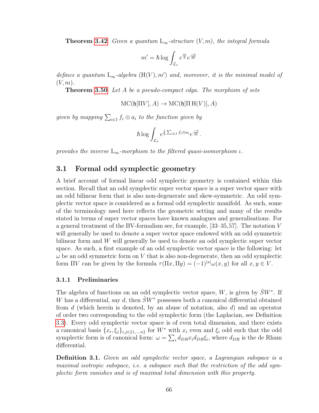**Theorem [3.42](#page-83-0)** Given a quantum  $L_{\infty}$ -structure  $(V, m)$ , the integral formula

$$
m' = \hbar \log \int_{\mathcal{L}_s} e^{\frac{m}{\hbar}} e^{\frac{-\sigma}{2\hbar}}
$$

defines a quantum  $L_{\infty}$ -algebra  $(H(V), m')$  and, moreover, it is the minimal model of  $(V, m)$ .

Theorem [3.50](#page-84-1) Let A be a pseudo-compact cdga. The morphism of sets

$$
\mathrm{MC}(\mathfrak{h}[\Pi V], A) \to \mathrm{MC}(\mathfrak{h}[\Pi H(V)], A)
$$

given by mapping  $\sum_{i\in I} f_i\otimes a_i$  to the function given by

$$
\hbar \log \int_{\mathcal{L}_s} e^{\frac{1}{\hbar} \sum_{i \in I} f_i \otimes a_i} e^{\frac{-\sigma}{2\hbar}}.
$$

<span id="page-71-0"></span>provides the inverse  $L_{\infty}$ -morphism to the filtered quasi-isomorphism  $\iota$ .

# 3.1 Formal odd symplectic geometry

A brief account of formal linear odd symplectic geometry is contained within this section. Recall that an odd symplectic super vector space is a super vector space with an odd bilinear form that is also non-degenerate and skew-symmetric. An odd symplectic vector space is considered as a formal odd symplectic manifold. As such, some of the terminology used here reflects the geometric setting and many of the results stated in terms of super vector spaces have known analogues and generalisations. For a general treatment of the BV-formalism see, for example, [33–35,57]. The notation V will generally be used to denote a super vector space endowed with an odd symmetric bilinear form and W will generally be used to denote an odd symplectic super vector space. As such, a first example of an odd symplectic vector space is the following: let  $\omega$  be an odd symmetric form on V that is also non-degenerate, then an odd symplectic form  $\Pi V$  can be given by the formula  $\tau(\Pi x, \Pi y) = (-1)^{|x|} \omega(x, y)$  for all  $x, y \in V$ .

#### 3.1.1 Preliminaries

The algebra of functions on an odd symplectic vector space, W, is given by  $\hat{S}W^*$ . If W has a differential, say d, then  $\hat{S}W^*$  possesses both a canonical differential obtained from  $d$  (which herein is denoted, by an abuse of notation, also  $d$ ) and an operator of order two corresponding to the odd symplectic form (the Laplacian, see Definition [3.3\)](#page-72-0). Every odd symplectic vector space is of even total dimension, and there exists a canonical basis  $\{x_i, \xi_j\}_{i,j\in\{1,\dots,n\}}$  for  $W^*$  with  $x_i$  even and  $\xi_i$  odd such that the odd symplectic form is of canonical form:  $\omega = \sum_i d_{DR} x_i d_{DR} \xi_i$ , where  $d_{DR}$  is the de Rham differential.

Definition 3.1. Given an odd symplectic vector space, a Lagrangian subspace is a maximal isotropic subspace, i.e. a subspace such that the restriction of the odd symplectic form vanishes and is of maximal total dimension with this property.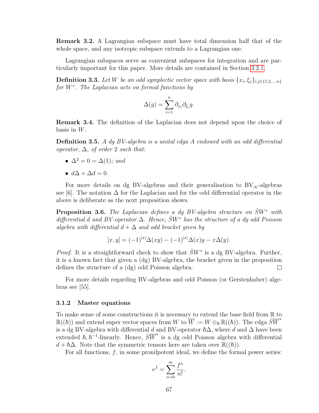Remark 3.2. A Lagrangian subspace must have total dimension half that of the whole space, and any isotropic subspace extends to a Lagrangian one.

Lagrangian subspaces serve as convenient subspaces for integration and are particularly important for this paper. More details are contained in Section [3.2.1.](#page-74-0)

**Definition 3.3.** Let W be an odd symplectic vector space with basis  $\{x_i, \xi_j\}_{i,j\in\{1,2,\dots,n\}}$ for W<sup>\*</sup>. The Laplacian acts on formal functions by

$$
\Delta(g) = \sum_{i=1}^n \partial_{x_i} \partial_{\xi_i} g.
$$

Remark 3.4. The definition of the Laplacian does not depend upon the choice of basis in  $W$ .

**Definition 3.5.** A dg BV-algebra is a unital cdga A endowed with an odd differential operator,  $\Delta$ , of order 2 such that:

- $\Delta^2 = 0 = \Delta(1)$ ; and
- $d\Delta + \Delta d = 0$ .

For more details on dg BV-algebras and their generalisation to  $BV_{\infty}$ -algebras see [6]. The notation  $\Delta$  for the Laplacian and for the odd differential operator in the above is deliberate as the next proposition shows.

<span id="page-72-0"></span>**Proposition 3.6.** The Laplacian defines a dg BV-algebra structure on  $\hat{S}W^*$  with differential d and BV-operator  $\Delta$ . Hence,  $\hat{S}W^*$  has the structure of a dq odd Poisson algebra with differential  $d + \Delta$  and odd bracket given by

$$
[x, y] = (-1)^{|x|} \Delta(xy) - (-1)^{|x|} \Delta(x) y - x \Delta(y).
$$

*Proof.* It is a straightforward check to show that  $\hat{S}W^*$  is a dg BV-algebra. Further, it is a known fact that given a (dg) BV-algebra, the bracket given in the proposition defines the structure of a (dg) odd Poisson algebra.  $\Box$ 

For more details regarding BV-algebras and odd Poisson (or Gerstenhaber) algebras see [55].

#### 3.1.2 Master equations

To make sense of some constructions it is necessary to extend the base field from R to  $\mathbb{R}((\hbar))$  and extend super vector spaces from W to  $W := W \otimes_{\mathbb{R}} \mathbb{R}((\hbar))$ . The cdga  $\hat{S}\overline{W}^*$ is a dg BV-algebra with differential d and BV-operator  $\hbar\Delta$ , where d and  $\Delta$  have been extended  $\hbar$ ,  $\hbar^{-1}$ -linearly. Hence,  $\hat{S}\overline{W}^*$  is a dg odd Poisson algebra with differential  $d + \hbar \Delta$ . Note that the symmetric tensors here are taken over  $\mathbb{R}((\hbar))$ .

For all functions,  $f$ , in some pronilpotent ideal, we define the formal power series:

$$
e^f = \sum_{n=0}^{\infty} \frac{f^n}{n!}.
$$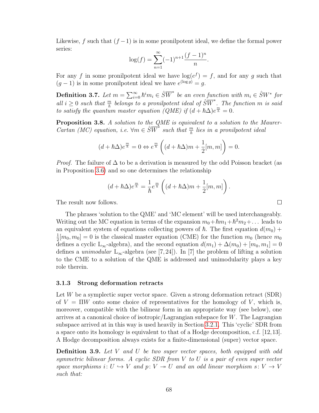Likewise, f such that  $(f-1)$  is in some pronilpotent ideal, we define the formal power series:

$$
\log(f) = \sum_{n=1}^{\infty} (-1)^{n+1} \frac{(f-1)^n}{n}.
$$

For any f in some pronilpotent ideal we have  $log(e^f) = f$ , and for any g such that  $(g-1)$  is in some pronilpotent ideal we have  $e^{(\log g)} = g$ .

**Definition 3.7.** Let  $m = \sum_{i=0}^{\infty} \hbar^i m_i \in \hat{S} \overline{W}^*$  be an even function with  $m_i \in \hat{S} W^*$  for all  $i \geq 0$  such that  $\frac{m}{\hbar}$  belongs to a pronilpotent ideal of  $\hat{S}\overline{W}^*$ . The function m is said to satisfy the quantum master equation ( $QME$ ) if  $(d + \hbar \Delta)e^{\frac{m}{\hbar}} = 0$ .

Proposition 3.8. A solution to the QME is equivalent to a solution to the Maurer-Cartan (MC) equation, i.e.  $\forall m \in \widehat{SW}^*$  such that  $\frac{m}{\hbar}$  lies in a pronilpotent ideal

$$
(d + \hbar \Delta)e^{\frac{m}{\hbar}} = 0 \Leftrightarrow e^{\frac{m}{\hbar}} \left( (d + \hbar \Delta)m + \frac{1}{2}[m, m] \right) = 0.
$$

*Proof.* The failure of  $\Delta$  to be a derivation is measured by the odd Poisson bracket (as in Proposition [3.6\)](#page-72-0) and so one determines the relationship

$$
(d + \hbar \Delta) e^{\frac{m}{\hbar}} = \frac{1}{\hbar} e^{\frac{m}{\hbar}} \left( (d + \hbar \Delta) m + \frac{1}{2} [m, m] \right).
$$

 $\Box$ 

The result now follows.

The phrases 'solution to the QME' and 'MC element' will be used interchangeably. Writing out the MC equation in terms of the expansion  $m_0 + \hbar m_1 + \hbar^2 m_2 + \dots$  leads to an equivalent system of equations collecting powers of  $\hbar$ . The first equation  $d(m_0)$  + 1  $\frac{1}{2}[m_0, m_0] = 0$  is the classical master equation (CME) for the function  $m_0$  (hence  $m_0$ defines a cyclic L<sub>∞</sub>-algebra), and the second equation  $d(m_1) + \Delta(m_0) + [m_0, m_1] = 0$ defines a *unimodular*  $L_{\infty}$ -algebra (see [7,24]). In [7] the problem of lifting a solution to the CME to a solution of the QME is addressed and unimodularity plays a key role therein.

### <span id="page-73-1"></span>3.1.3 Strong deformation retracts

Let  $W$  be a symplectic super vector space. Given a strong deformation retract (SDR) of  $V = \Pi W$  onto some choice of representatives for the homology of V, which is, moreover, compatible with the bilinear form in an appropriate way (see below), one arrives at a canonical choice of isotropic/Lagrangian subspace for  $W$ . The Lagrangian subspace arrived at in this way is used heavily in Section [3.2.1.](#page-74-0) This 'cyclic' SDR from a space onto its homology is equivalent to that of a Hodge decomposition, c.f. [12,13]. A Hodge decomposition always exists for a finite-dimensional (super) vector space.

<span id="page-73-0"></span>**Definition 3.9.** Let V and U be two super vector spaces, both equipped with odd symmetric bilinear forms. A cyclic SDR from V to U is a pair of even super vector space morphisms i:  $U \hookrightarrow V$  and p:  $V \twoheadrightarrow U$  and an odd linear morphism s:  $V \rightarrow V$ such that: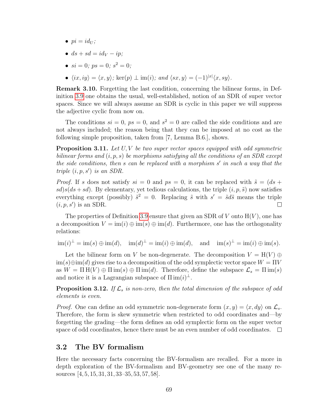- $pi = id_U$ ;
- $ds + sd = id_V ip;$
- $si = 0; ps = 0; s^2 = 0;$
- $\langle ix, iy \rangle = \langle x, y \rangle$ ; ker $(p) \perp \text{im}(i)$ ; and  $\langle sx, y \rangle = (-1)^{|x|} \langle x, sy \rangle$ .

Remark 3.10. Forgetting the last condition, concerning the bilinear forms, in Definition [3.9](#page-73-0) one obtains the usual, well-established, notion of an SDR of super vector spaces. Since we will always assume an SDR is cyclic in this paper we will suppress the adjective cyclic from now on.

The conditions  $si = 0$ ,  $ps = 0$ , and  $s^2 = 0$  are called the side conditions and are not always included; the reason being that they can be imposed at no cost as the following simple proposition, taken from [7, Lemma B.6.], shows.

**Proposition 3.11.** Let  $U, V$  be two super vector spaces equipped with odd symmetric bilinear forms and  $(i, p, s)$  be morphisms satisfying all the conditions of an SDR except the side conditions, then  $s$  can be replaced with a morphism  $s'$  in such a way that the triple  $(i, p, s')$  is an SDR.

*Proof.* If s does not satisfy  $si = 0$  and  $ps = 0$ , it can be replaced with  $\tilde{s} = (ds +$  $sd(s(ds + sd)$ . By elementary, yet tedious calculations, the triple  $(i, p, \tilde{s})$  now satisfies everything except (possibly)  $\tilde{s}^2 = 0$ . Replacing  $\tilde{s}$  with  $s' = \tilde{s}d\tilde{s}$  means the triple  $(i, p, s')$  is an SDR. □

The properties of Definition [3.9](#page-73-0) ensure that given an SDR of V onto  $H(V)$ , one has a decomposition  $V = \text{im}(i) \oplus \text{im}(s) \oplus \text{im}(d)$ . Furthermore, one has the orthogonality relations:

 $\lim(i)^{\perp} = \lim(s) \oplus \lim(d), \quad \lim(d)^{\perp} = \lim(i) \oplus \lim(d), \quad \text{and} \quad \lim(s)^{\perp} = \lim(i) \oplus \lim(s).$ 

Let the bilinear form on V be non-degenerate. The decomposition  $V = H(V) \oplus$  $\lim(s) \oplus \lim(d)$  gives rise to a decomposition of the odd symplectic vector space  $W = \Pi V$ as  $W = \Pi H(V) \oplus \Pi \text{im}(s) \oplus \Pi \text{im}(d)$ . Therefore, define the subspace  $\mathcal{L}_s = \Pi \text{im}(s)$ and notice it is a Lagrangian subspace of  $\Pi$  im $(i)^\perp$ .

<span id="page-74-1"></span>**Proposition 3.12.** If  $\mathcal{L}_s$  is non-zero, then the total dimension of the subspace of odd elements is even.

*Proof.* One can define an odd symmetric non-degenerate form  $(x, y) = \langle x, dy \rangle$  on  $\mathcal{L}_s$ . Therefore, the form is skew symmetric when restricted to odd coordinates and—by forgetting the grading—the form defines an odd symplectic form on the super vector space of odd coordinates, hence there must be an even number of odd coordinates.  $\Box$ 

## 3.2 The BV formalism

<span id="page-74-0"></span>Here the necessary facts concerning the BV-formalism are recalled. For a more in depth exploration of the BV-formalism and BV-geometry see one of the many resources [4, 5, 15, 31, 31, 33–35, 53, 57, 58].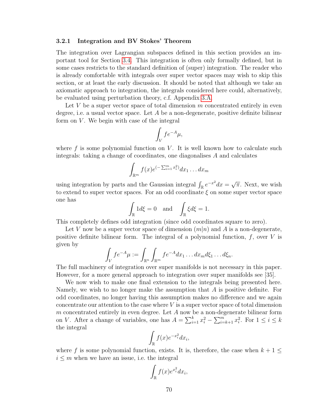#### 3.2.1 Integration and BV Stokes' Theorem

The integration over Lagrangian subspaces defined in this section provides an important tool for Section [3.4.](#page-82-0) This integration is often only formally defined, but in some cases restricts to the standard definition of (super) integration. The reader who is already comfortable with integrals over super vector spaces may wish to skip this section, or at least the early discussion. It should be noted that although we take an axiomatic approach to integration, the integrals considered here could, alternatively, be evaluated using perturbation theory, c.f. Appendix [3.A.](#page-84-0)

Let  $V$  be a super vector space of total dimension  $m$  concentrated entirely in even degree, i.e. a usual vector space. Let  $A$  be a non-degenerate, positive definite bilinear form on  $V$ . We begin with case of the integral

$$
\int_V f e^{-A} \mu,
$$

where  $f$  is some polynomial function on  $V$ . It is well known how to calculate such integrals: taking a change of coordinates, one diagonalises A and calculates

$$
\int_{\mathbb{R}^m} f(x)e^{(-\sum_{i=1}^m x_i^2)} dx_1 \dots dx_m
$$

using integration by parts and the Gaussian integral  $\int_{\mathbb{R}} e^{-x^2} dx =$ √  $\overline{\pi}$ . Next, we wish to extend to super vector spaces. For an odd coordinate  $\xi$  on some super vector space one has

$$
\int_{\mathbb{R}} 1 d\xi = 0 \quad \text{and} \quad \int_{\mathbb{R}} \xi d\xi = 1.
$$

This completely defines odd integration (since odd coordinates square to zero).

Let V now be a super vector space of dimension  $(m|n)$  and A is a non-degenerate, positive definite bilinear form. The integral of a polynomial function,  $f$ , over  $V$  is given by

$$
\int_V fe^{-A}\mu := \int_{\mathbb{R}^n} \int_{\mathbb{R}^m} fe^{-A}dx_1 \dots dx_m d\xi_1 \dots d\xi_n.
$$

The full machinery of integration over super manifolds is not necessary in this paper. However, for a more general approach to integration over super manifolds see [35].

We now wish to make one final extension to the integrals being presented here. Namely, we wish to no longer make the assumption that A is positive definite. For odd coordinates, no longer having this assumption makes no difference and we again concentrate our attention to the case where  $V$  is a super vector space of total dimension m concentrated entirely in even degree. Let  $A$  now be a non-degenerate bilinear form on V. After a change of variables, one has  $A = \sum_{i=1}^{k} x_i^2 - \sum_{i=k+1}^{m} x_i^2$ . For  $1 \le i \le k$ the integral

$$
\int_{\mathbb{R}} f(x)e^{-x_i^2} dx_i,
$$

where f is some polynomial function, exists. It is, therefore, the case when  $k + 1 \leq$  $i \leq m$  when we have an issue, i.e. the integral

$$
\int_{\mathbb{R}} f(x) e^{x_i^2} dx_i,
$$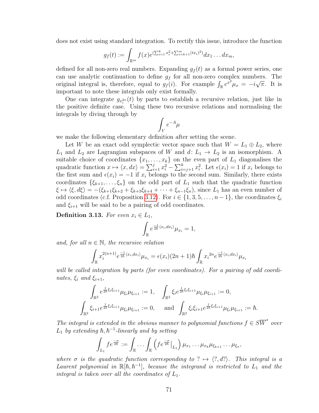does not exist using standard integration. To rectify this issue, introduce the function

$$
g_f(t) := \int_{\mathbb{R}^m} f(x) e^{(\sum_{i=1}^k x_i^2 + \sum_{i=k+1}^m (tx_i)^2)} dx_1 \dots dx_m,
$$

defined for all non-zero real numbers. Expanding  $g_f(t)$  as a formal power series, one can use analytic continuation to define  $g_f$  for all non-zero complex numbers. The original integral is, therefore, equal to  $g_f(i)$ . For example  $\int_{\mathbb{R}} e^{x^2} \mu_x = -i \sqrt{\pi}$ . It is important to note these integrals only exist formally.

One can integrate  $g_{x_i^{2n}}(t)$  by parts to establish a recursive relation, just like in the positive definite case. Using these two recursive relations and normalising the integrals by diving through by

$$
\int_V e^{-A} \mu
$$

we make the following elementary definition after setting the scene.

Let W be an exact odd symplectic vector space such that  $W = L_1 \oplus L_2$ , where  $L_1$  and  $L_2$  are Lagrangian subspaces of W and  $d: L_1 \rightarrow L_2$  is an isomorphism. A suitable choice of coordinates  $\{x_1, \ldots, x_k\}$  on the even part of  $L_1$  diagonalises the quadratic function  $x \mapsto \langle x, dx \rangle = \sum_{i=1}^{j} x_i^2 - \sum_{i=j+1}^{k} x_i^2$ . Let  $\epsilon(x_i) = 1$  if  $x_i$  belongs to the first sum and  $\epsilon(x_i) = -1$  if  $x_i$  belongs to the second sum. Similarly, there exists coordinates  $\{\xi_{k+1},\ldots,\xi_n\}$  on the odd part of  $L_1$  such that the quadratic function  $\xi \mapsto \langle \xi, d\xi \rangle = -(\xi_{k+1}\xi_{k+2} + \xi_{k+3}\xi_{k+4} + \cdots + \xi_{n-1}\xi_n),$  since  $L_1$  has an even number of odd coordinates (c.f. Proposition [3.12\)](#page-74-1). For  $i \in \{1, 3, 5, \ldots, n-1\}$ , the coordinates  $\xi_i$ and  $\xi_{i+1}$  will be said to be a pairing of odd coordinates.

<span id="page-76-0"></span>Definition 3.13. For even  $x_i \in L_1$ ,

$$
\int_{\mathbb{R}} e^{\frac{-1}{2\hbar} \langle x_i, dx_i \rangle} \mu_{x_i} = 1,
$$

and, for all  $n \in \mathbb{N}$ , the recursive relation

$$
\int_{\mathbb{R}} x_i^{2(n+1)} e^{\frac{-1}{2\hbar} \langle x_i, dx_i \rangle} \mu_{x_i} = \epsilon(x_i) (2n+1) \hbar \int_{\mathbb{R}} x_i^{2n} e^{\frac{-1}{2\hbar} \langle x_i, dx_i \rangle} \mu_{x_i}
$$

will be called integration by parts (for even coordinates). For a pairing of odd coordinates,  $\xi_i$  and  $\xi_{i+1}$ ,

$$
\int_{\mathbb{R}^2} e^{\frac{1}{2\hbar}\xi_i\xi_{i+1}} \mu_{\xi_i}\mu_{\xi_{i+1}} := 1, \quad \int_{\mathbb{R}^2} \xi_i e^{\frac{1}{2\hbar}\xi_i\xi_{i+1}} \mu_{\xi_i}\mu_{\xi_{i+1}} := 0,
$$
\n
$$
\int_{\mathbb{R}^2} \xi_{i+1} e^{\frac{1}{2\hbar}\xi_i\xi_{i+1}} \mu_{\xi_i}\mu_{\xi_{i+1}} := 0, \quad \text{and} \quad \int_{\mathbb{R}^2} \xi_i\xi_{i+1} e^{\frac{1}{2\hbar}\xi_i\xi_{i+1}} \mu_{\xi_i}\mu_{\xi_{i+1}} := \hbar.
$$

The integral is extended in the obvious manner to polynomial functions  $f \in S\overline{W}^*$  over  $L_1$  by extending  $\hbar, \hbar^{-1}$ -linearly and by setting

$$
\int_{L_1} f e^{\frac{-\sigma}{2\hbar}} := \int_{\mathbb{R}} \ldots \int_{\mathbb{R}} \left( f e^{\frac{-\sigma}{2\hbar}} \Big|_{L_1} \right) \mu_{x_1} \ldots \mu_{x_k} \mu_{\xi_{k+1}} \ldots \mu_{\xi_n},
$$

where  $\sigma$  is the quadratic function corresponding to ?  $\mapsto \langle ?, d? \rangle$ . This integral is a Laurent polynomial in  $\mathbb{R}[\hbar, \hbar^{-1}]$ , because the integrand is restricted to  $L_1$  and the integral is taken over all the coordinates of  $L_1$ .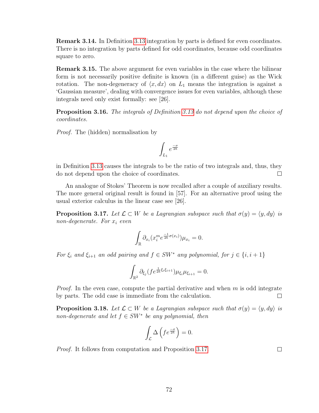Remark 3.14. In Definition [3.13](#page-76-0) integration by parts is defined for even coordinates. There is no integration by parts defined for odd coordinates, because odd coordinates square to zero.

<span id="page-77-1"></span>Remark 3.15. The above argument for even variables in the case where the bilinear form is not necessarily positive definite is known (in a different guise) as the Wick rotation. The non-degeneracy of  $\langle x, dx \rangle$  on  $L_1$  means the integration is against a 'Gaussian measure', dealing with convergence issues for even variables, although these integrals need only exist formally: see [26].

Proposition 3.16. The integrals of Definition [3.13](#page-76-0) do not depend upon the choice of coordinates.

Proof. The (hidden) normalisation by

$$
\int_{L_1} e^{\frac{-\sigma}{2\hbar}}
$$

in Definition [3.13](#page-76-0) causes the integrals to be the ratio of two integrals and, thus, they do not depend upon the choice of coordinates.  $\Box$ 

An analogue of Stokes' Theorem is now recalled after a couple of auxiliary results. The more general original result is found in [57]. For an alternative proof using the usual exterior calculus in the linear case see [26].

<span id="page-77-0"></span>**Proposition 3.17.** Let  $\mathcal{L} \subset W$  be a Lagrangian subspace such that  $\sigma(y) = \langle y, dy \rangle$  is non-degenerate. For  $x_i$  even

$$
\int_{\mathbb{R}} \partial_{x_i} (x_i^m e^{\frac{-1}{2\hbar}\sigma(x_i)}) \mu_{x_i} = 0.
$$

For  $\xi_i$  and  $\xi_{i+1}$  an odd pairing and  $f \in SW^*$  any polynomial, for  $j \in \{i, i+1\}$ 

$$
\int_{\mathbb{R}^2} \partial_{\xi_j} (f e^{\frac{1}{2\hbar} \xi_i \xi_{i+1}}) \mu_{\xi_i} \mu_{\xi_{i+1}} = 0.
$$

*Proof.* In the even case, compute the partial derivative and when  $m$  is odd integrate by parts. The odd case is immediate from the calculation.  $\Box$ 

<span id="page-77-2"></span>**Proposition 3.18.** Let  $\mathcal{L} \subset W$  be a Lagrangian subspace such that  $\sigma(y) = \langle y, dy \rangle$  is non-degenerate and let  $f \in SW^*$  be any polynomial, then

$$
\int_{\mathcal{L}} \Delta \left( f e^{\frac{-\sigma}{2\hbar}} \right) = 0.
$$

Proof. It follows from computation and Proposition [3.17.](#page-77-0)

 $\Box$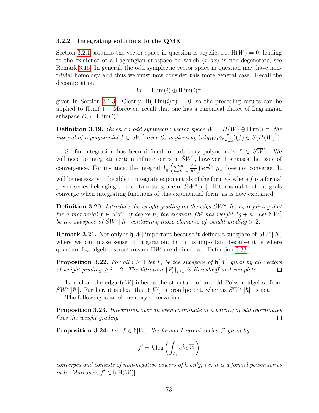#### 3.2.2 Integrating solutions to the QME

Section [3.2.1](#page-74-0) assumes the vector space in question is acyclic, i.e.  $H(W) = 0$ , leading to the existence of a Lagrangian subspace on which  $\langle x, dx \rangle$  is non-degenerate, see Remark [3.15.](#page-77-1) In general, the odd symplectic vector space in question may have nontrivial homology and thus we must now consider this more general case. Recall the decomposition

$$
W = \Pi \operatorname{im}(i) \oplus \Pi \operatorname{im}(i)^{\perp}
$$

given in Section [3.1.3.](#page-73-1) Clearly,  $H(\Pi \text{ im}(i)^{\perp}) = 0$ , so the preceding results can be applied to  $\text{I}\text{I} \text{im}(i)^{\perp}$ . Moreover, recall that one has a canonical choice of Lagrangian subspace  $\mathcal{L}_s \subset \Pi \operatorname{im}(i)^\perp$ .

**Definition 3.19.** Given an odd symplectic vector space  $W = H(W) \oplus \Pi \operatorname{im}(i)^{\perp}$ , the integral of a polynomial  $f \in S\overline{W}^*$  over  $\mathcal{L}_s$  is given by  $(id_{H(W)} \otimes \int_{\mathcal{L}_s})(f) \in S(\overline{H(W)}^*)$ .

So far integration has been defined for arbitrary polynomials  $f \in S\overline{W}^*$ . We will need to integrate certain infinite series in  $\hat{S}\overline{W}^*$ , however this raises the issue of convergence. For instance, the integral  $\int_{\mathbb{R}} \left( \sum_{k=1}^{\infty} \right)$  $x^{2k}$  $\frac{x^{2k}}{h^k}$ )  $e^{\frac{-1}{2h}x^2}\mu_x$  does not converge. It will be necessary to be able to integrate exponentials of the form  $e^{\frac{f}{h}}$  where f is a formal power series belonging to a certain subspace of  $\hat{S}W^*[[\hbar]]$ . It turns out that integrals converge when integrating functions of this exponential form, as is now explained.

<span id="page-78-2"></span>**Definition 3.20.** Introduce the weight grading on the cdga  $\hat{S}W^*[[\hbar]]$  by requiring that for a monomial  $f \in \hat{S}W^*$  of degree n, the element  $f\hbar^g$  has weight  $2g + n$ . Let  $\mathfrak{h}[W]$ be the subspace of  $\hat{S}W^{*}[|\hbar|]$  containing those elements of weight grading  $>2$ .

**Remark 3.21.** Not only is  $\mathfrak{h}[W]$  important because it defines a subspace of  $\hat{S}W^*[[\hbar]]$ where we can make sense of integration, but it is important because it is where quantum  $L_{\infty}$ -algebra structures on  $\Pi W$  are defined: see Definition [3.33.](#page-81-0)

<span id="page-78-3"></span>**Proposition 3.22.** For all  $i \geq 1$  let  $F_i$  be the subspace of  $\mathfrak{h}[W]$  given by all vectors of weight grading  $\geq i-2$ . The filtration  $\{F_i\}_{i\geq 1}$  is Hausdorff and complete.  $\Box$ 

It is clear the cdga  $\mathfrak{h}[W]$  inherits the structure of an odd Poisson algebra from  $\hat{S}W^*[[\hbar]]$ . Further, it is clear that  $\mathfrak{h}[W]$  is pronilpotent, whereas  $\hat{S}W^*[[\hbar]]$  is not.

The following is an elementary observation.

<span id="page-78-0"></span>Proposition 3.23. Integration over an even coordinate or a pairing of odd coordinates fixes the weight grading.  $\Box$ 

<span id="page-78-1"></span>**Proposition 3.24.** For  $f \in \mathfrak{h}[W]$ , the formal Laurent series  $f'$  given by

$$
f' = \hbar \log \left( \int_{\mathcal{L}_s} e^{\frac{f}{\hbar}} e^{\frac{-\sigma}{2\hbar}} \right)
$$

converges and consists of non-negative powers of  $\hbar$  only, i.e. it is a formal power series in  $\hbar$ . Moreover,  $f' \in \mathfrak{h}[\mathcal{H}(W)]$ .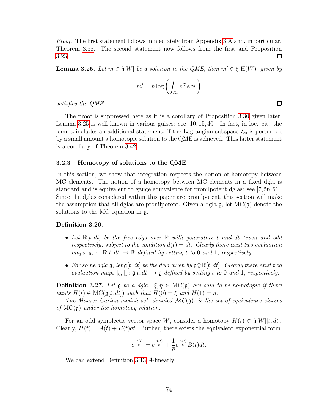Proof. The first statement follows immediately from Appendix [3.A](#page-84-0) and, in particular, Theorem [3.58.](#page-87-0) The second statement now follows from the first and Proposition [3.23.](#page-78-0)  $\Box$ 

<span id="page-79-0"></span>**Lemma 3.25.** Let  $m \in \mathfrak{h}[W]$  be a solution to the QME, then  $m' \in \mathfrak{h}[H(W)]$  given by

$$
m' = \hbar \log \left( \int_{\mathcal{L}_s} e^{\frac{m}{\hbar}} e^{\frac{-\sigma}{2\hbar}} \right)
$$

satisfies the QME.

The proof is suppressed here as it is a corollary of Proposition [3.30](#page-80-0) given later. Lemma [3.25](#page-79-0) is well known in various guises: see  $[10, 15, 40]$ . In fact, in loc. cit. the lemma includes an additional statement: if the Lagrangian subspace  $\mathcal{L}_s$  is perturbed by a small amount a homotopic solution to the QME is achieved. This latter statement is a corollary of Theorem [3.42.](#page-83-0)

### 3.2.3 Homotopy of solutions to the QME

In this section, we show that integration respects the notion of homotopy between MC elements. The notion of a homotopy between MC elements in a fixed dgla is standard and is equivalent to gauge equivalence for pronilpotent dglas: see [7,56,61]. Since the dglas considered within this paper are pronilpotent, this section will make the assumption that all dglas are pronilpotent. Given a dgla  $\mathfrak{g}$ , let  $MC(\mathfrak{g})$  denote the solutions to the MC equation in g.

#### Definition 3.26.

- Let  $\mathbb{R}[t,dt]$  be the free cdga over  $\mathbb R$  with generators t and dt (even and odd respectively) subject to the condition  $d(t) = dt$ . Clearly there exist two evaluation maps  $|_{0}, |_{1} : \mathbb{R}[t, dt] \to \mathbb{R}$  defined by setting t to 0 and 1, respectively.
- For some dgla  $\mathfrak{g}$ , let  $\mathfrak{g}[t, dt]$  be the dgla given by  $\mathfrak{g} \otimes \mathbb{R}[t, dt]$ . Clearly there exist two evaluation maps  $|_0, |_1: \mathfrak{g}[t, dt] \to \mathfrak{g}$  defined by setting t to 0 and 1, respectively.

**Definition 3.27.** Let  $\mathfrak{g}$  be a dgla.  $\xi, \eta \in \text{MC}(\mathfrak{g})$  are said to be homotopic if there exists  $H(t) \in \mathrm{MC}(\mathfrak{g}[t, dt])$  such that  $H(0) = \xi$  and  $H(1) = \eta$ .

The Maurer-Cartan moduli set, denoted  $MC(\mathfrak{g})$ , is the set of equivalence classes of  $MC(\mathfrak{g})$  under the homotopy relation.

For an odd symplectic vector space W, consider a homotopy  $H(t) \in \mathfrak{h}[W][t, dt]$ . Clearly,  $H(t) = A(t) + B(t)dt$ . Further, there exists the equivalent exponential form

$$
e^{\frac{H(t)}{\hbar}} = e^{\frac{A(t)}{\hbar}} + \frac{1}{\hbar}e^{\frac{A(t)}{\hbar}}B(t)dt.
$$

We can extend Definition [3.13](#page-76-0) A-linearly:

 $\Box$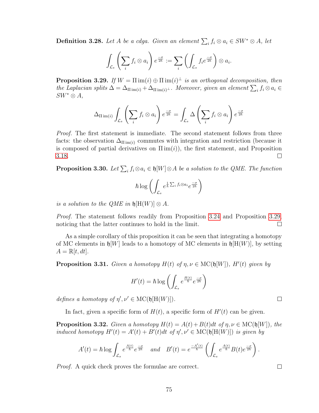**Definition 3.28.** Let A be a cdga. Given an element  $\sum_i f_i \otimes a_i \in SW^* \otimes A$ , let

$$
\int_{\mathcal{L}_s} \left( \sum_i f_i \otimes a_i \right) e^{\frac{-\sigma}{2\hbar}} := \sum_i \left( \int_{\mathcal{L}_s} f_i e^{\frac{-\sigma}{2\hbar}} \right) \otimes a_i.
$$

<span id="page-80-1"></span>**Proposition 3.29.** If  $W = \Pi \text{ im}(i) \oplus \Pi \text{ im}(i)^{\perp}$  is an orthogonal decomposition, then the Laplacian splits  $\Delta = \Delta_{\text{Tim}(i)} + \Delta_{\text{Tim}(i)}$ . Moreover, given an element  $\sum_i f_i \otimes a_i \in$  $SW^* \otimes A$ ,

$$
\Delta_{\Pi \text{ im}(i)} \int_{\mathcal{L}_s} \left( \sum_i f_i \otimes a_i \right) e^{\frac{-\sigma}{2\hbar}} = \int_{\mathcal{L}_s} \Delta \left( \sum_i f_i \otimes a_i \right) e^{\frac{-\sigma}{2\hbar}}
$$

*Proof.* The first statement is immediate. The second statement follows from three facts: the observation  $\Delta_{\text{I}}_{\text{min}(i)}$  commutes with integration and restriction (because it is composed of partial derivatives on  $\text{I}\text{I} \text{im}(i)$ , the first statement, and Proposition [3.18.](#page-77-2)  $\Box$ 

<span id="page-80-0"></span>**Proposition 3.30.** Let  $\sum_i f_i \otimes a_i \in \mathfrak{h}[W] \otimes A$  be a solution to the QME. The function

$$
\hbar \log \left( \int_{\mathcal{L}_s} e^{\frac{1}{\hbar} \sum_i f_i \otimes a_i} e^{\frac{-\sigma}{2\hbar}} \right)
$$

is a solution to the QME in  $\mathfrak{h}[\mathcal{H}(W)] \otimes A$ .

Proof. The statement follows readily from Proposition [3.24](#page-78-1) and Proposition [3.29,](#page-80-1) noticing that the latter continues to hold in the limit.  $\Box$ 

As a simple corollary of this proposition it can be seen that integrating a homotopy of MC elements in  $\mathfrak{h}[W]$  leads to a homotopy of MC elements in  $\mathfrak{h}[H(W)]$ , by setting  $A = \mathbb{R}[t, dt].$ 

<span id="page-80-2"></span>**Proposition 3.31.** Given a homotopy  $H(t)$  of  $\eta, \nu \in \mathrm{MC}(\mathfrak{h}[W])$ ,  $H'(t)$  given by

$$
H'(t) = \hbar \log \left( \int_{\mathcal{L}_s} e^{\frac{H(t)}{\hbar}} e^{\frac{-\sigma}{2\hbar}} \right)
$$

defines a homotopy of  $\eta', \nu' \in \mathrm{MC}(\mathfrak{h}[\mathrm{H}(W)]).$ 

In fact, given a specific form of  $H(t)$ , a specific form of  $H'(t)$  can be given.

**Proposition 3.32.** Given a homotopy  $H(t) = A(t) + B(t)dt$  of  $\eta, \nu \in \text{MC}(\mathfrak{h}[W])$ , the induced homotopy  $H'(t) = A'(t) + B'(t)dt$  of  $\eta', \nu' \in \text{MC}(\mathfrak{h}[\text{H}(W)])$  is given by

$$
A'(t) = \hbar \log \int_{\mathcal{L}_s} e^{\frac{A(t)}{\hbar}} e^{\frac{-\sigma}{2\hbar}} \quad \text{and} \quad B'(t) = e^{\frac{-A'(t)}{\hbar}} \left( \int_{\mathcal{L}_s} e^{\frac{A(t)}{\hbar}} B(t) e^{\frac{-\sigma}{2\hbar}} \right).
$$

Proof. A quick check proves the formulae are correct.

 $\Box$ 

 $\Box$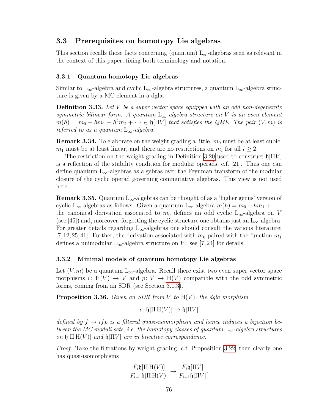# 3.3 Prerequisites on homotopy Lie algebras

This section recalls those facts concerning (quantum)  $L_{\infty}$ -algebras seen as relevant in the context of this paper, fixing both terminology and notation.

## 3.3.1 Quantum homotopy Lie algebras

Similar to L<sub>∞</sub>-algebra and cyclic L<sub>∞</sub>-algebra structures, a quantum L<sub>∞</sub>-algebra structure is given by a MC element in a dgla.

<span id="page-81-0"></span>**Definition 3.33.** Let V be a super vector space equipped with an odd non-degenerate symmetric bilinear form. A quantum  $L_{\infty}$ -algebra structure on V is an even element  $m(\hbar) = m_0 + \hbar m_1 + \hbar^2 m_2 + \cdots \in \mathfrak{h}[\Pi V]$  that satisfies the QME. The pair  $(V, m)$  is referred to as a quantum  $L_{\infty}$ -algebra.

**Remark 3.34.** To elaborate on the weight grading a little,  $m_0$  must be at least cubic,  $m_1$  must be at least linear, and there are no restrictions on  $m_i$  for all  $i \geq 2$ .

The restriction on the weight grading in Definition [3.20](#page-78-2) used to construct  $\mathfrak{h}|\Pi V|$ is a reflection of the stability condition for modular operads, c.f. [21]. Thus one can define quantum  $L_{\infty}$ -algebras as algebras over the Feynman transform of the modular closure of the cyclic operad governing commutative algebras. This view is not used here.

**Remark 3.35.** Quantum  $L_{\infty}$ -algebras can be thought of as a 'higher genus' version of cyclic L<sub>∞</sub>-algebras as follows. Given a quantum L<sub>∞</sub>-algebra  $m(\hbar) = m_0 + \hbar m_1 + \dots$ , the canonical derivation associated to  $m_0$  defines an odd cyclic L<sub>∞</sub>-algebra on V (see [45]) and, moreover, forgetting the cyclic structure one obtains just an  $L_{\infty}$ -algebra. For greater details regarding  $L_{\infty}$ -algebras one should consult the various literature:  $[7,12,25,41]$ . Further, the derivation associated with  $m_0$  paired with the function  $m_1$ defines a unimodular  $L_{\infty}$ -algebra structure on V: see [7,24] for details.

## 3.3.2 Minimal models of quantum homotopy Lie algebras

Let  $(V, m)$  be a quantum L<sub>∞</sub>-algebra. Recall there exist two even super vector space morphisms i:  $H(V) \rightarrow V$  and  $p: V \rightarrow H(V)$  compatible with the odd symmetric forms, coming from an SDR (see Section [3.1.3\)](#page-73-1).

<span id="page-81-1"></span>**Proposition 3.36.** Given an SDR from V to  $H(V)$ , the dgla morphism

 $\iota: \mathfrak{h}[\Pi \, \mathrm{H}(V)] \to \mathfrak{h}[\Pi V]$ 

defined by  $f \mapsto i f p$  is a filtered quasi-isomorphism and hence induces a bijection between the MC moduli sets, i.e. the homotopy classes of quantum  $L_{\infty}$ -algebra structures on  $\mathfrak{h}[\Pi H(V)]$  and  $\mathfrak{h}[\Pi V]$  are in bijective correspondence.

Proof. Take the filtrations by weight grading, c.f. Proposition [3.22,](#page-78-3) then clearly one has quasi-isomorphisms

$$
\frac{F_i\mathfrak{h}[\Pi\,\mathrm{H}(V)]}{F_{i+1}\mathfrak{h}[\Pi\,\mathrm{H}(V)]}\to \frac{F_i\mathfrak{h}[\Pi V]}{F_{i+1}\mathfrak{h}[\Pi V]}.
$$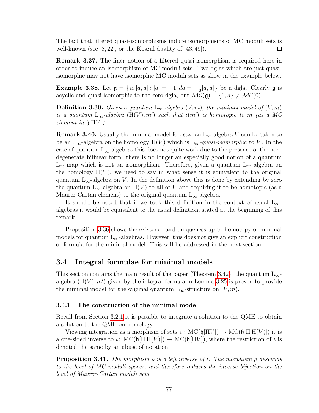The fact that filtered quasi-isomorphisms induce isomorphisms of MC moduli sets is well-known (see  $[8, 22]$ , or the Koszul duality of  $[43, 49]$ ).  $\Box$ 

Remark 3.37. The finer notion of a filtered quasi-isomorphism is required here in order to induce an isomorphism of MC moduli sets. Two dglas which are just quasiisomorphic may not have isomorphic MC moduli sets as show in the example below.

**Example 3.38.** Let  $\mathfrak{g} = \{a, [a, a] : |a| = -1, da = -\frac{1}{2}\}$  $\frac{1}{2}[a,a]$  be a dgla. Clearly **g** is acyclic and quasi-isomorphic to the zero dgla, but  $\mathcal{MC}(\mathfrak{g}) = \{0, a\} \neq \mathcal{MC}(0)$ .

**Definition 3.39.** Given a quantum  $L_{\infty}$ -algebra  $(V, m)$ , the minimal model of  $(V, m)$ is a quantum  $L_{\infty}$ -algebra  $(H(V), m')$  such that  $\iota(m')$  is homotopic to m (as a MC element in  $\mathfrak{h}[\Pi V]$ ).

**Remark 3.40.** Usually the minimal model for, say, an  $L_{\infty}$ -algebra V can be taken to be an L<sub>∞</sub>-algebra on the homology H(V) which is L<sub>∞</sub>-quasi-isomorphic to V. In the case of quantum  $L_{\infty}$ -algebras this does not quite work due to the presence of the nondegenerate bilinear form: there is no longer an especially good notion of a quantum L<sub>∞</sub>-map which is not an isomorphism. Therefore, given a quantum L<sub>∞</sub>-algebra on the homology  $H(V)$ , we need to say in what sense it is equivalent to the original quantum  $L_{\infty}$ -algebra on V. In the definition above this is done by extending by zero the quantum L<sub>∞</sub>-algebra on H(V) to all of V and requiring it to be homotopic (as a Maurer-Cartan element) to the original quantum  $L_{\infty}$ -algebra.

It should be noted that if we took this definition in the context of usual  $L_{\infty}$ algebras it would be equivalent to the usual definition, stated at the beginning of this remark.

Proposition [3.36](#page-81-1) shows the existence and uniqueness up to homotopy of minimal models for quantum  $L_{\infty}$ -algebras. However, this does not give an explicit construction or formula for the minimal model. This will be addressed in the next section.

## <span id="page-82-0"></span>3.4 Integral formulae for minimal models

This section contains the main result of the paper (Theorem [3.42\)](#page-83-0): the quantum  $L_{\infty}$ algebra  $(H(V), m')$  given by the integral formula in Lemma [3.25](#page-79-0) is proven to provide the minimal model for the original quantum  $L_{\infty}$ -structure on  $(V, m)$ .

### 3.4.1 The construction of the minimal model

Recall from Section [3.2.1](#page-74-0) it is possible to integrate a solution to the QME to obtain a solution to the QME on homology.

Viewing integration as a morphism of sets  $\rho: \text{MC}(\mathfrak{h}|\Pi V|) \to \text{MC}(\mathfrak{h}|\Pi H(V)|)$  it is a one-sided inverse to  $\iota: \operatorname{MC}(\mathfrak{h}[\Pi W]) \to \operatorname{MC}(\mathfrak{h}[\Pi V])$ , where the restriction of  $\iota$  is denoted the same by an abuse of notation.

**Proposition 3.41.** The morphism  $\rho$  is a left inverse of  $\iota$ . The morphism  $\rho$  descends to the level of MC moduli spaces, and therefore induces the inverse bijection on the level of Maurer-Cartan moduli sets.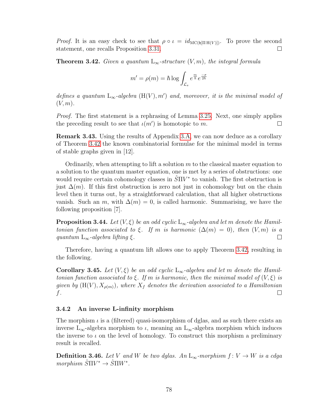*Proof.* It is an easy check to see that  $\rho \circ \iota = id_{MC(\mathfrak{h}[\Pi H(V)])}$ . To prove the second statement, one recalls Proposition [3.31.](#page-80-2)  $\Box$ 

<span id="page-83-0"></span>**Theorem 3.42.** Given a quantum  $L_{\infty}$ -structure  $(V, m)$ , the integral formula

$$
m' = \rho(m) = \hbar \log \int_{\mathcal{L}_s} e^{\frac{m}{\hbar}} e^{\frac{-\sigma}{2\hbar}}
$$

defines a quantum  $L_{\infty}$ -algebra  $(H(V), m')$  and, moreover, it is the minimal model of  $(V, m)$ .

Proof. The first statement is a rephrasing of Lemma [3.25.](#page-79-0) Next, one simply applies the preceding result to see that  $\iota(m')$  is homotopic to m.  $\Box$ 

Remark 3.43. Using the results of Appendix [3.A,](#page-84-0) we can now deduce as a corollary of Theorem [3.42](#page-83-0) the known combinatorial formulae for the minimal model in terms of stable graphs given in [12].

Ordinarily, when attempting to lift a solution  $m$  to the classical master equation to a solution to the quantum master equation, one is met by a series of obstructions: one would require certain cohomology classes in  $\hat{S}\Pi V^*$  to vanish. The first obstruction is just  $\Delta(m)$ . If this first obstruction is zero not just in cohomology but on the chain level then it turns out, by a straightforward calculation, that all higher obstructions vanish. Such an m, with  $\Delta(m) = 0$ , is called harmonic. Summarising, we have the following proposition [7].

**Proposition 3.44.** Let  $(V, \xi)$  be an odd cyclic L<sub>∞</sub>-algebra and let m denote the Hamiltonian function associated to  $\xi$ . If m is harmonic  $(\Delta(m) = 0)$ , then  $(V, m)$  is a quantum  $L_{\infty}$ -algebra lifting ξ.  $\Box$ 

Therefore, having a quantum lift allows one to apply Theorem [3.42,](#page-83-0) resulting in the following.

**Corollary 3.45.** Let  $(V, \xi)$  be an odd cyclic L<sub>∞</sub>-algebra and let m denote the Hamiltonian function associated to  $\xi$ . If m is harmonic, then the minimal model of  $(V,\xi)$  is given by  $(H(V), X_{\rho(m)})$ , where  $X_f$  denotes the derivation associated to a Hamiltonian f.  $\Box$ 

## 3.4.2 An inverse L-infinity morphism

The morphism  $\iota$  is a (filtered) quasi-isomorphism of dglas, and as such there exists an inverse  $L_{\infty}$ -algebra morphism to  $\iota$ , meaning an  $L_{\infty}$ -algebra morphism which induces the inverse to  $\iota$  on the level of homology. To construct this morphism a preliminary result is recalled.

**Definition 3.46.** Let V and W be two dglas. An  $L_{\infty}$ -morphism  $f: V \to W$  is a cdga  $morphism \t\hat{S} \Pi V^* \to \t\hat{S} \Pi W^*$ .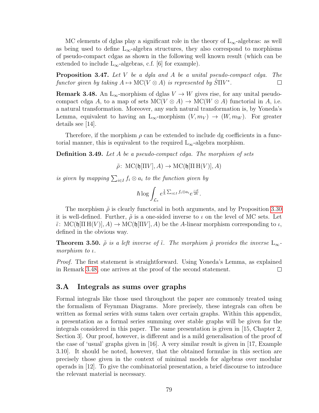MC elements of dglas play a significant role in the theory of  $L_{\infty}$ -algebras: as well as being used to define  $L_{\infty}$ -algebra structures, they also correspond to morphisms of pseudo-compact cdgas as shown in the following well known result (which can be extended to include  $L_{\infty}$ -algebras, c.f. [6] for example).

**Proposition 3.47.** Let  $V$  be a dgla and  $A$  be a unital pseudo-compact cdga. The functor given by taking  $A \mapsto \mathrm{MC}(V \otimes A)$  is represented by  $\hat{S} \Pi V^*$ .  $\Box$ 

<span id="page-84-1"></span>**Remark 3.48.** An  $L_{\infty}$ -morphism of dglas  $V \to W$  gives rise, for any unital pseudocompact cdga A, to a map of sets  $MC(V \otimes A) \to MC(W \otimes A)$  functorial in A, i.e. a natural transformation. Moreover, any such natural transformation is, by Yoneda's Lemma, equivalent to having an  $L_{\infty}$ -morphism  $(V, m_V) \rightarrow (W, m_W)$ . For greater details see [14].

Therefore, if the morphism  $\rho$  can be extended to include dg coefficients in a functorial manner, this is equivalent to the required  $L_{\infty}$ -algebra morphism.

**Definition 3.49.** Let A be a pseudo-compact cdga. The morphism of sets

 $\tilde{\rho}$ : MC( $\mathfrak{h}[\Pi V], A$ )  $\rightarrow$  MC( $\mathfrak{h}[\Pi H(V)], A$ )

is given by mapping  $\sum_{i\in I} f_i \otimes a_i$  to the function given by

$$
\hbar \log \int_{\mathcal{L}_s} e^{\frac{1}{\hbar} \sum_{i \in I} f_i \otimes a_i} e^{\frac{-\sigma}{2\hbar}}.
$$

The morphism  $\tilde{\rho}$  is clearly functorial in both arguments, and by Proposition [3.30](#page-80-0) it is well-defined. Further,  $\tilde{\rho}$  is a one-sided inverse to  $\iota$  on the level of MC sets. Let  $\tilde{\iota}: \text{MC}(\mathfrak{h}[\Pi H(V)], A) \to \text{MC}(\mathfrak{h}[\Pi V], A)$  be the A-linear morphism corresponding to  $\iota$ , defined in the obvious way.

**Theorem 3.50.**  $\tilde{\rho}$  is a left inverse of  $\tilde{\iota}$ . The morphism  $\tilde{\rho}$  provides the inverse  $L_{\infty}$ morphism to ι.

Proof. The first statement is straightforward. Using Yoneda's Lemma, as explained in Remark [3.48,](#page-84-1) one arrives at the proof of the second statement.  $\Box$ 

## <span id="page-84-0"></span>3.A Integrals as sums over graphs

Formal integrals like those used throughout the paper are commonly treated using the formalism of Feynman Diagrams. More precisely, these integrals can often be written as formal series with sums taken over certain graphs. Within this appendix, a presentation as a formal series summing over stable graphs will be given for the integrals considered in this paper. The same presentation is given in [15, Chapter 2, Section 3]. Our proof, however, is different and is a mild generalisation of the proof of the case of 'usual' graphs given in [16]. A very similar result is given in [17, Example 3.10]. It should be noted, however, that the obtained formulae in this section are precisely those given in the context of minimal models for algebras over modular operads in [12]. To give the combinatorial presentation, a brief discourse to introduce the relevant material is necessary.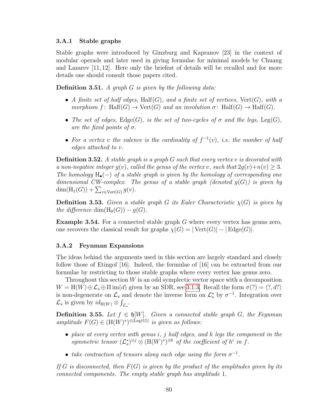## 3.A.1 Stable graphs

Stable graphs were introduced by Ginzburg and Kapranov [23] in the context of modular operads and later used in giving formulae for minimal models by Chuang and Lazarev [11, 12]. Here only the briefest of details will be recalled and for more details one should consult those papers cited.

**Definition 3.51.** A graph  $G$  is given by the following data:

- A finite set of half edges, Half $(G)$ , and a finite set of vertices,  $Vert(G)$ , with a morphism f: Half $(G) \to \text{Vert}(G)$  and an involution  $\sigma$ : Half $(G) \to \text{Half}(G)$ .
- The set of edges,  $\text{Edge}(G)$ , is the set of two-cycles of  $\sigma$  and the legs,  $\text{Leg}(G)$ , are the fixed points of  $\sigma$ .
- For a vertex v the valence is the cardinality of  $f^{-1}(v)$ , i.e. the number of half edges attached to v.

**Definition 3.52.** A stable graph is a graph  $G$  such that every vertex v is decorated with a non-negative integer  $g(v)$ , called the genus of the vertex v, such that  $2g(v)+n(v) \geq 3$ . The homology  $H_{\bullet}(-)$  of a stable graph is given by the homology of corresponding one dimensional CW-complex. The genus of a stable graph (denoted  $g(G)$ ) is given by  $\dim(H_1(G)) + \sum_{v \in \text{Vert}(G)} g(v).$ 

**Definition 3.53.** Given a stable graph G its Euler Characteristic  $\chi(G)$  is given by the difference dim(H<sub>0</sub>(G)) – g(G).

Example 3.54. For a connected stable graph G where every vertex has genus zero, one recovers the classical result for graphs  $\chi(G) = |\text{Vert}(G)| - |\text{Edge}(G)|$ .

## 3.A.2 Feynman Expansions

The ideas behind the arguments used in this section are largely standard and closely follow those of Etingof [16]. Indeed, the formulae of [16] can be extracted from our formulae by restricting to those stable graphs where every vertex has genus zero.

Throughout this section  $W$  is an odd symplectic vector space with a decomposition  $W = H(W) \oplus \mathcal{L}_s \oplus \Pi \text{ im}(d)$  given by an SDR, see [3.1.3.](#page-73-1) Recall the form  $\sigma(?) = \langle ?, d? \rangle$ is non-degenerate on  $\mathcal{L}_s$  and denote the inverse form on  $\mathcal{L}_s^*$  by  $\sigma^{-1}$ . Integration over  $\mathcal{L}_s$  is given by  $id_{H(W)} \otimes \int_{\mathcal{L}_s}$ .

Definition 3.55. Let  $f \in \mathfrak{h}[W]$ . Given a connected stable graph G, the Feynman amplitude  $F(G) \in (H(W)^*)^{\otimes |\text{Leg}(G)|}$  is given as follows:

- place at every vertex with genus i, j half edges, and k legs the component in the symmetric tensor  $(\mathcal{L}_s^*)^{\otimes j} \otimes (\mathcal{H}(W)^*)^{\otimes k}$  of the coefficient of  $h^i$  in f.
- take contraction of tensors along each edge using the form  $\sigma^{-1}$ .

If G is disconnected, then  $F(G)$  is given by the product of the amplitudes given by its connected components. The empty stable graph has amplitude 1.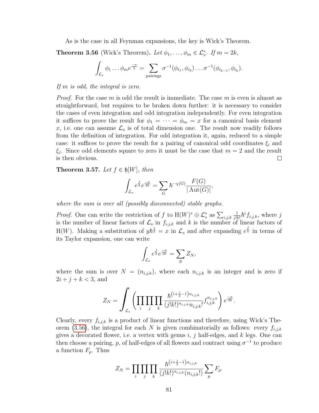As is the case in all Feynman expansions, the key is Wick's Theorem.

<span id="page-86-0"></span>**Theorem 3.56** (Wick's Theorem). Let  $\phi_1, \ldots, \phi_m \in \mathcal{L}_s^*$ . If  $m = 2k$ ,

$$
\int_{\mathcal{L}_s} \phi_1 \dots \phi_m e^{\frac{-\sigma}{2}} = \sum_{\text{pairings}} \sigma^{-1}(\phi_{i_1}, \phi_{i_2}) \dots \sigma^{-1}(\phi_{i_{k-1}}, \phi_{i_k}).
$$

If m is odd, the integral is zero.

*Proof.* For the case m is odd the result is immediate. The case m is even is almost as straightforward, but requires to be broken down further: it is necessary to consider the cases of even integration and odd integration independently. For even integration it suffices to prove the result for  $\phi_1 = \cdots = \phi_m = x$  for a canonical basis element x, i.e. one can assume  $\mathcal{L}_s$  is of total dimension one. The result now readily follows from the definition of integration. For odd integration it, again, reduced to a simple case: it suffices to prove the result for a pairing of canonical odd coordinates  $\xi_i$  and  $\xi_j$ . Since odd elements square to zero it must be the case that  $m=2$  and the result is then obvious. □

<span id="page-86-1"></span>Theorem 3.57. Let  $f \in \mathfrak{h}[W]$ , then

$$
\int_{\mathcal{L}_s} e^{\frac{f}{\hbar}} e^{\frac{-\sigma}{2\hbar}} = \sum_G \hbar^{-\chi(G)} \frac{F(G)}{|\operatorname{Aut}(G)|},
$$

where the sum is over all (possibly disconnected) stable graphs.

*Proof.* One can write the restriction of f to  $H(W)^* \oplus \mathcal{L}_s^*$  as  $\sum_{i,j,k}$ 1  $\frac{1}{j!k!} \hbar^i f_{i,j,k}$ , where j is the number of linear factors of  $\mathcal{L}_s$  in  $f_{i,j,k}$  and k is the number of linear factors of H(W). Making a substitution of  $y\hbar^{\frac{1}{2}} = x$  in  $\mathcal{L}_s$  and after expanding  $e^{\frac{f}{\hbar}}$  in terms of its Taylor expansion, one can write

$$
\int_{\mathcal{L}_s} e^{\frac{f}{\hbar}} e^{\frac{-\sigma}{2\hbar}} = \sum_N Z_N,
$$

where the sum is over  $N = (n_{i,j,k})$ , where each  $n_{i,j,k}$  is an integer and is zero if  $2i + j + k < 3$ , and

$$
Z_N = \int_{\mathcal{L}_s} \left( \prod_i \prod_j \prod_k \frac{\hbar^{(i + \frac{j}{2} - 1) n_{i,j,k}}}{(j!k!)^{n_{i,j,k}} n_{i,j,k}!} f_{i,j,k}^{n_{i,j,k}} \right) e^{\frac{-\sigma}{2\hbar}}.
$$

Clearly, every  $f_{i,j,k}$  is a product of linear functions and therefore, using Wick's The-orem [\(3.56\)](#page-86-0), the integral for each N is given combinatorially as follows: every  $f_{i,j,k}$ gives a decorated flower, i.e. a vertex with genus  $i, j$  half-edges, and k legs. One can then choose a pairing, p, of half-edges of all flowers and contract using  $\sigma^{-1}$  to produce a function  $F_p$ . Thus

$$
Z_N = \prod_i \prod_j \prod_k \frac{\hbar^{(i+\frac{j}{2}-1)n_{i,j,k}}}{(j!k!)^{n_{i,j,k}}(n_{i,j,k}!)} \sum_p F_p.
$$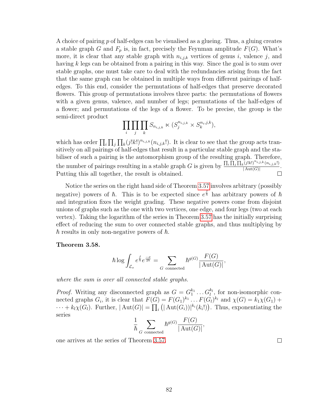A choice of pairing p of half-edges can be visualised as a glueing. Thus, a gluing creates a stable graph G and  $F_p$  is, in fact, precisely the Feynman amplitude  $F(G)$ . What's more, it is clear that any stable graph with  $n_{i,j,k}$  vertices of genus i, valence j, and having k legs can be obtained from a pairing in this way. Since the goal is to sum over stable graphs, one must take care to deal with the redundancies arising from the fact that the same graph can be obtained in multiple ways from different pairings of halfedges. To this end, consider the permutations of half-edges that preserve decorated flowers. This group of permutations involves three parts: the permutations of flowers with a given genus, valence, and number of legs; permutations of the half-edges of a flower; and permutations of the legs of a flower. To be precise, the group is the semi-direct product

$$
\prod_i \prod_j \prod_k S_{n_{i,j,k}} \ltimes (S_j^{n_{i,j,k}} \times S_k^{n_i,j,k}),
$$

which has order  $\prod_i \prod_j \prod_k (j!k!)^{n_{i,j,k}} (n_{i,j,k}!)$ . It is clear to see that the group acts transitively on all pairings of half-edges that result in a particular stable graph and the stabiliser of such a pairing is the automorphism group of the resulting graph. Therefore, the number of pairings resulting in a stable graph G is given by  $\frac{\prod_i \prod_j \prod_k (j!k!)^{n_{i,j,k}} (n_{i,j,k}!)}{\frac{|\mathbf{A}_{\mathbf{M}}(G)|}{\mathbf{A}_{\mathbf{M}}(G)|}}$  $\frac{1}{|\operatorname{Aut}(G)|}$ . Putting this all together, the result is obtained.  $\Box$ 

Notice the series on the right hand side of Theorem [3.57](#page-86-1) involves arbitrary (possibly negative) powers of  $\hbar$ . This is to be expected since  $e^{\frac{f}{\hbar}}$  has arbitrary powers of  $\hbar$ and integration fixes the weight grading. These negative powers come from disjoint unions of graphs such as the one with two vertices, one edge, and four legs (two at each vertex). Taking the logarithm of the series in Theorem [3.57](#page-86-1) has the initially surprising effect of reducing the sum to over connected stable graphs, and thus multiplying by  $\hbar$  results in only non-negative powers of  $\hbar$ .

### <span id="page-87-0"></span>Theorem 3.58.

$$
\hbar \log \int_{\mathcal{L}_s} e^{\frac{f}{\hbar}} e^{\frac{-\sigma}{2\hbar}} = \sum_{G \text{ connected}} \hbar^{g(G)} \frac{F(G)}{|\operatorname{Aut}(G)|},
$$

where the sum is over all connected stable graphs.

*Proof.* Writing any disconnected graph as  $G = G_1^{k_1} \dots G_l^{k_l}$ , for non-isomorphic connected graphs  $G_i$ , it is clear that  $F(G) = F(G_1)^{k_1} \dots F(G_l)^{k_l}$  and  $\chi(G) = k_1 \chi(G_1) +$  $\cdots + k_l \chi(G_l)$ . Further,  $|\text{Aut}(G)| = \prod_i (|\text{Aut}(G_i))|^{k_i}(k_i!)$ . Thus, exponentiating the series

$$
\frac{1}{\hbar} \sum_{G \text{ connected}} \hbar^{g(G)} \frac{F(G)}{|\operatorname{Aut}(G)|},
$$

one arrives at the series of Theorem [3.57.](#page-86-1)

 $\Box$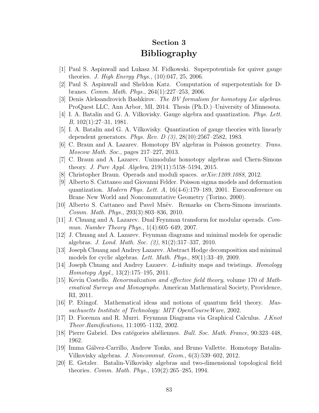# Section 3 Bibliography

- [1] Paul S. Aspinwall and Lukasz M. Fidkowski. Superpotentials for quiver gauge theories. J. High Energy Phys.,  $(10):047, 25, 2006$ .
- [2] Paul S. Aspinwall and Sheldon Katz. Computation of superpotentials for Dbranes. Comm. Math. Phys., 264(1):227–253, 2006.
- [3] Denis Aleksandrovich Bashkirov. The BV formalism for homotopy Lie algebras. ProQuest LLC, Ann Arbor, MI, 2014. Thesis (Ph.D.)–University of Minnesota.
- [4] I. A. Batalin and G. A. Vilkovisky. Gauge algebra and quantization. Phys. Lett. B, 102(1):27–31, 1981.
- [5] I. A. Batalin and G. A. Vilkovisky. Quantization of gauge theories with linearly dependent generators. Phys. Rev. D (3), 28(10):2567–2582, 1983.
- [6] C. Braun and A. Lazarev. Homotopy BV algebras in Poisson geometry. Trans. Moscow Math. Soc., pages 217–227, 2013.
- [7] C. Braun and A. Lazarev. Unimodular homotopy algebras and Chern-Simons theory. J. Pure Appl. Algebra, 219(11):5158–5194, 2015.
- [8] Christopher Braun. Operads and moduli spaces. arXiv:1209.1088, 2012.
- [9] Alberto S. Cattaneo and Giovanni Felder. Poisson sigma models and deformation quantization. *Modern Phys. Lett. A*,  $16(4-6):179-189$ , 2001. Euroconference on Brane New World and Noncommutative Geometry (Torino, 2000).
- [10] Alberto S. Cattaneo and Pavel Mn¨ev. Remarks on Chern-Simons invariants. Comm. Math. Phys., 293(3):803–836, 2010.
- [11] J. Chuang and A. Lazarev. Dual Feynman transform for modular operads. Commun. Number Theory Phys., 1(4):605–649, 2007.
- [12] J. Chuang and A. Lazarev. Feynman diagrams and minimal models for operadic algebras. J. Lond. Math. Soc. (2), 81(2):317–337, 2010.
- [13] Joseph Chuang and Andrey Lazarev. Abstract Hodge decomposition and minimal models for cyclic algebras. Lett. Math. Phys., 89(1):33–49, 2009.
- [14] Joseph Chuang and Andrey Lazarev. L-infinity maps and twistings. Homology Homotopy Appl., 13(2):175–195, 2011.
- [15] Kevin Costello. Renormalization and effective field theory, volume 170 of Mathematical Surveys and Monographs. American Mathematical Society, Providence, RI, 2011.
- [16] P. Etingof. Mathematical ideas and notions of quantum field theory. Massachusetts Institute of Technology: MIT OpenCourseWare, 2002.
- [17] D. Fiorenza and R. Murri. Feynman Diagrams via Graphical Calculus. J.Knot Theor.Ramifications, 11:1095–1132, 2002.
- [18] Pierre Gabriel. Des catégories abéliennes. *Bull. Soc. Math. France*, 90:323–448, 1962.
- [19] Imma Gálvez-Carrillo, Andrew Tonks, and Bruno Vallette. Homotopy Batalin-Vilkovisky algebras. J. Noncommut. Geom., 6(3):539–602, 2012.
- [20] E. Getzler. Batalin-Vilkovisky algebras and two-dimensional topological field theories. Comm. Math. Phys., 159(2):265–285, 1994.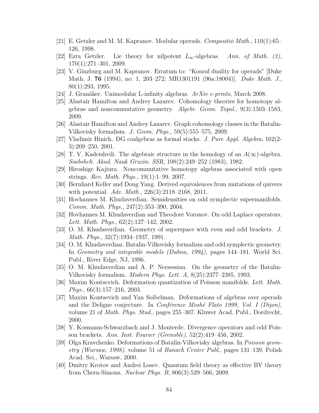- [21] E. Getzler and M. M. Kapranov. Modular operads. Compositio Math., 110(1):65– 126, 1998.
- [22] Ezra Getzler. Lie theory for nilpotent  $L_{\infty}$ -algebras. Ann. of Math. (2), 170(1):271–301, 2009.
- [23] V. Ginzburg and M. Kapranov. Erratum to: "Koszul duality for operads" [Duke Math. J. 76 (1994), no. 1, 203–272; MR1301191 (96a:18004)]. Duke Math. J., 80(1):293, 1995.
- [24] J. Granåker. Unimodular L-infinity algebras.  $ArXiv$  e-prints, March 2008.
- [25] Alastair Hamilton and Andrey Lazarev. Cohomology theories for homotopy algebras and noncommutative geometry. Algebr. Geom. Topol., 9(3):1503–1583, 2009.
- [26] Alastair Hamilton and Andrey Lazarev. Graph cohomology classes in the Batalin-Vilkovisky formalism. J. Geom. Phys., 59(5):555–575, 2009.
- [27] Vladimir Hinich. DG coalgebras as formal stacks. J. Pure Appl. Algebra, 162(2- 3):209–250, 2001.
- [28] T. V. Kadeishvili. The algebraic structure in the homology of an  $A(\infty)$ -algebra. Soobshch. Akad. Nauk Gruzin. SSR, 108(2):249–252 (1983), 1982.
- [29] Hiroshige Kajiura. Noncommutative homotopy algebras associated with open strings. Rev. Math. Phys., 19(1):1–99, 2007.
- [30] Bernhard Keller and Dong Yang. Derived equivalences from mutations of quivers with potential. Adv. Math., 226(3):2118–2168, 2011.
- [31] Hovhannes M. Khudaverdian. Semidensities on odd symplectic supermanifolds. Comm. Math. Phys., 247(2):353–390, 2004.
- [32] Hovhannes M. Khudaverdian and Theodore Voronov. On odd Laplace operators. Lett. Math. Phys., 62(2):127–142, 2002.
- [33] O. M. Khudaverdian. Geometry of superspace with even and odd brackets. J. Math. Phys., 32(7):1934–1937, 1991.
- [34] O. M. Khudaverdian. Batalin-Vilkovisky formalism and odd symplectic geometry. In Geometry and integrable models (Dubna, 1994), pages 144–181. World Sci. Publ., River Edge, NJ, 1996.
- [35] O. M. Khudaverdian and A. P. Nersessian. On the geometry of the Batalin-Vilkovisky formalism. Modern Phys. Lett. A, 8(25):2377–2385, 1993.
- [36] Maxim Kontsevich. Deformation quantization of Poisson manifolds. Lett. Math. Phys., 66(3):157–216, 2003.
- [37] Maxim Kontsevich and Yan Soibelman. Deformations of algebras over operads and the Deligne conjecture. In *Conférence Moshé Flato 1999, Vol. I (Dijon)*, volume 21 of Math. Phys. Stud., pages 255–307. Kluwer Acad. Publ., Dordrecht, 2000.
- [38] Y. Kosmann-Schwarzbach and J. Monterde. Divergence operators and odd Poisson brackets. Ann. Inst. Fourier (Grenoble), 52(2):419–456, 2002.
- [39] Olga Kravchenko. Deformations of Batalin-Vilkovisky algebras. In Poisson geometry (Warsaw, 1998), volume 51 of Banach Center Publ., pages 131–139. Polish Acad. Sci., Warsaw, 2000.
- [40] Dmitry Krotov and Andrei Losev. Quantum field theory as effective BV theory from Chern-Simons. Nuclear Phys. B, 806(3):529–566, 2009.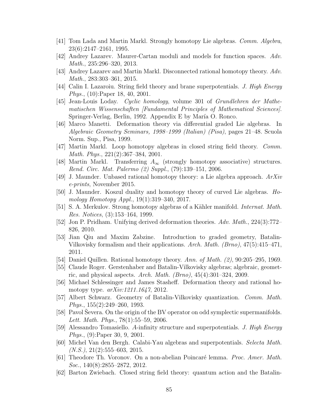- [41] Tom Lada and Martin Markl. Strongly homotopy Lie algebras. Comm. Algebra, 23(6):2147–2161, 1995.
- [42] Andrey Lazarev. Maurer-Cartan moduli and models for function spaces. Adv. Math., 235:296–320, 2013.
- [43] Andrey Lazarev and Martin Markl. Disconnected rational homotopy theory. Adv. Math., 283:303–361, 2015.
- [44] Calin I. Lazaroiu. String field theory and brane superpotentials. J. High Energy Phys., (10):Paper 18, 40, 2001.
- [45] Jean-Louis Loday. Cyclic homology, volume 301 of Grundlehren der Mathematischen Wissenschaften [Fundamental Principles of Mathematical Sciences]. Springer-Verlag, Berlin, 1992. Appendix E by María O. Ronco.
- [46] Marco Manetti. Deformation theory via differential graded Lie algebras. In Algebraic Geometry Seminars, 1998–1999 (Italian) (Pisa), pages 21–48. Scuola Norm. Sup., Pisa, 1999.
- [47] Martin Markl. Loop homotopy algebras in closed string field theory. Comm. Math. Phys., 221(2):367–384, 2001.
- [48] Martin Markl. Transferring  $A_{\infty}$  (strongly homotopy associative) structures. Rend. Circ. Mat. Palermo (2) Suppl., (79):139–151, 2006.
- [49] J. Maunder. Unbased rational homotopy theory: a Lie algebra approach.  $ArXiv$ e-prints, November 2015.
- [50] J. Maunder. Koszul duality and homotopy theory of curved Lie algebras. Homology Homotopy Appl., 19(1):319–340, 2017.
- [51] S. A. Merkulov. Strong homotopy algebras of a Kähler manifold. *Internat. Math.* Res. Notices, (3):153–164, 1999.
- [52] Jon P. Pridham. Unifying derived deformation theories. Adv. Math., 224(3):772– 826, 2010.
- [53] Jian Qiu and Maxim Zabzine. Introduction to graded geometry, Batalin-Vilkovisky formalism and their applications. Arch. Math. (Brno), 47(5):415–471, 2011.
- [54] Daniel Quillen. Rational homotopy theory. Ann. of Math.  $(2)$ , 90:205–295, 1969.
- [55] Claude Roger. Gerstenhaber and Batalin-Vilkovisky algebras; algebraic, geometric, and physical aspects. Arch. Math.  $(Brno)$ ,  $45(4):301-324$ , 2009.
- [56] Michael Schlessinger and James Stasheff. Deformation theory and rational homotopy type. arXiv:1211.1647, 2012.
- [57] Albert Schwarz. Geometry of Batalin-Vilkovisky quantization. Comm. Math. Phys., 155(2):249–260, 1993.
- [58] Pavol Severa. On the origin of the BV operator on odd symplectic supermanifolds. Lett. Math. Phys.,  $78(1):55-59$ , 2006.
- [59] Alessandro Tomasiello. A-infinity structure and superpotentials. J. High Energy Phys., (9):Paper 30, 9, 2001.
- [60] Michel Van den Bergh. Calabi-Yau algebras and superpotentials. Selecta Math.  $(N.S.), 21(2):555-603, 2015.$
- [61] Theodore Th. Voronov. On a non-abelian Poincaré lemma. *Proc. Amer. Math.* Soc., 140(8):2855–2872, 2012.
- [62] Barton Zwiebach. Closed string field theory: quantum action and the Batalin-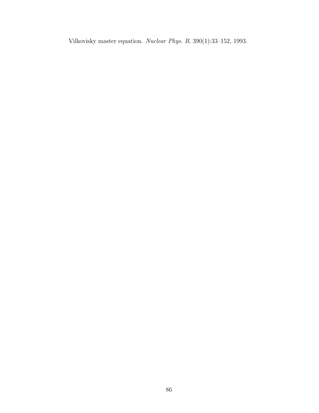Vilkovisky master equation. Nuclear Phys. B, 390(1):33–152, 1993.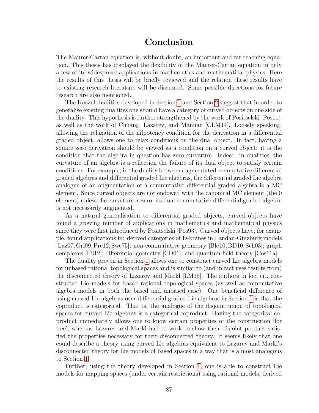# Conclusion

The Maurer-Cartan equation is, without doubt, an important and far-reaching equation. This thesis has displayed the flexibility of the Maurer-Cartan equation in only a few of its widespread applications in mathematics and mathematical physics. Here the results of this thesis will be briefly reviewed and the relation these results have to existing research literature will be discussed. Some possible directions for future research are also mentioned.

The Koszul dualities developed in Section [1](#page-10-0) and Section [2](#page-42-0) suggest that in order to generalise existing dualities one should have a category of curved objects on one side of the duality. This hypothesis is further strengthened by the work of Positselski [Pos11], as well as the work of Chuang, Lazarev, and Mannan [CLM14]. Loosely speaking, allowing the relaxation of the nilpotency condition for the derivation in a differential graded object, allows one to relax conditions on the dual object. In fact, having a square zero derivation should be viewed as a condition on a curved object: it is the condition that the algebra in question has zero curvature. Indeed, in dualities, the curvature of an algebra is a reflection the failure of its dual object to satisfy certain conditions. For example, in the duality between augmentated commutative differential graded algebras and differential graded Lie algebras, the differential graded Lie algebra analogue of an augmentation of a commutative differential graded algebra is a MC element. Since curved objects are not endowed with the canonical MC element (the 0 element) unless the curvature is zero, its dual commutative differential graded algebra is not necessarily augmented.

As a natural generalisation to differential graded objects, curved objects have found a growing number of applications in mathematics and mathematical physics since they were first introduced by Positselski [Pos93]. Curved objects have, for example, found applications in: derived categories of D-branes in Landau-Ginzburg models [Laz07, Orl09, Pre12, Swe75]; non-commutative geometry [Blo10, BD10, Sch03]; graph complexes [LS12]; differential geometry [CD01]; and quantum field theory [Cos11a].

The duality proven in Section [1](#page-10-0) allows one to construct curved Lie algebra models for unbased rational topological spaces and is similar to (and in fact uses results from) the disconnected theory of Lazarev and Markl [LM15]. The authors in loc. cit. constructed Lie models for based rational topological spaces (as well as commutative algebra models in both the based and unbased case). One beneficial difference of using curved Lie algebras over differential graded Lie algebras in Section [1](#page-10-0) is that the coproduct is categorical. That is, the analogue of the disjoint union of topological spaces for curved Lie algebras is a categorical coproduct. Having the categorical coproduct immediately allows one to know certain properties of the construction 'for free', whereas Lazarev and Markl had to work to show their disjoint product satisfied the properties necessary for their disconnected theory. It seems likely that one could describe a theory using curved Lie algebras equivalent to Lazarev and Markl's disconnected theory for Lie models of based spaces in a way that is almost analogous to Section [1.](#page-10-0)

Further, using the theory developed in Section [1,](#page-10-0) one is able to construct Lie models for mapping spaces (under certain restrictions) using rational models, derived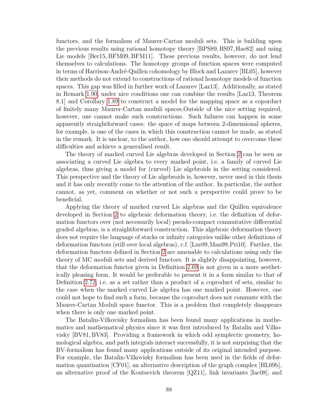functors, and the formalism of Maurer-Cartan moduli sets. This is building upon the previous results using rational homotopy theory [BPS89,BS97, Hae82] and using Lie models [Ber15, BFM09, BFM11]. These previous results, however, do not lend themselves to calculations. The homotopy groups of function spaces were computed in terms of Harrison-André-Quillen cohomology by Block and Lazarev [BL05], however their methods do not extend to constructions of rational homotopy models of function spaces. This gap was filled in further work of Lazarev [Laz13]. Additionally, as stated in Remark [1.90,](#page-39-0) under nice conditions one can combine the results [Laz13, Theorem 8.1] and Corollary [1.89](#page-39-1) to construct a model for the mapping space as a coporduct of finitely many Maurer-Cartan moduli spaces.Outside of the nice setting required, however, one cannot make such constructions. Such failures can happen in some apparently straightforward cases: the space of maps between 2-dimensional spheres, for example, is one of the cases in which this construction cannot be made, as stated in the remark. It is unclear, to the author, how one should attempt to overcome these difficulties and achieve a generalised result.

The theory of marked curved Lie algebras developed in Section [2](#page-42-0) can be seen as associating a curved Lie algebra to every marked point, i.e. a family of curved Lie algebras, thus giving a model for (curved) Lie algebroids in the setting considered. This perspective and the theory of Lie algebroids is, however, never used in this thesis and it has only recently come to the attention of the author. In particular, the author cannot, as yet, comment on whether or not such a perspective could prove to be beneficial.

Applying the theory of marked curved Lie algebras and the Quillen equivalence developed in Section [2](#page-42-0) to algebraic deformation theory, i.e. the definition of deformation functors over (not necessarily local) pseudo-compact commutative differential graded algebras, is a straightforward construction. This algebraic deformation theory does not require the language of stacks or infinity categories unlike other definitions of deformation functors (still over local algebras), c.f. [Lur09,Man99,Pri10]. Further, the deformation functors defined in Section [2](#page-42-0) are amenable to calculations using only the theory of MC moduli sets and derived functors. It is slightly disappointing, however, that the deformation functor given in Definition [2.69](#page-62-0) is not given in a more aesthetically pleasing form. It would be preferable to present it in a form similar to that of Definition [2.72,](#page-63-0) i.e. as a set rather than a product of a coproduct of sets, similar to the case when the marked curved Lie algebra has one marked point. However, one could not hope to find such a form, because the coproduct does not commute with the Maurer-Cartan Moduli space functor. This is a problem that completely disappears when there is only one marked point.

The Batalin-Vilkovisky formalism has been found many applications in mathematics and mathematical physics since it was first introduced by Batalin and Vilkovisky [BV81, BV83]. Providing a framework in which odd symplectic geometry, homological algebra, and path integrals interact successfully, it is not surprising that the BV-formalism has found many applications outside of its original intended purpose. For example, the Batalin-Vilkovisky formalism has been used in the fields of deformation quantisation [CF01], an alternative description of the graph complex [HL09b], an alternative proof of the Kontsevich theorem [QZ11], link invariants [Iac08], and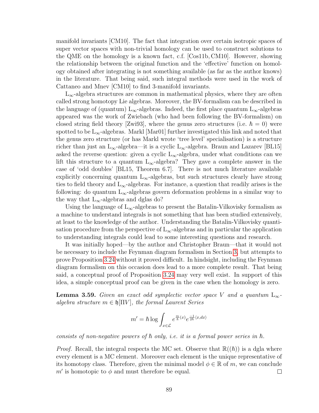manifold invariants [CM10]. The fact that integration over certain isotropic spaces of super vector spaces with non-trivial homology can be used to construct solutions to the QME on the homology is a known fact, c.f. [Cos11b, CM10]. However, showing the relationship between the original function and the 'effective' function on homology obtained after integrating is not something available (as far as the author knows) in the literature. That being said, such integral methods were used in the work of Cattaneo and Mnev [CM10] to find 3-manifold invariants.

 $L_{\infty}$ -algebra structures are common in mathematical physics, where they are often called strong homotopy Lie algebras. Moreover, the BV-formalism can be described in the language of (quantum) L<sub>∞</sub>-algebras. Indeed, the first place quantum L<sub>∞</sub>-algebras appeared was the work of Zwiebach (who had been following the BV-formalism) on closed string field theory [Zwi93], where the genus zero structures (i.e.  $\hbar = 0$ ) were spotted to be  $L_{\infty}$ -algebras. Markl [Mar01] further investigated this link and noted that the genus zero structure (or has Markl wrote 'tree level' specialisation) is a structure richer than just an L<sub>∞</sub>-algebra—it is a cyclic L<sub>∞</sub>-algebra. Braun and Lazarev [BL15] asked the reverse question: given a cyclic  $L_{\infty}$ -algebra, under what conditions can we lift this structure to a quantum  $L_{\infty}$ -algebra? They gave a complete answer in the case of 'odd doubles' [BL15, Theorem 6.7]. There is not much literature available explicitly concerning quantum  $L_{\infty}$ -algebras, but such structures clearly have strong ties to field theory and  $L_{\infty}$ -algebras. For instance, a question that readily arises is the following: do quantum  $L_{\infty}$ -algebras govern deformation problems in a similar way to the way that  $L_{\infty}$ -algebras and dglas do?

Using the language of  $L_{\infty}$ -algebras to present the Batalin-Vilkovisky formalism as a machine to understand integrals is not something that has been studied extensively, at least to the knowledge of the author. Understanding the Batalin-Vilkovisky quantisation procedure from the perspective of  $L_{\infty}$ -algebras and in particular the application to understanding integrals could lead to some interesting questions and research.

It was initially hoped—by the author and Christopher Braun—that it would not be necessary to include the Feynman diagram formalism in Section [3,](#page-67-0) but attempts to prove Proposition [3.24](#page-78-1) without it proved difficult. In hindsight, including the Feynman diagram formalism on this occasion does lead to a more complete result. That being said, a conceptual proof of Proposition [3.24](#page-78-1) may very well exist. In support of this idea, a simple conceptual proof can be given in the case when the homology is zero.

**Lemma 3.59.** Given an exact odd symplectic vector space V and a quantum  $L_{\infty}$ algebra structure  $m \in \mathfrak{h}[\Pi V]$ , the formal Laurent Series

$$
m' = \hbar \log \int_{x \in \mathcal{L}} e^{\frac{m}{\hbar}(x)} e^{\frac{-1}{2\hbar} \langle x, dx \rangle}
$$

consists of non-negative powers of  $\hbar$  only, i.e. it is a formal power series in  $\hbar$ .

*Proof.* Recall, the integral respects the MC set. Observe that  $\mathbb{R}((\hbar))$  is a dgla where every element is a MC element. Moreover each element is the unique representative of its homotopy class. Therefore, given the minimal model  $\phi \in \mathbb{R}$  of m, we can conclude m' is homotopic to  $\phi$  and must therefore be equal.  $\Box$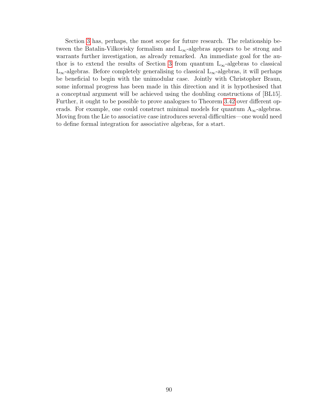Section [3](#page-67-0) has, perhaps, the most scope for future research. The relationship between the Batalin-Vilkovisky formalism and  $L_{\infty}$ -algebras appears to be strong and warrants further investigation, as already remarked. An immediate goal for the au-thor is to extend the results of Section [3](#page-67-0) from quantum  $L_{\infty}$ -algebras to classical  $L_{\infty}$ -algebras. Before completely generalising to classical  $L_{\infty}$ -algebras, it will perhaps be beneficial to begin with the unimodular case. Jointly with Christopher Braun, some informal progress has been made in this direction and it is hypothesised that a conceptual argument will be achieved using the doubling constructions of [BL15]. Further, it ought to be possible to prove analogues to Theorem [3.42](#page-83-0) over different operads. For example, one could construct minimal models for quantum  $A_{\infty}$ -algebras. Moving from the Lie to associative case introduces several difficulties—one would need to define formal integration for associative algebras, for a start.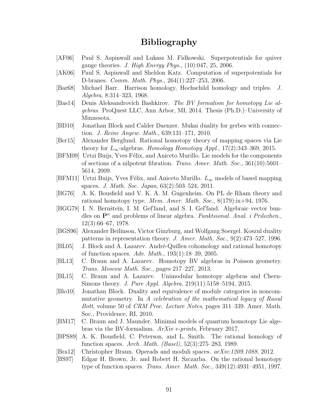# Bibliography

- [AF06] Paul S. Aspinwall and Lukasz M. Fidkowski. Superpotentials for quiver gauge theories. J. High Energy Phys.,  $(10):047, 25, 2006$ .
- [AK06] Paul S. Aspinwall and Sheldon Katz. Computation of superpotentials for D-branes. Comm. Math. Phys., 264(1):227–253, 2006.
- [Bar68] Michael Barr. Harrison homology, Hochschild homology and triples. J. Algebra, 8:314–323, 1968.
- [Bas14] Denis Aleksandrovich Bashkirov. The BV formalism for homotopy Lie algebras. ProQuest LLC, Ann Arbor, MI, 2014. Thesis (Ph.D.)–University of Minnesota.
- [BD10] Jonathan Block and Calder Daenzer. Mukai duality for gerbes with connection. J. Reine Angew. Math., 639:131–171, 2010.
- [Ber15] Alexander Berglund. Rational homotopy theory of mapping spaces via Lie theory for  $L_{\infty}$ -algebras. Homology Homotopy Appl., 17(2):343–369, 2015.
- [BFM09] Urtzi Buijs, Yves Félix, and Aniceto Murillo. Lie models for the components of sections of a nilpotent fibration. Trans. Amer. Math. Soc., 361(10):5601– 5614, 2009.
- [BFM11] Urtzi Buijs, Yves Félix, and Aniceto Murillo.  $L_{\infty}$  models of based mapping spaces. J. Math. Soc. Japan, 63(2):503–524, 2011.
- [BG76] A. K. Bousfield and V. K. A. M. Gugenheim. On PL de Rham theory and rational homotopy type. *Mem. Amer. Math. Soc.*,  $8(179):ix+94$ , 1976.
- [BGG78] I. N. Bernšteĭn, I. M. Gel'fand, and S. I. Gel'fand. Algebraic vector bundles on  $\mathbf{P}^n$  and problems of linear algebra. Funktsional. Anal. i Prilozhen., 12(3):66–67, 1978.
- [BGS96] Alexander Beilinson, Victor Ginzburg, and Wolfgang Soergel. Koszul duality patterns in representation theory. J. Amer. Math. Soc., 9(2):473–527, 1996.
- [BL05] J. Block and A. Lazarev. André-Quillen cohomology and rational homotopy of function spaces. Adv. Math.,  $193(1):18-39$ ,  $2005$ .
- [BL13] C. Braun and A. Lazarev. Homotopy BV algebras in Poisson geometry. Trans. Moscow Math. Soc., pages 217–227, 2013.
- [BL15] C. Braun and A. Lazarev. Unimodular homotopy algebras and Chern-Simons theory. *J. Pure Appl. Algebra*, 219(11):5158–5194, 2015.
- [Blo10] Jonathan Block. Duality and equivalence of module categories in noncommutative geometry. In A celebration of the mathematical legacy of Raoul Bott, volume 50 of CRM Proc. Lecture Notes, pages 311–339. Amer. Math. Soc., Providence, RI, 2010.
- [BM17] C. Braun and J. Maunder. Minimal models of quantum homotopy Lie algebras via the BV-formalism. ArXiv e-prints, February 2017.
- [BPS89] A. K. Bousfield, C. Peterson, and L. Smith. The rational homology of function spaces. Arch. Math. (Basel), 52(3):275–283, 1989.
- [Bra12] Christopher Braun. Operads and moduli spaces. arXiv:1209.1088, 2012.
- [BS97] Edgar H. Brown, Jr. and Robert H. Szczarba. On the rational homotopy type of function spaces. Trans. Amer. Math. Soc., 349(12):4931–4951, 1997.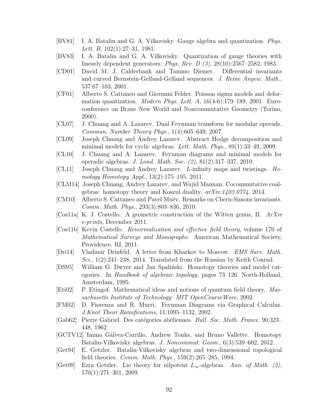- [BV81] I. A. Batalin and G. A. Vilkovisky. Gauge algebra and quantization. Phys. Lett. B, 102(1):27–31, 1981.
- [BV83] I. A. Batalin and G. A. Vilkovisky. Quantization of gauge theories with linearly dependent generators. Phys. Rev. D (3), 28(10):2567–2582, 1983.
- [CD01] David M. J. Calderbank and Tammo Diemer. Differential invariants and curved Bernstein-Gelfand-Gelfand sequences. J. Reine Angew. Math., 537:67–103, 2001.
- [CF01] Alberto S. Cattaneo and Giovanni Felder. Poisson sigma models and deformation quantization. *Modern Phys. Lett. A*,  $16(4-6):179-189$ , 2001. Euroconference on Brane New World and Noncommutative Geometry (Torino, 2000).
- [CL07] J. Chuang and A. Lazarev. Dual Feynman transform for modular operads. Commun. Number Theory Phys., 1(4):605–649, 2007.
- [CL09] Joseph Chuang and Andrey Lazarev. Abstract Hodge decomposition and minimal models for cyclic algebras. Lett. Math. Phys., 89(1):33–49, 2009.
- [CL10] J. Chuang and A. Lazarev. Feynman diagrams and minimal models for operadic algebras. J. Lond. Math. Soc. (2), 81(2):317–337, 2010.
- [CL11] Joseph Chuang and Andrey Lazarev. L-infinity maps and twistings. Homology Homotopy Appl., 13(2):175–195, 2011.
- [CLM14] Joseph Chuang, Andrey Lazarev, and Wajid Mannan. Cocommutative coalgebras: homotopy theory and Koszul duality.  $arXiv:1403.0774$ , 2014.
- [CM10] Alberto S. Cattaneo and Pavel Mnëv. Remarks on Chern-Simons invariants. Comm. Math. Phys., 293(3):803–836, 2010.
- [Cos11a] K. J. Costello. A geometric construction of the Witten genus, II. ArXiv e-prints, December 2011.
- [Cos11b] Kevin Costello. Renormalization and effective field theory, volume 170 of Mathematical Surveys and Monographs. American Mathematical Society, Providence, RI, 2011.
- [Dri14] Vladimir Drinfeld. A letter from Kharkov to Moscow. EMS Surv. Math. Sci.,  $1(2):241-248$ , 2014. Translated from the Russian by Keith Conrad.
- [DS95] William G. Dwyer and Jan Spalintiski. Homotopy theories and model categories. In Handbook of algebraic topology, pages 73–126. North-Holland, Amsterdam, 1995.
- [Eti02] P. Etingof. Mathematical ideas and notions of quantum field theory. Massachusetts Institute of Technology: MIT OpenCourseWare, 2002.
- [FM02] D. Fiorenza and R. Murri. Feynman Diagrams via Graphical Calculus. J.Knot Theor.Ramifications, 11:1095–1132, 2002.
- [Gab62] Pierre Gabriel. Des catégories abéliennes. *Bull. Soc. Math. France*, 90:323– 448, 1962.
- [GCTV12] Imma Gálvez-Carrillo, Andrew Tonks, and Bruno Vallette. Homotopy Batalin-Vilkovisky algebras. J. Noncommut. Geom., 6(3):539–602, 2012.
- [Get94] E. Getzler. Batalin-Vilkovisky algebras and two-dimensional topological field theories. Comm. Math. Phys., 159(2):265–285, 1994.
- [Get09] Ezra Getzler. Lie theory for nilpotent  $L_{\infty}$ -algebras. Ann. of Math. (2), 170(1):271–301, 2009.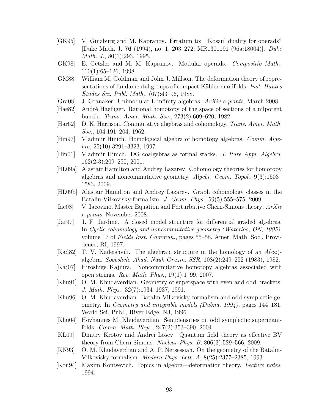- [GK95] V. Ginzburg and M. Kapranov. Erratum to: "Koszul duality for operads" [Duke Math. J. 76 (1994), no. 1, 203–272; MR1301191 (96a:18004)]. Duke Math. J., 80(1):293, 1995.
- [GK98] E. Getzler and M. M. Kapranov. Modular operads. Compositio Math., 110(1):65–126, 1998.
- [GM88] William M. Goldman and John J. Millson. The deformation theory of representations of fundamental groups of compact Kähler manifolds. *Inst. Hautes*  $\acute{E}tudes\, Sci.\, Publ.\, Math.,\, (67):43–96,\, 1988.$
- $[Gra08]$  J. Granåker. Unimodular L-infinity algebras.  $ArXiv$  e-prints, March 2008.
- [Hae82] André Haefliger. Rational homotopy of the space of sections of a nilpotent bundle. Trans. Amer. Math. Soc., 273(2):609–620, 1982.
- [Har62] D. K. Harrison. Commutative algebras and cohomology. Trans. Amer. Math. Soc., 104:191–204, 1962.
- [Hin97] Vladimir Hinich. Homological algebra of homotopy algebras. Comm. Alge $bra, 25(10):3291-3323, 1997.$
- [Hin01] Vladimir Hinich. DG coalgebras as formal stacks. *J. Pure Appl. Algebra*, 162(2-3):209–250, 2001.
- [HL09a] Alastair Hamilton and Andrey Lazarev. Cohomology theories for homotopy algebras and noncommutative geometry. Algebr. Geom. Topol., 9(3):1503– 1583, 2009.
- [HL09b] Alastair Hamilton and Andrey Lazarev. Graph cohomology classes in the Batalin-Vilkovisky formalism. J. Geom. Phys., 59(5):555–575, 2009.
- [Iac08] V. Iacovino. Master Equation and Perturbative Chern-Simons theory. ArXiv e-prints, November 2008.
- [Jar97] J. F. Jardine. A closed model structure for differential graded algebras. In Cyclic cohomology and noncommutative geometry (Waterloo, ON, 1995), volume 17 of Fields Inst. Commun., pages 55–58. Amer. Math. Soc., Providence, RI, 1997.
- [Kad82] T. V. Kadeishvili. The algebraic structure in the homology of an  $A(\infty)$ algebra. Soobshch. Akad. Nauk Gruzin. SSR, 108(2):249–252 (1983), 1982.
- [Kaj07] Hiroshige Kajiura. Noncommutative homotopy algebras associated with open strings. Rev. Math. Phys., 19(1):1–99, 2007.
- [Khu91] O. M. Khudaverdian. Geometry of superspace with even and odd brackets. J. Math. Phys., 32(7):1934–1937, 1991.
- [Khu96] O. M. Khudaverdian. Batalin-Vilkovisky formalism and odd symplectic geometry. In Geometry and integrable models (Dubna, 1994), pages 144–181. World Sci. Publ., River Edge, NJ, 1996.
- [Khu04] Hovhannes M. Khudaverdian. Semidensities on odd symplectic supermanifolds. Comm. Math. Phys., 247(2):353–390, 2004.
- [KL09] Dmitry Krotov and Andrei Losev. Quantum field theory as effective BV theory from Chern-Simons. Nuclear Phys. B, 806(3):529–566, 2009.
- [KN93] O. M. Khudaverdian and A. P. Nersessian. On the geometry of the Batalin-Vilkovisky formalism. Modern Phys. Lett. A, 8(25):2377–2385, 1993.
- [Kon94] Maxim Kontsevich. Topics in algebra—deformation theory. Lecture notes, 1994.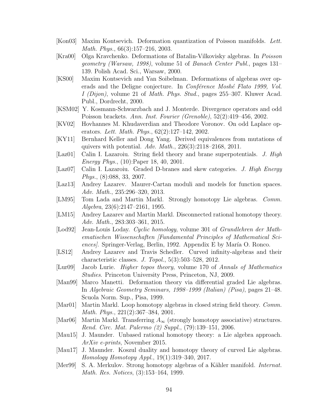- [Kon03] Maxim Kontsevich. Deformation quantization of Poisson manifolds. Lett. Math. Phys., 66(3):157–216, 2003.
- [Kra00] Olga Kravchenko. Deformations of Batalin-Vilkovisky algebras. In Poisson geometry (Warsaw, 1998), volume 51 of Banach Center Publ., pages 131– 139. Polish Acad. Sci., Warsaw, 2000.
- [KS00] Maxim Kontsevich and Yan Soibelman. Deformations of algebras over operads and the Deligne conjecture. In *Conférence Moshé Flato 1999*, Vol. I (Dijon), volume 21 of Math. Phys. Stud., pages 255–307. Kluwer Acad. Publ., Dordrecht, 2000.
- [KSM02] Y. Kosmann-Schwarzbach and J. Monterde. Divergence operators and odd Poisson brackets. Ann. Inst. Fourier (Grenoble), 52(2):419–456, 2002.
- [KV02] Hovhannes M. Khudaverdian and Theodore Voronov. On odd Laplace operators. Lett. Math. Phys.,  $62(2):127-142$ , 2002.
- [KY11] Bernhard Keller and Dong Yang. Derived equivalences from mutations of quivers with potential.  $Adv. Math., 226(3):2118-2168, 2011.$
- [Laz01] Calin I. Lazaroiu. String field theory and brane superpotentials. J. High Energy Phys., (10):Paper 18, 40, 2001.
- [Laz07] Calin I. Lazaroiu. Graded D-branes and skew categories. J. High Energy Phys., (8):088, 33, 2007.
- [Laz13] Andrey Lazarev. Maurer-Cartan moduli and models for function spaces. Adv. Math., 235:296–320, 2013.
- [LM95] Tom Lada and Martin Markl. Strongly homotopy Lie algebras. Comm. Algebra, 23(6):2147–2161, 1995.
- [LM15] Andrey Lazarev and Martin Markl. Disconnected rational homotopy theory. Adv. Math., 283:303–361, 2015.
- [Lod92] Jean-Louis Loday. Cyclic homology, volume 301 of Grundlehren der Mathematischen Wissenschaften [Fundamental Principles of Mathematical Sciences/. Springer-Verlag, Berlin, 1992. Appendix E by María O. Ronco.
- [LS12] Andrey Lazarev and Travis Schedler. Curved infinity-algebras and their characteristic classes. J. Topol., 5(3):503–528, 2012.
- [Lur09] Jacob Lurie. Higher topos theory, volume 170 of Annals of Mathematics Studies. Princeton University Press, Princeton, NJ, 2009.
- [Man99] Marco Manetti. Deformation theory via differential graded Lie algebras. In Algebraic Geometry Seminars, 1998–1999 (Italian) (Pisa), pages 21–48. Scuola Norm. Sup., Pisa, 1999.
- [Mar01] Martin Markl. Loop homotopy algebras in closed string field theory. Comm. Math. Phys., 221(2):367–384, 2001.
- [Mar06] Martin Markl. Transferring  $A_{\infty}$  (strongly homotopy associative) structures. Rend. Circ. Mat. Palermo (2) Suppl., (79):139–151, 2006.
- [Mau15] J. Maunder. Unbased rational homotopy theory: a Lie algebra approach. ArXiv e-prints, November 2015.
- [Mau17] J. Maunder. Koszul duality and homotopy theory of curved Lie algebras. Homology Homotopy Appl., 19(1):319–340, 2017.
- [Mer99] S. A. Merkulov. Strong homotopy algebras of a Kähler manifold. *Internat.* Math. Res. Notices, (3):153–164, 1999.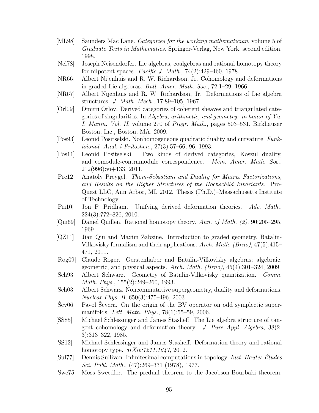- [ML98] Saunders Mac Lane. Categories for the working mathematician, volume 5 of Graduate Texts in Mathematics. Springer-Verlag, New York, second edition, 1998.
- [Nei78] Joseph Neisendorfer. Lie algebras, coalgebras and rational homotopy theory for nilpotent spaces. Pacific J. Math.,  $74(2):429-460$ , 1978.
- [NR66] Albert Nijenhuis and R. W. Richardson, Jr. Cohomology and deformations in graded Lie algebras. Bull. Amer. Math. Soc., 72:1–29, 1966.
- [NR67] Albert Nijenhuis and R. W. Richardson, Jr. Deformations of Lie algebra structures. J. Math. Mech., 17:89–105, 1967.
- [Orl09] Dmitri Orlov. Derived categories of coherent sheaves and triangulated categories of singularities. In Algebra, arithmetic, and geometry: in honor of Yu. I. Manin. Vol. II, volume 270 of Progr. Math., pages 503–531. Birkhäuser Boston, Inc., Boston, MA, 2009.
- [Pos93] Leonid Positselski. Nonhomogeneous quadratic duality and curvature. Funktsional. Anal. i Prilozhen., 27(3):57–66, 96, 1993.
- [Pos11] Leonid Positselski. Two kinds of derived categories, Koszul duality, and comodule-contramodule correspondence. Mem. Amer. Math. Soc., 212(996):vi+133, 2011.
- [Pre12] Anatoly Preygel. Thom-Sebastiani and Duality for Matrix Factorizations, and Results on the Higher Structures of the Hochschild Invariants. Pro-Quest LLC, Ann Arbor, MI, 2012. Thesis (Ph.D.)–Massachusetts Institute of Technology.
- [Pri10] Jon P. Pridham. Unifying derived deformation theories. Adv. Math., 224(3):772–826, 2010.
- [Qui69] Daniel Quillen. Rational homotopy theory. Ann. of Math. (2), 90:205–295, 1969.
- [QZ11] Jian Qiu and Maxim Zabzine. Introduction to graded geometry, Batalin-Vilkovisky formalism and their applications. Arch. Math. (Brno), 47(5):415– 471, 2011.
- [Rog09] Claude Roger. Gerstenhaber and Batalin-Vilkovisky algebras; algebraic, geometric, and physical aspects. Arch. Math.  $(Brno)$ ,  $45(4):301-324$ , 2009.
- [Sch93] Albert Schwarz. Geometry of Batalin-Vilkovisky quantization. Comm. Math. Phys., 155(2):249–260, 1993.
- [Sch03] Albert Schwarz. Noncommutative supergeometry, duality and deformations. Nuclear Phys. B, 650(3):475–496, 2003.
- [Sev06] Pavol Severa. On the origin of the BV operator on odd symplectic supermanifolds. Lett. Math. Phys., 78(1):55–59, 2006.
- [SS85] Michael Schlessinger and James Stasheff. The Lie algebra structure of tangent cohomology and deformation theory. J. Pure Appl. Algebra, 38(2- 3):313–322, 1985.
- [SS12] Michael Schlessinger and James Stasheff. Deformation theory and rational homotopy type.  $arXiv:1211.1647$ , 2012.
- [Sul77] Dennis Sullivan. Infinitesimal computations in topology. Inst. Hautes Études Sci. Publ. Math., (47):269–331 (1978), 1977.
- [Swe75] Moss Sweedler. The predual theorem to the Jacobson-Bourbaki theorem.